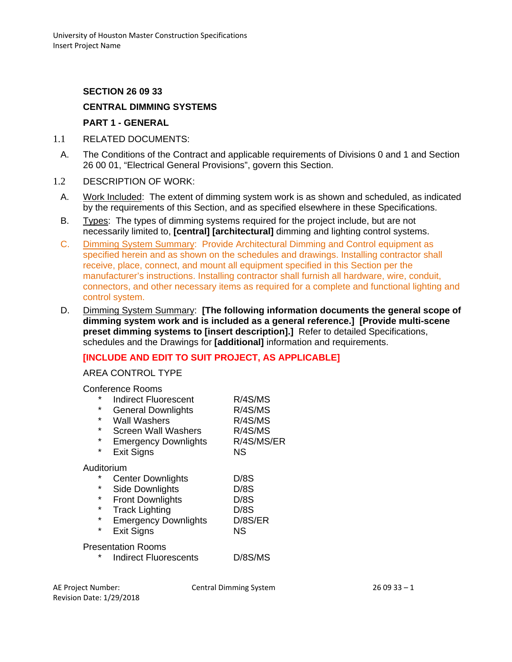# **SECTION 26 09 33**

## **CENTRAL DIMMING SYSTEMS**

## **PART 1 - GENERAL**

- 1.1 RELATED DOCUMENTS:
	- A. The Conditions of the Contract and applicable requirements of Divisions 0 and 1 and Section 26 00 01, "Electrical General Provisions", govern this Section.
- 1.2 DESCRIPTION OF WORK:
	- A. Work Included: The extent of dimming system work is as shown and scheduled, as indicated by the requirements of this Section, and as specified elsewhere in these Specifications.
	- B. Types: The types of dimming systems required for the project include, but are not necessarily limited to, **[central] [architectural]** dimming and lighting control systems.
	- C. Dimming System Summary: Provide Architectural Dimming and Control equipment as specified herein and as shown on the schedules and drawings. Installing contractor shall receive, place, connect, and mount all equipment specified in this Section per the manufacturer's instructions. Installing contractor shall furnish all hardware, wire, conduit, connectors, and other necessary items as required for a complete and functional lighting and control system.
	- D. Dimming System Summary: **[The following information documents the general scope of dimming system work and is included as a general reference.] [Provide multi-scene preset dimming systems to [insert description].]** Refer to detailed Specifications, schedules and the Drawings for **[additional]** information and requirements.

# **[INCLUDE AND EDIT TO SUIT PROJECT, AS APPLICABLE]**

#### AREA CONTROL TYPE

|            | <b>Conference Rooms</b>     |            |
|------------|-----------------------------|------------|
| *          | <b>Indirect Fluorescent</b> | R/4S/MS    |
| $\star$    | <b>General Downlights</b>   | R/4S/MS    |
| *          | Wall Washers                | R/4S/MS    |
| $\star$    | <b>Screen Wall Washers</b>  | R/4S/MS    |
| $\star$    | <b>Emergency Downlights</b> | R/4S/MS/ER |
| $\star$    | <b>Exit Signs</b>           | <b>NS</b>  |
| Auditorium |                             |            |
| *          | <b>Center Downlights</b>    | D/8S       |
| *          | <b>Side Downlights</b>      | D/8S       |
| *          | <b>Front Downlights</b>     | D/8S       |
| *          | <b>Track Lighting</b>       | D/8S       |
| $\star$    | <b>Emergency Downlights</b> | D/8S/ER    |
| $\star$    | <b>Exit Signs</b>           | ΝS         |
|            | <b>Presentation Rooms</b>   |            |
|            | Indirect Fluorescents       | D/8S/MS    |

AE Project Number: Central Dimming System 26 09 33 – 1 Revision Date: 1/29/2018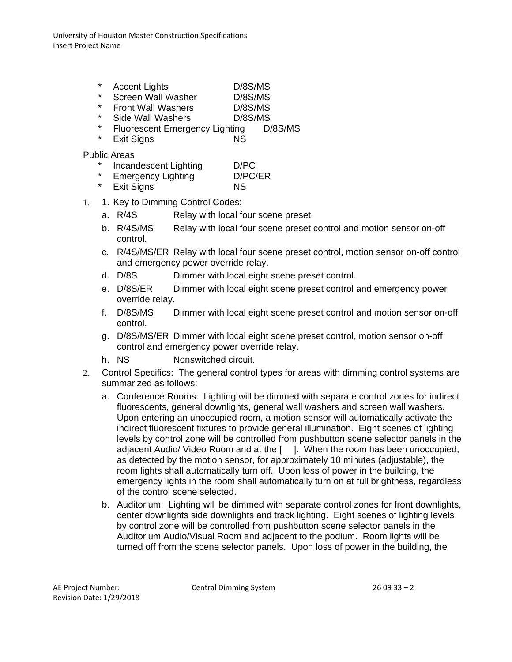| <b>Accent Lights</b> | D/8S/MS |
|----------------------|---------|
|----------------------|---------|

- \* Screen Wall Washer D/8S/MS
- Front Wall Washers D/8S/MS
- 
- Side Wall Washers D/8S/MS<br>Fluorescent Emergency Lighting D/8S/MS Fluorescent Emergency Lighting
- Exit Signs NS

#### Public Areas

|  | Incandescent Lighting | D/PC |
|--|-----------------------|------|
|--|-----------------------|------|

- Emergency Lighting D/PC/ER
- Exit Signs NS
- 1. 1. Key to Dimming Control Codes:
	- a. R/4S Relay with local four scene preset.
	- b. R/4S/MS Relay with local four scene preset control and motion sensor on-off control.
	- c. R/4S/MS/ER Relay with local four scene preset control, motion sensor on-off control and emergency power override relay.
	- d. D/8S Dimmer with local eight scene preset control.
	- e. D/8S/ER Dimmer with local eight scene preset control and emergency power override relay.
	- f. D/8S/MS Dimmer with local eight scene preset control and motion sensor on-off control.
	- g. D/8S/MS/ER Dimmer with local eight scene preset control, motion sensor on-off control and emergency power override relay.
	- h. NS Nonswitched circuit.
- 2. Control Specifics: The general control types for areas with dimming control systems are summarized as follows:
	- a. Conference Rooms: Lighting will be dimmed with separate control zones for indirect fluorescents, general downlights, general wall washers and screen wall washers. Upon entering an unoccupied room, a motion sensor will automatically activate the indirect fluorescent fixtures to provide general illumination. Eight scenes of lighting levels by control zone will be controlled from pushbutton scene selector panels in the adjacent Audio/ Video Room and at the [ ]. When the room has been unoccupied, as detected by the motion sensor, for approximately 10 minutes (adjustable), the room lights shall automatically turn off. Upon loss of power in the building, the emergency lights in the room shall automatically turn on at full brightness, regardless of the control scene selected.
	- b. Auditorium: Lighting will be dimmed with separate control zones for front downlights, center downlights side downlights and track lighting. Eight scenes of lighting levels by control zone will be controlled from pushbutton scene selector panels in the Auditorium Audio/Visual Room and adjacent to the podium. Room lights will be turned off from the scene selector panels. Upon loss of power in the building, the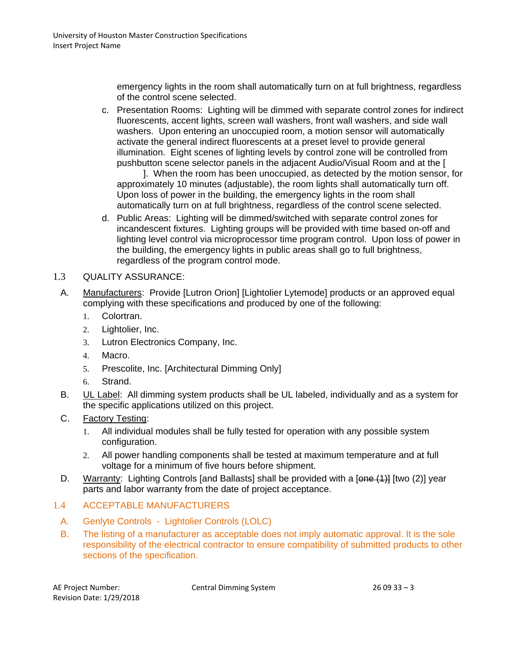emergency lights in the room shall automatically turn on at full brightness, regardless of the control scene selected.

c. Presentation Rooms: Lighting will be dimmed with separate control zones for indirect fluorescents, accent lights, screen wall washers, front wall washers, and side wall washers. Upon entering an unoccupied room, a motion sensor will automatically activate the general indirect fluorescents at a preset level to provide general illumination. Eight scenes of lighting levels by control zone will be controlled from pushbutton scene selector panels in the adjacent Audio/Visual Room and at the [

]. When the room has been unoccupied, as detected by the motion sensor, for approximately 10 minutes (adjustable), the room lights shall automatically turn off. Upon loss of power in the building, the emergency lights in the room shall automatically turn on at full brightness, regardless of the control scene selected.

d. Public Areas: Lighting will be dimmed/switched with separate control zones for incandescent fixtures. Lighting groups will be provided with time based on-off and lighting level control via microprocessor time program control. Upon loss of power in the building, the emergency lights in public areas shall go to full brightness, regardless of the program control mode.

## 1.3 QUALITY ASSURANCE:

- A. Manufacturers: Provide [Lutron Orion] [Lightolier Lytemode] products or an approved equal complying with these specifications and produced by one of the following:
	- 1. Colortran.
	- 2. Lightolier, Inc.
	- 3. Lutron Electronics Company, Inc.
	- 4. Macro.
	- 5. Prescolite, Inc. [Architectural Dimming Only]
	- 6. Strand.
- B. **UL Label:** All dimming system products shall be UL labeled, individually and as a system for the specific applications utilized on this project.
- C. Factory Testing:
	- 1. All individual modules shall be fully tested for operation with any possible system configuration.
	- 2. All power handling components shall be tested at maximum temperature and at full voltage for a minimum of five hours before shipment.
- D. Warranty: Lighting Controls [and Ballasts] shall be provided with a [one (1)] [two (2)] year parts and labor warranty from the date of project acceptance.

# 1.4 ACCEPTABLE MANUFACTURERS

- A. Genlyte Controls Lightolier Controls (LOLC)
- B. The listing of a manufacturer as acceptable does not imply automatic approval. It is the sole responsibility of the electrical contractor to ensure compatibility of submitted products to other sections of the specification.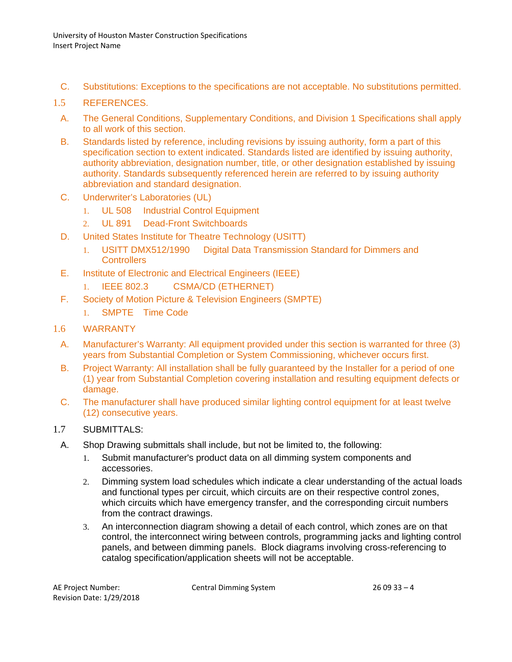C. Substitutions: Exceptions to the specifications are not acceptable. No substitutions permitted.

#### 1.5 REFERENCES.

- A. The General Conditions, Supplementary Conditions, and Division 1 Specifications shall apply to all work of this section.
- B. Standards listed by reference, including revisions by issuing authority, form a part of this specification section to extent indicated. Standards listed are identified by issuing authority, authority abbreviation, designation number, title, or other designation established by issuing authority. Standards subsequently referenced herein are referred to by issuing authority abbreviation and standard designation.
- C. Underwriter's Laboratories (UL)
	- 1. UL 508 Industrial Control Equipment
	- 2. UL 891 Dead-Front Switchboards
- D. United States Institute for Theatre Technology (USITT)
	- 1. USITT DMX512/1990 Digital Data Transmission Standard for Dimmers and **Controllers**
- E. Institute of Electronic and Electrical Engineers (IEEE)
	- 1. IEEE 802.3 CSMA/CD (ETHERNET)
- F. Society of Motion Picture & Television Engineers (SMPTE)
	- 1. SMPTE Time Code
- 1.6 WARRANTY
	- A. Manufacturer's Warranty: All equipment provided under this section is warranted for three (3) years from Substantial Completion or System Commissioning, whichever occurs first.
	- B. Project Warranty: All installation shall be fully guaranteed by the Installer for a period of one (1) year from Substantial Completion covering installation and resulting equipment defects or damage.
- C. The manufacturer shall have produced similar lighting control equipment for at least twelve (12) consecutive years.

## 1.7 SUBMITTALS:

- A. Shop Drawing submittals shall include, but not be limited to, the following:
	- 1. Submit manufacturer's product data on all dimming system components and accessories.
	- 2. Dimming system load schedules which indicate a clear understanding of the actual loads and functional types per circuit, which circuits are on their respective control zones, which circuits which have emergency transfer, and the corresponding circuit numbers from the contract drawings.
	- 3. An interconnection diagram showing a detail of each control, which zones are on that control, the interconnect wiring between controls, programming jacks and lighting control panels, and between dimming panels. Block diagrams involving cross-referencing to catalog specification/application sheets will not be acceptable.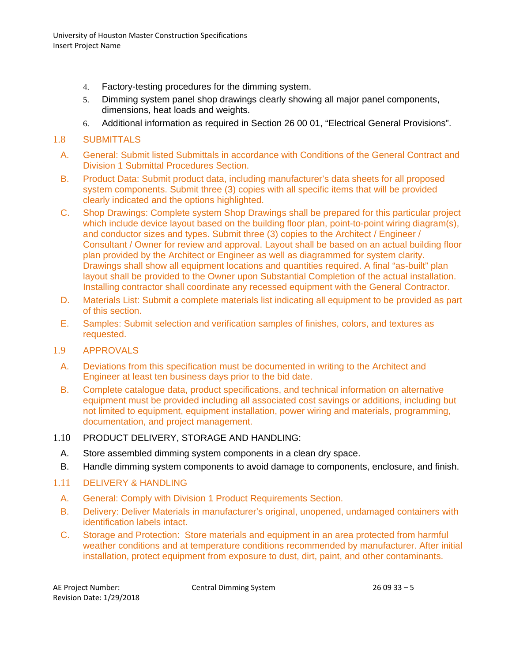- 4. Factory-testing procedures for the dimming system.
- 5. Dimming system panel shop drawings clearly showing all major panel components, dimensions, heat loads and weights.
- 6. Additional information as required in Section 26 00 01, "Electrical General Provisions".

#### 1.8 SUBMITTALS

- A. General: Submit listed Submittals in accordance with Conditions of the General Contract and Division 1 Submittal Procedures Section.
- B. Product Data: Submit product data, including manufacturer's data sheets for all proposed system components. Submit three (3) copies with all specific items that will be provided clearly indicated and the options highlighted.
- C. Shop Drawings: Complete system Shop Drawings shall be prepared for this particular project which include device layout based on the building floor plan, point-to-point wiring diagram(s), and conductor sizes and types. Submit three (3) copies to the Architect / Engineer / Consultant / Owner for review and approval. Layout shall be based on an actual building floor plan provided by the Architect or Engineer as well as diagrammed for system clarity. Drawings shall show all equipment locations and quantities required. A final "as-built" plan layout shall be provided to the Owner upon Substantial Completion of the actual installation. Installing contractor shall coordinate any recessed equipment with the General Contractor.
- D. Materials List: Submit a complete materials list indicating all equipment to be provided as part of this section.
- E. Samples: Submit selection and verification samples of finishes, colors, and textures as requested.

#### 1.9 APPROVALS

- A. Deviations from this specification must be documented in writing to the Architect and Engineer at least ten business days prior to the bid date.
- B. Complete catalogue data, product specifications, and technical information on alternative equipment must be provided including all associated cost savings or additions, including but not limited to equipment, equipment installation, power wiring and materials, programming, documentation, and project management.

#### 1.10 PRODUCT DELIVERY, STORAGE AND HANDLING:

- A. Store assembled dimming system components in a clean dry space.
- B. Handle dimming system components to avoid damage to components, enclosure, and finish.

#### 1.11 DELIVERY & HANDLING

- A. General: Comply with Division 1 Product Requirements Section.
- B. Delivery: Deliver Materials in manufacturer's original, unopened, undamaged containers with identification labels intact.
- C. Storage and Protection: Store materials and equipment in an area protected from harmful weather conditions and at temperature conditions recommended by manufacturer. After initial installation, protect equipment from exposure to dust, dirt, paint, and other contaminants.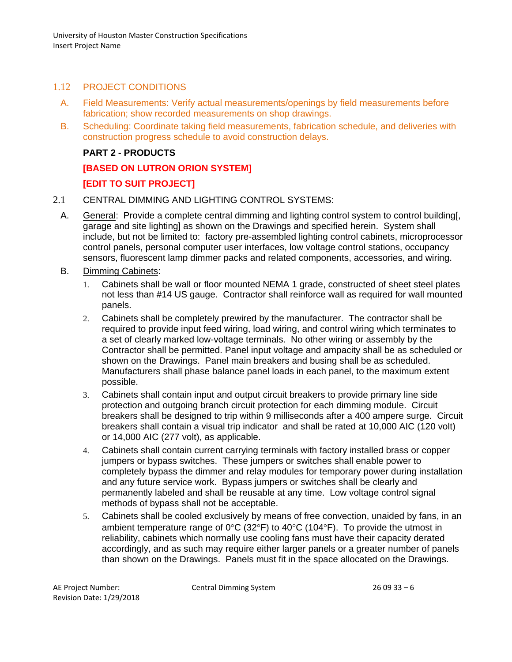University of Houston Master Construction Specifications Insert Project Name

#### 1.12 PROJECT CONDITIONS

- A. Field Measurements: Verify actual measurements/openings by field measurements before fabrication; show recorded measurements on shop drawings.
- B. Scheduling: Coordinate taking field measurements, fabrication schedule, and deliveries with construction progress schedule to avoid construction delays.

#### **PART 2 - PRODUCTS**

# **[BASED ON LUTRON ORION SYSTEM]**

## **[EDIT TO SUIT PROJECT]**

- 2.1 CENTRAL DIMMING AND LIGHTING CONTROL SYSTEMS:
	- A. General: Provide a complete central dimming and lighting control system to control building[, garage and site lighting] as shown on the Drawings and specified herein. System shall include, but not be limited to: factory pre-assembled lighting control cabinets, microprocessor control panels, personal computer user interfaces, low voltage control stations, occupancy sensors, fluorescent lamp dimmer packs and related components, accessories, and wiring.
	- B. Dimming Cabinets:
		- 1. Cabinets shall be wall or floor mounted NEMA 1 grade, constructed of sheet steel plates not less than #14 US gauge. Contractor shall reinforce wall as required for wall mounted panels.
		- 2. Cabinets shall be completely prewired by the manufacturer. The contractor shall be required to provide input feed wiring, load wiring, and control wiring which terminates to a set of clearly marked low-voltage terminals. No other wiring or assembly by the Contractor shall be permitted. Panel input voltage and ampacity shall be as scheduled or shown on the Drawings. Panel main breakers and busing shall be as scheduled. Manufacturers shall phase balance panel loads in each panel, to the maximum extent possible.
		- 3. Cabinets shall contain input and output circuit breakers to provide primary line side protection and outgoing branch circuit protection for each dimming module. Circuit breakers shall be designed to trip within 9 milliseconds after a 400 ampere surge. Circuit breakers shall contain a visual trip indicator and shall be rated at 10,000 AIC (120 volt) or 14,000 AIC (277 volt), as applicable.
		- 4. Cabinets shall contain current carrying terminals with factory installed brass or copper jumpers or bypass switches. These jumpers or switches shall enable power to completely bypass the dimmer and relay modules for temporary power during installation and any future service work. Bypass jumpers or switches shall be clearly and permanently labeled and shall be reusable at any time. Low voltage control signal methods of bypass shall not be acceptable.
		- 5. Cabinets shall be cooled exclusively by means of free convection, unaided by fans, in an ambient temperature range of  $0^{\circ}$ C (32 $^{\circ}$ F) to 40 $^{\circ}$ C (104 $^{\circ}$ F). To provide the utmost in reliability, cabinets which normally use cooling fans must have their capacity derated accordingly, and as such may require either larger panels or a greater number of panels than shown on the Drawings. Panels must fit in the space allocated on the Drawings.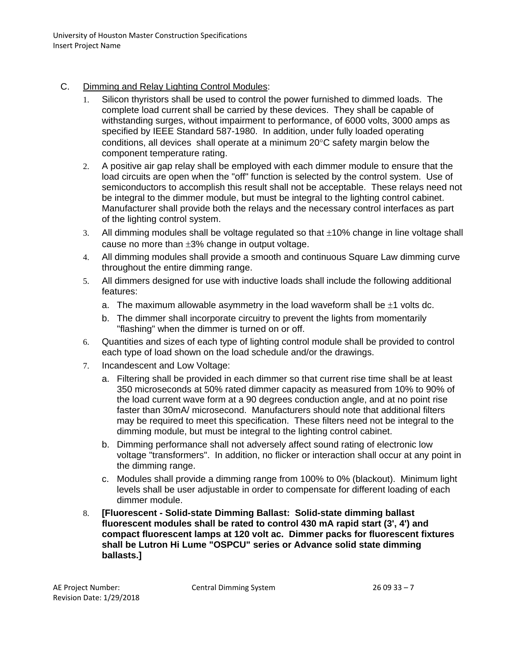- C. Dimming and Relay Lighting Control Modules:
	- 1. Silicon thyristors shall be used to control the power furnished to dimmed loads. The complete load current shall be carried by these devices. They shall be capable of withstanding surges, without impairment to performance, of 6000 volts, 3000 amps as specified by IEEE Standard 587-1980. In addition, under fully loaded operating conditions, all devices shall operate at a minimum 20°C safety margin below the component temperature rating.
	- 2. A positive air gap relay shall be employed with each dimmer module to ensure that the load circuits are open when the "off" function is selected by the control system. Use of semiconductors to accomplish this result shall not be acceptable. These relays need not be integral to the dimmer module, but must be integral to the lighting control cabinet. Manufacturer shall provide both the relays and the necessary control interfaces as part of the lighting control system.
	- 3. All dimming modules shall be voltage regulated so that  $\pm 10\%$  change in line voltage shall cause no more than ±3% change in output voltage.
	- 4. All dimming modules shall provide a smooth and continuous Square Law dimming curve throughout the entire dimming range.
	- 5. All dimmers designed for use with inductive loads shall include the following additional features:
		- a. The maximum allowable asymmetry in the load waveform shall be  $\pm 1$  volts dc.
		- b. The dimmer shall incorporate circuitry to prevent the lights from momentarily "flashing" when the dimmer is turned on or off.
	- 6. Quantities and sizes of each type of lighting control module shall be provided to control each type of load shown on the load schedule and/or the drawings.
	- 7. Incandescent and Low Voltage:
		- a. Filtering shall be provided in each dimmer so that current rise time shall be at least 350 microseconds at 50% rated dimmer capacity as measured from 10% to 90% of the load current wave form at a 90 degrees conduction angle, and at no point rise faster than 30mA/ microsecond. Manufacturers should note that additional filters may be required to meet this specification. These filters need not be integral to the dimming module, but must be integral to the lighting control cabinet.
		- b. Dimming performance shall not adversely affect sound rating of electronic low voltage "transformers". In addition, no flicker or interaction shall occur at any point in the dimming range.
		- c. Modules shall provide a dimming range from 100% to 0% (blackout). Minimum light levels shall be user adjustable in order to compensate for different loading of each dimmer module.
	- 8. **[Fluorescent - Solid-state Dimming Ballast: Solid-state dimming ballast fluorescent modules shall be rated to control 430 mA rapid start (3', 4') and compact fluorescent lamps at 120 volt ac. Dimmer packs for fluorescent fixtures shall be Lutron Hi Lume "OSPCU" series or Advance solid state dimming ballasts.]**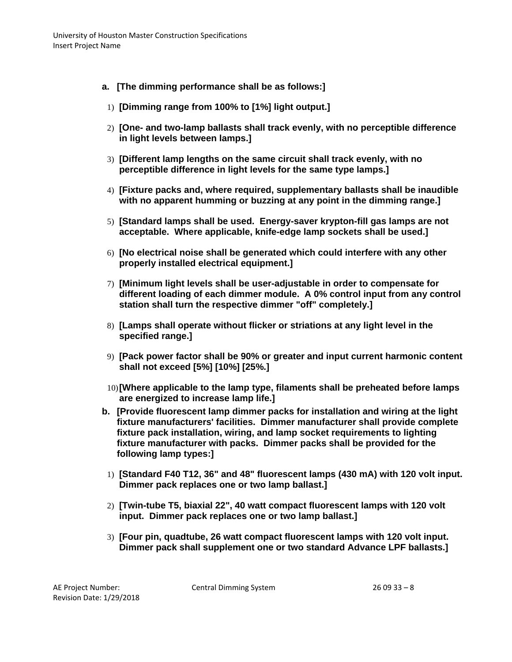- **a. [The dimming performance shall be as follows:]**
	- 1) **[Dimming range from 100% to [1%] light output.]**
- 2) **[One- and two-lamp ballasts shall track evenly, with no perceptible difference in light levels between lamps.]**
- 3) **[Different lamp lengths on the same circuit shall track evenly, with no perceptible difference in light levels for the same type lamps.]**
- 4) **[Fixture packs and, where required, supplementary ballasts shall be inaudible with no apparent humming or buzzing at any point in the dimming range.]**
- 5) **[Standard lamps shall be used. Energy-saver krypton-fill gas lamps are not acceptable. Where applicable, knife-edge lamp sockets shall be used.]**
- 6) **[No electrical noise shall be generated which could interfere with any other properly installed electrical equipment.]**
- 7) **[Minimum light levels shall be user-adjustable in order to compensate for different loading of each dimmer module. A 0% control input from any control station shall turn the respective dimmer "off" completely.]**
- 8) **[Lamps shall operate without flicker or striations at any light level in the specified range.]**
- 9) **[Pack power factor shall be 90% or greater and input current harmonic content shall not exceed [5%] [10%] [25%.]**
- 10)**[Where applicable to the lamp type, filaments shall be preheated before lamps are energized to increase lamp life.]**
- **b. [Provide fluorescent lamp dimmer packs for installation and wiring at the light fixture manufacturers' facilities. Dimmer manufacturer shall provide complete fixture pack installation, wiring, and lamp socket requirements to lighting fixture manufacturer with packs. Dimmer packs shall be provided for the following lamp types:]**
	- 1) **[Standard F40 T12, 36" and 48" fluorescent lamps (430 mA) with 120 volt input. Dimmer pack replaces one or two lamp ballast.]**
	- 2) **[Twin-tube T5, biaxial 22", 40 watt compact fluorescent lamps with 120 volt input. Dimmer pack replaces one or two lamp ballast.]**
	- 3) **[Four pin, quadtube, 26 watt compact fluorescent lamps with 120 volt input. Dimmer pack shall supplement one or two standard Advance LPF ballasts.]**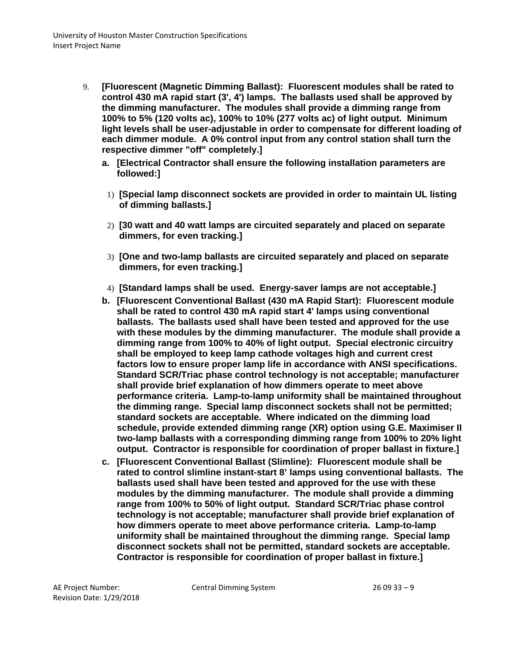- 9. **[Fluorescent (Magnetic Dimming Ballast): Fluorescent modules shall be rated to control 430 mA rapid start (3', 4') lamps. The ballasts used shall be approved by the dimming manufacturer. The modules shall provide a dimming range from 100% to 5% (120 volts ac), 100% to 10% (277 volts ac) of light output. Minimum light levels shall be user-adjustable in order to compensate for different loading of each dimmer module. A 0% control input from any control station shall turn the respective dimmer "off" completely.]**
	- **a. [Electrical Contractor shall ensure the following installation parameters are followed:]**
	- 1) **[Special lamp disconnect sockets are provided in order to maintain UL listing of dimming ballasts.]**
	- 2) **[30 watt and 40 watt lamps are circuited separately and placed on separate dimmers, for even tracking.]**
	- 3) **[One and two-lamp ballasts are circuited separately and placed on separate dimmers, for even tracking.]**
	- 4) **[Standard lamps shall be used. Energy-saver lamps are not acceptable.]**
	- **b. [Fluorescent Conventional Ballast (430 mA Rapid Start): Fluorescent module shall be rated to control 430 mA rapid start 4' lamps using conventional ballasts. The ballasts used shall have been tested and approved for the use with these modules by the dimming manufacturer. The module shall provide a dimming range from 100% to 40% of light output. Special electronic circuitry shall be employed to keep lamp cathode voltages high and current crest factors low to ensure proper lamp life in accordance with ANSI specifications. Standard SCR/Triac phase control technology is not acceptable; manufacturer shall provide brief explanation of how dimmers operate to meet above performance criteria. Lamp-to-lamp uniformity shall be maintained throughout the dimming range. Special lamp disconnect sockets shall not be permitted; standard sockets are acceptable. Where indicated on the dimming load schedule, provide extended dimming range (XR) option using G.E. Maximiser II two-lamp ballasts with a corresponding dimming range from 100% to 20% light output. Contractor is responsible for coordination of proper ballast in fixture.]**
	- **c. [Fluorescent Conventional Ballast (Slimline): Fluorescent module shall be rated to control slimline instant-start 8' lamps using conventional ballasts. The ballasts used shall have been tested and approved for the use with these modules by the dimming manufacturer. The module shall provide a dimming range from 100% to 50% of light output. Standard SCR/Triac phase control technology is not acceptable; manufacturer shall provide brief explanation of how dimmers operate to meet above performance criteria. Lamp-to-lamp uniformity shall be maintained throughout the dimming range. Special lamp disconnect sockets shall not be permitted, standard sockets are acceptable. Contractor is responsible for coordination of proper ballast in fixture.]**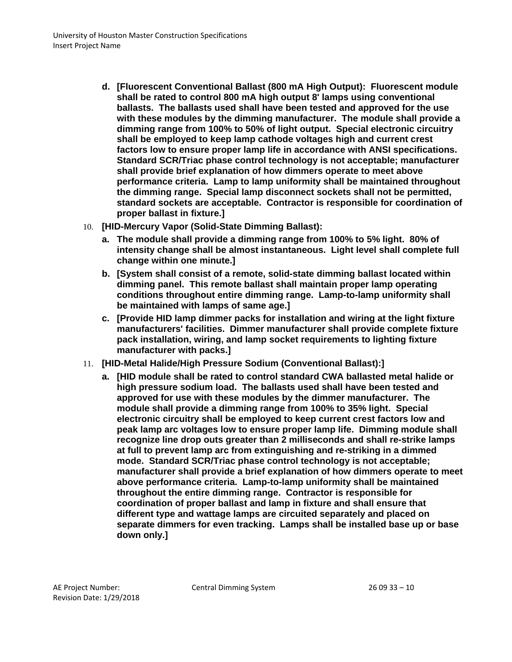- **d. [Fluorescent Conventional Ballast (800 mA High Output): Fluorescent module shall be rated to control 800 mA high output 8' lamps using conventional ballasts. The ballasts used shall have been tested and approved for the use with these modules by the dimming manufacturer. The module shall provide a dimming range from 100% to 50% of light output. Special electronic circuitry shall be employed to keep lamp cathode voltages high and current crest factors low to ensure proper lamp life in accordance with ANSI specifications. Standard SCR/Triac phase control technology is not acceptable; manufacturer shall provide brief explanation of how dimmers operate to meet above performance criteria. Lamp to lamp uniformity shall be maintained throughout the dimming range. Special lamp disconnect sockets shall not be permitted, standard sockets are acceptable. Contractor is responsible for coordination of proper ballast in fixture.]**
- 10. **[HID-Mercury Vapor (Solid-State Dimming Ballast):**
	- **a. The module shall provide a dimming range from 100% to 5% light. 80% of intensity change shall be almost instantaneous. Light level shall complete full change within one minute.]**
	- **b. [System shall consist of a remote, solid-state dimming ballast located within dimming panel. This remote ballast shall maintain proper lamp operating conditions throughout entire dimming range. Lamp-to-lamp uniformity shall be maintained with lamps of same age.]**
	- **c. [Provide HID lamp dimmer packs for installation and wiring at the light fixture manufacturers' facilities. Dimmer manufacturer shall provide complete fixture pack installation, wiring, and lamp socket requirements to lighting fixture manufacturer with packs.]**
- 11. **[HID-Metal Halide/High Pressure Sodium (Conventional Ballast):]**
	- **a. [HID module shall be rated to control standard CWA ballasted metal halide or high pressure sodium load. The ballasts used shall have been tested and approved for use with these modules by the dimmer manufacturer. The module shall provide a dimming range from 100% to 35% light. Special electronic circuitry shall be employed to keep current crest factors low and peak lamp arc voltages low to ensure proper lamp life. Dimming module shall recognize line drop outs greater than 2 milliseconds and shall re-strike lamps at full to prevent lamp arc from extinguishing and re-striking in a dimmed mode. Standard SCR/Triac phase control technology is not acceptable; manufacturer shall provide a brief explanation of how dimmers operate to meet above performance criteria. Lamp-to-lamp uniformity shall be maintained throughout the entire dimming range. Contractor is responsible for coordination of proper ballast and lamp in fixture and shall ensure that different type and wattage lamps are circuited separately and placed on separate dimmers for even tracking. Lamps shall be installed base up or base down only.]**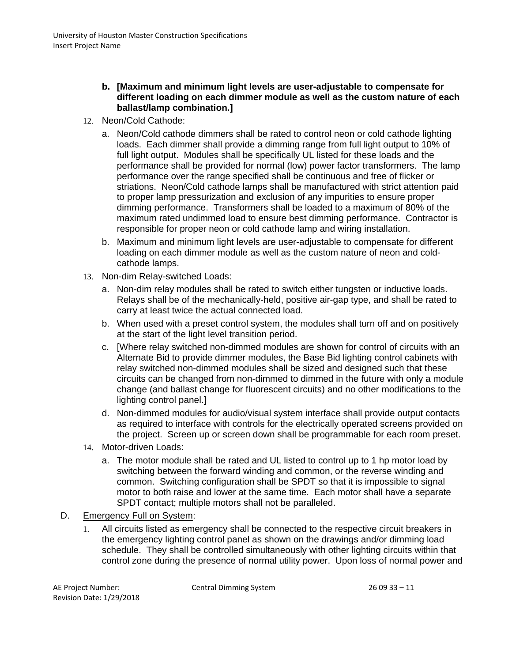#### **b. [Maximum and minimum light levels are user-adjustable to compensate for different loading on each dimmer module as well as the custom nature of each ballast/lamp combination.]**

- 12. Neon/Cold Cathode:
	- a. Neon/Cold cathode dimmers shall be rated to control neon or cold cathode lighting loads. Each dimmer shall provide a dimming range from full light output to 10% of full light output. Modules shall be specifically UL listed for these loads and the performance shall be provided for normal (low) power factor transformers. The lamp performance over the range specified shall be continuous and free of flicker or striations. Neon/Cold cathode lamps shall be manufactured with strict attention paid to proper lamp pressurization and exclusion of any impurities to ensure proper dimming performance. Transformers shall be loaded to a maximum of 80% of the maximum rated undimmed load to ensure best dimming performance. Contractor is responsible for proper neon or cold cathode lamp and wiring installation.
	- b. Maximum and minimum light levels are user-adjustable to compensate for different loading on each dimmer module as well as the custom nature of neon and coldcathode lamps.
- 13. Non-dim Relay-switched Loads:
	- a. Non-dim relay modules shall be rated to switch either tungsten or inductive loads. Relays shall be of the mechanically-held, positive air-gap type, and shall be rated to carry at least twice the actual connected load.
	- b. When used with a preset control system, the modules shall turn off and on positively at the start of the light level transition period.
	- c. [Where relay switched non-dimmed modules are shown for control of circuits with an Alternate Bid to provide dimmer modules, the Base Bid lighting control cabinets with relay switched non-dimmed modules shall be sized and designed such that these circuits can be changed from non-dimmed to dimmed in the future with only a module change (and ballast change for fluorescent circuits) and no other modifications to the lighting control panel.]
	- d. Non-dimmed modules for audio/visual system interface shall provide output contacts as required to interface with controls for the electrically operated screens provided on the project. Screen up or screen down shall be programmable for each room preset.
- 14. Motor-driven Loads:
	- a. The motor module shall be rated and UL listed to control up to 1 hp motor load by switching between the forward winding and common, or the reverse winding and common. Switching configuration shall be SPDT so that it is impossible to signal motor to both raise and lower at the same time. Each motor shall have a separate SPDT contact; multiple motors shall not be paralleled.
- D. Emergency Full on System:
	- 1. All circuits listed as emergency shall be connected to the respective circuit breakers in the emergency lighting control panel as shown on the drawings and/or dimming load schedule. They shall be controlled simultaneously with other lighting circuits within that control zone during the presence of normal utility power. Upon loss of normal power and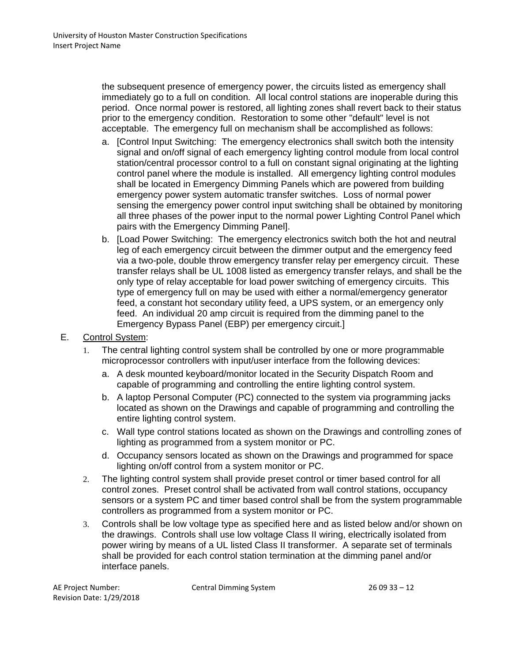the subsequent presence of emergency power, the circuits listed as emergency shall immediately go to a full on condition. All local control stations are inoperable during this period. Once normal power is restored, all lighting zones shall revert back to their status prior to the emergency condition. Restoration to some other "default" level is not acceptable. The emergency full on mechanism shall be accomplished as follows:

- a. [Control Input Switching: The emergency electronics shall switch both the intensity signal and on/off signal of each emergency lighting control module from local control station/central processor control to a full on constant signal originating at the lighting control panel where the module is installed. All emergency lighting control modules shall be located in Emergency Dimming Panels which are powered from building emergency power system automatic transfer switches. Loss of normal power sensing the emergency power control input switching shall be obtained by monitoring all three phases of the power input to the normal power Lighting Control Panel which pairs with the Emergency Dimming Panel].
- b. [Load Power Switching: The emergency electronics switch both the hot and neutral leg of each emergency circuit between the dimmer output and the emergency feed via a two-pole, double throw emergency transfer relay per emergency circuit. These transfer relays shall be UL 1008 listed as emergency transfer relays, and shall be the only type of relay acceptable for load power switching of emergency circuits. This type of emergency full on may be used with either a normal/emergency generator feed, a constant hot secondary utility feed, a UPS system, or an emergency only feed. An individual 20 amp circuit is required from the dimming panel to the Emergency Bypass Panel (EBP) per emergency circuit.]
- E. Control System:
	- 1. The central lighting control system shall be controlled by one or more programmable microprocessor controllers with input/user interface from the following devices:
		- a. A desk mounted keyboard/monitor located in the Security Dispatch Room and capable of programming and controlling the entire lighting control system.
		- b. A laptop Personal Computer (PC) connected to the system via programming jacks located as shown on the Drawings and capable of programming and controlling the entire lighting control system.
		- c. Wall type control stations located as shown on the Drawings and controlling zones of lighting as programmed from a system monitor or PC.
		- d. Occupancy sensors located as shown on the Drawings and programmed for space lighting on/off control from a system monitor or PC.
	- 2. The lighting control system shall provide preset control or timer based control for all control zones. Preset control shall be activated from wall control stations, occupancy sensors or a system PC and timer based control shall be from the system programmable controllers as programmed from a system monitor or PC.
	- 3. Controls shall be low voltage type as specified here and as listed below and/or shown on the drawings. Controls shall use low voltage Class II wiring, electrically isolated from power wiring by means of a UL listed Class II transformer. A separate set of terminals shall be provided for each control station termination at the dimming panel and/or interface panels.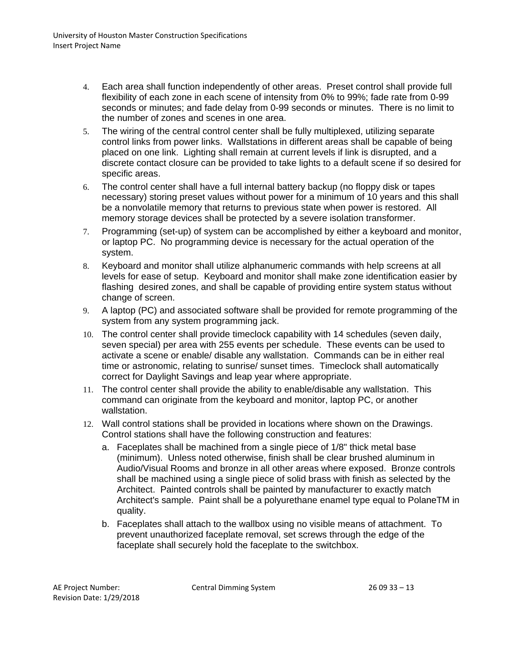- 4. Each area shall function independently of other areas. Preset control shall provide full flexibility of each zone in each scene of intensity from 0% to 99%; fade rate from 0-99 seconds or minutes; and fade delay from 0-99 seconds or minutes. There is no limit to the number of zones and scenes in one area.
- 5. The wiring of the central control center shall be fully multiplexed, utilizing separate control links from power links. Wallstations in different areas shall be capable of being placed on one link. Lighting shall remain at current levels if link is disrupted, and a discrete contact closure can be provided to take lights to a default scene if so desired for specific areas.
- 6. The control center shall have a full internal battery backup (no floppy disk or tapes necessary) storing preset values without power for a minimum of 10 years and this shall be a nonvolatile memory that returns to previous state when power is restored. All memory storage devices shall be protected by a severe isolation transformer.
- 7. Programming (set-up) of system can be accomplished by either a keyboard and monitor, or laptop PC. No programming device is necessary for the actual operation of the system.
- 8. Keyboard and monitor shall utilize alphanumeric commands with help screens at all levels for ease of setup. Keyboard and monitor shall make zone identification easier by flashing desired zones, and shall be capable of providing entire system status without change of screen.
- 9. A laptop (PC) and associated software shall be provided for remote programming of the system from any system programming jack.
- 10. The control center shall provide timeclock capability with 14 schedules (seven daily, seven special) per area with 255 events per schedule. These events can be used to activate a scene or enable/ disable any wallstation. Commands can be in either real time or astronomic, relating to sunrise/ sunset times. Timeclock shall automatically correct for Daylight Savings and leap year where appropriate.
- 11. The control center shall provide the ability to enable/disable any wallstation. This command can originate from the keyboard and monitor, laptop PC, or another wallstation.
- 12. Wall control stations shall be provided in locations where shown on the Drawings. Control stations shall have the following construction and features:
	- a. Faceplates shall be machined from a single piece of 1/8" thick metal base (minimum). Unless noted otherwise, finish shall be clear brushed aluminum in Audio/Visual Rooms and bronze in all other areas where exposed. Bronze controls shall be machined using a single piece of solid brass with finish as selected by the Architect. Painted controls shall be painted by manufacturer to exactly match Architect's sample. Paint shall be a polyurethane enamel type equal to PolaneTM in quality.
	- b. Faceplates shall attach to the wallbox using no visible means of attachment. To prevent unauthorized faceplate removal, set screws through the edge of the faceplate shall securely hold the faceplate to the switchbox.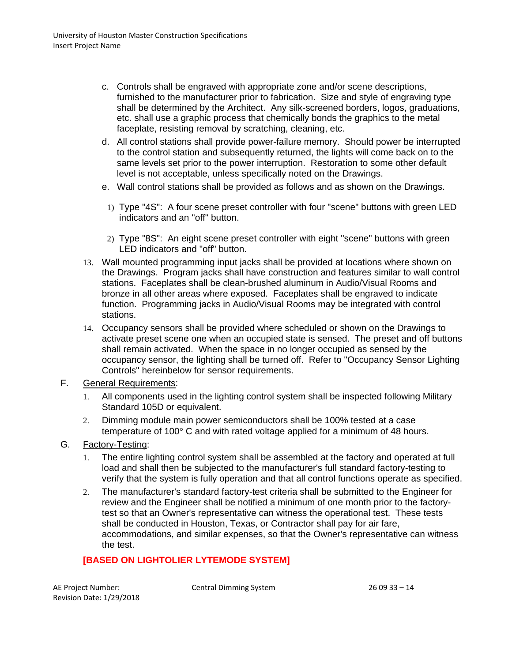- c. Controls shall be engraved with appropriate zone and/or scene descriptions, furnished to the manufacturer prior to fabrication. Size and style of engraving type shall be determined by the Architect. Any silk-screened borders, logos, graduations, etc. shall use a graphic process that chemically bonds the graphics to the metal faceplate, resisting removal by scratching, cleaning, etc.
- d. All control stations shall provide power-failure memory. Should power be interrupted to the control station and subsequently returned, the lights will come back on to the same levels set prior to the power interruption. Restoration to some other default level is not acceptable, unless specifically noted on the Drawings.
- e. Wall control stations shall be provided as follows and as shown on the Drawings.
	- 1) Type "4S": A four scene preset controller with four "scene" buttons with green LED indicators and an "off" button.
- 2) Type "8S": An eight scene preset controller with eight "scene" buttons with green LED indicators and "off" button.
- 13. Wall mounted programming input jacks shall be provided at locations where shown on the Drawings. Program jacks shall have construction and features similar to wall control stations. Faceplates shall be clean-brushed aluminum in Audio/Visual Rooms and bronze in all other areas where exposed. Faceplates shall be engraved to indicate function. Programming jacks in Audio/Visual Rooms may be integrated with control stations.
- 14. Occupancy sensors shall be provided where scheduled or shown on the Drawings to activate preset scene one when an occupied state is sensed. The preset and off buttons shall remain activated. When the space in no longer occupied as sensed by the occupancy sensor, the lighting shall be turned off. Refer to "Occupancy Sensor Lighting Controls" hereinbelow for sensor requirements.
- F. General Requirements:
	- 1. All components used in the lighting control system shall be inspected following Military Standard 105D or equivalent.
	- 2. Dimming module main power semiconductors shall be 100% tested at a case temperature of 100° C and with rated voltage applied for a minimum of 48 hours.
- G. Factory-Testing:
	- 1. The entire lighting control system shall be assembled at the factory and operated at full load and shall then be subjected to the manufacturer's full standard factory-testing to verify that the system is fully operation and that all control functions operate as specified.
	- 2. The manufacturer's standard factory-test criteria shall be submitted to the Engineer for review and the Engineer shall be notified a minimum of one month prior to the factorytest so that an Owner's representative can witness the operational test. These tests shall be conducted in Houston, Texas, or Contractor shall pay for air fare, accommodations, and similar expenses, so that the Owner's representative can witness the test.

# **[BASED ON LIGHTOLIER LYTEMODE SYSTEM]**

AE Project Number: Central Dimming System 26 09 33 – 14 Revision Date: 1/29/2018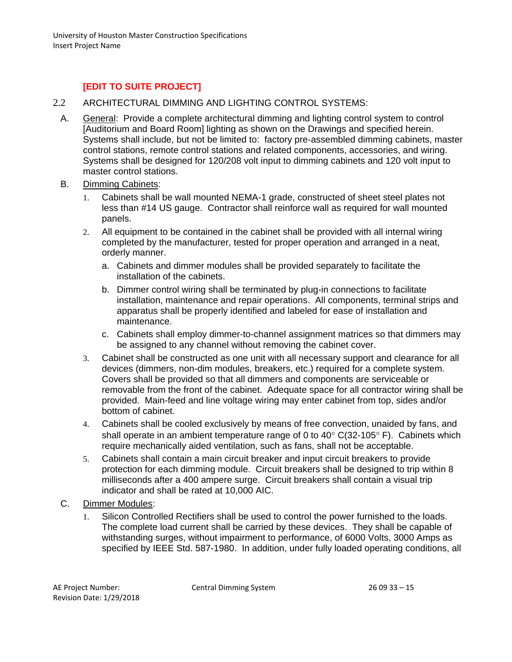# **[EDIT TO SUITE PROJECT]**

- 2.2 ARCHITECTURAL DIMMING AND LIGHTING CONTROL SYSTEMS:
	- A. General: Provide a complete architectural dimming and lighting control system to control [Auditorium and Board Room] lighting as shown on the Drawings and specified herein. Systems shall include, but not be limited to: factory pre-assembled dimming cabinets, master control stations, remote control stations and related components, accessories, and wiring. Systems shall be designed for 120/208 volt input to dimming cabinets and 120 volt input to master control stations.
	- B. Dimming Cabinets:
		- 1. Cabinets shall be wall mounted NEMA-1 grade, constructed of sheet steel plates not less than #14 US gauge. Contractor shall reinforce wall as required for wall mounted panels.
		- 2. All equipment to be contained in the cabinet shall be provided with all internal wiring completed by the manufacturer, tested for proper operation and arranged in a neat, orderly manner.
			- a. Cabinets and dimmer modules shall be provided separately to facilitate the installation of the cabinets.
			- b. Dimmer control wiring shall be terminated by plug-in connections to facilitate installation, maintenance and repair operations. All components, terminal strips and apparatus shall be properly identified and labeled for ease of installation and maintenance.
			- c. Cabinets shall employ dimmer-to-channel assignment matrices so that dimmers may be assigned to any channel without removing the cabinet cover.
		- 3. Cabinet shall be constructed as one unit with all necessary support and clearance for all devices (dimmers, non-dim modules, breakers, etc.) required for a complete system. Covers shall be provided so that all dimmers and components are serviceable or removable from the front of the cabinet. Adequate space for all contractor wiring shall be provided. Main-feed and line voltage wiring may enter cabinet from top, sides and/or bottom of cabinet.
		- 4. Cabinets shall be cooled exclusively by means of free convection, unaided by fans, and shall operate in an ambient temperature range of 0 to  $40^{\circ}$  C(32-105° F). Cabinets which require mechanically aided ventilation, such as fans, shall not be acceptable.
		- 5. Cabinets shall contain a main circuit breaker and input circuit breakers to provide protection for each dimming module. Circuit breakers shall be designed to trip within 8 milliseconds after a 400 ampere surge. Circuit breakers shall contain a visual trip indicator and shall be rated at 10,000 AIC.
	- C. Dimmer Modules:
		- 1. Silicon Controlled Rectifiers shall be used to control the power furnished to the loads. The complete load current shall be carried by these devices. They shall be capable of withstanding surges, without impairment to performance, of 6000 Volts, 3000 Amps as specified by IEEE Std. 587-1980. In addition, under fully loaded operating conditions, all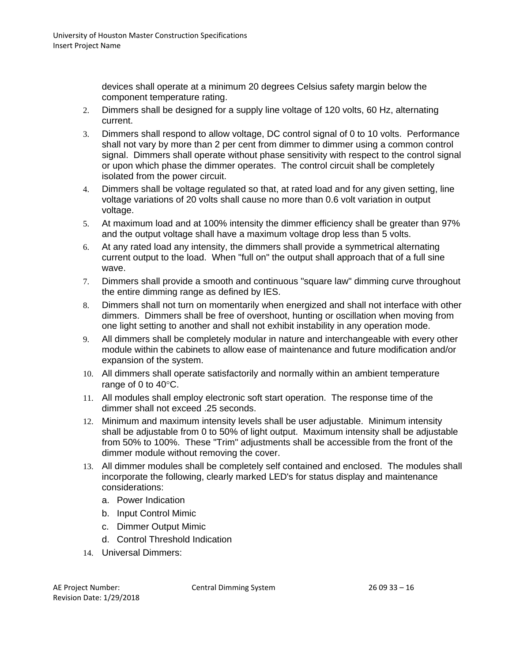devices shall operate at a minimum 20 degrees Celsius safety margin below the component temperature rating.

- 2. Dimmers shall be designed for a supply line voltage of 120 volts, 60 Hz, alternating current.
- 3. Dimmers shall respond to allow voltage, DC control signal of 0 to 10 volts. Performance shall not vary by more than 2 per cent from dimmer to dimmer using a common control signal. Dimmers shall operate without phase sensitivity with respect to the control signal or upon which phase the dimmer operates. The control circuit shall be completely isolated from the power circuit.
- 4. Dimmers shall be voltage regulated so that, at rated load and for any given setting, line voltage variations of 20 volts shall cause no more than 0.6 volt variation in output voltage.
- 5. At maximum load and at 100% intensity the dimmer efficiency shall be greater than 97% and the output voltage shall have a maximum voltage drop less than 5 volts.
- 6. At any rated load any intensity, the dimmers shall provide a symmetrical alternating current output to the load. When "full on" the output shall approach that of a full sine wave.
- 7. Dimmers shall provide a smooth and continuous "square law" dimming curve throughout the entire dimming range as defined by IES.
- 8. Dimmers shall not turn on momentarily when energized and shall not interface with other dimmers. Dimmers shall be free of overshoot, hunting or oscillation when moving from one light setting to another and shall not exhibit instability in any operation mode.
- 9. All dimmers shall be completely modular in nature and interchangeable with every other module within the cabinets to allow ease of maintenance and future modification and/or expansion of the system.
- 10. All dimmers shall operate satisfactorily and normally within an ambient temperature range of 0 to 40°C.
- 11. All modules shall employ electronic soft start operation. The response time of the dimmer shall not exceed .25 seconds.
- 12. Minimum and maximum intensity levels shall be user adjustable. Minimum intensity shall be adjustable from 0 to 50% of light output. Maximum intensity shall be adjustable from 50% to 100%. These "Trim" adjustments shall be accessible from the front of the dimmer module without removing the cover.
- 13. All dimmer modules shall be completely self contained and enclosed. The modules shall incorporate the following, clearly marked LED's for status display and maintenance considerations:
	- a. Power Indication
	- b. Input Control Mimic
	- c. Dimmer Output Mimic
	- d. Control Threshold Indication
- 14. Universal Dimmers: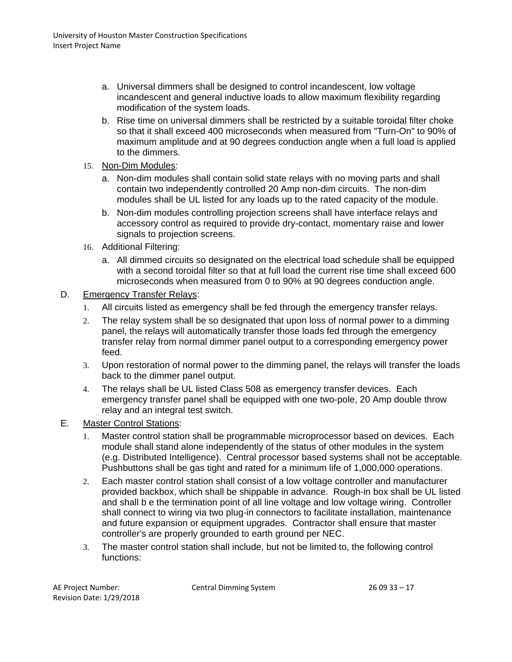- a. Universal dimmers shall be designed to control incandescent, low voltage incandescent and general inductive loads to allow maximum flexibility regarding modification of the system loads.
- b. Rise time on universal dimmers shall be restricted by a suitable toroidal filter choke so that it shall exceed 400 microseconds when measured from "Turn-On" to 90% of maximum amplitude and at 90 degrees conduction angle when a full load is applied to the dimmers.
- 15. Non-Dim Modules:
	- a. Non-dim modules shall contain solid state relays with no moving parts and shall contain two independently controlled 20 Amp non-dim circuits. The non-dim modules shall be UL listed for any loads up to the rated capacity of the module.
	- b. Non-dim modules controlling projection screens shall have interface relays and accessory control as required to provide dry-contact, momentary raise and lower signals to projection screens.
- 16. Additional Filtering:
	- a. All dimmed circuits so designated on the electrical load schedule shall be equipped with a second toroidal filter so that at full load the current rise time shall exceed 600 microseconds when measured from 0 to 90% at 90 degrees conduction angle.
- D. Emergency Transfer Relays:
	- 1. All circuits listed as emergency shall be fed through the emergency transfer relays.
	- 2. The relay system shall be so designated that upon loss of normal power to a dimming panel, the relays will automatically transfer those loads fed through the emergency transfer relay from normal dimmer panel output to a corresponding emergency power feed.
	- 3. Upon restoration of normal power to the dimming panel, the relays will transfer the loads back to the dimmer panel output.
	- 4. The relays shall be UL listed Class 508 as emergency transfer devices. Each emergency transfer panel shall be equipped with one two-pole, 20 Amp double throw relay and an integral test switch.
- E. Master Control Stations:
	- 1. Master control station shall be programmable microprocessor based on devices. Each module shall stand alone independently of the status of other modules in the system (e.g. Distributed Intelligence). Central processor based systems shall not be acceptable. Pushbuttons shall be gas tight and rated for a minimum life of 1,000,000 operations.
	- 2. Each master control station shall consist of a low voltage controller and manufacturer provided backbox, which shall be shippable in advance. Rough-in box shall be UL listed and shall b e the termination point of all line voltage and low voltage wiring. Controller shall connect to wiring via two plug-in connectors to facilitate installation, maintenance and future expansion or equipment upgrades. Contractor shall ensure that master controller's are properly grounded to earth ground per NEC.
	- 3. The master control station shall include, but not be limited to, the following control functions: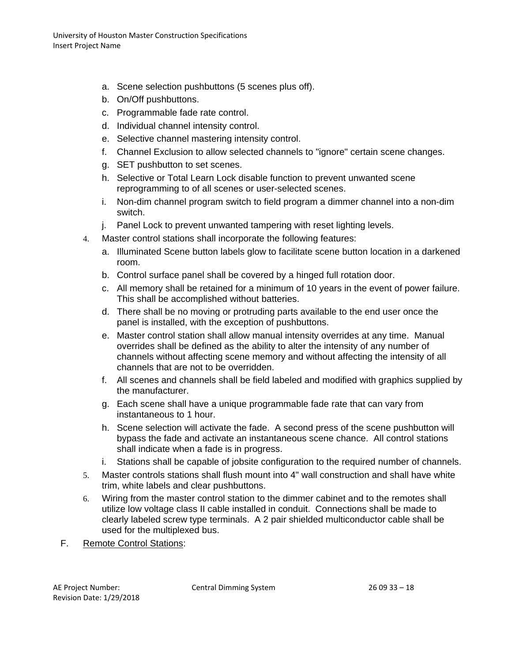- a. Scene selection pushbuttons (5 scenes plus off).
- b. On/Off pushbuttons.
- c. Programmable fade rate control.
- d. Individual channel intensity control.
- e. Selective channel mastering intensity control.
- f. Channel Exclusion to allow selected channels to "ignore" certain scene changes.
- g. SET pushbutton to set scenes.
- h. Selective or Total Learn Lock disable function to prevent unwanted scene reprogramming to of all scenes or user-selected scenes.
- i. Non-dim channel program switch to field program a dimmer channel into a non-dim switch.
- j. Panel Lock to prevent unwanted tampering with reset lighting levels.
- 4. Master control stations shall incorporate the following features:
	- a. Illuminated Scene button labels glow to facilitate scene button location in a darkened room.
	- b. Control surface panel shall be covered by a hinged full rotation door.
	- c. All memory shall be retained for a minimum of 10 years in the event of power failure. This shall be accomplished without batteries.
	- d. There shall be no moving or protruding parts available to the end user once the panel is installed, with the exception of pushbuttons.
	- e. Master control station shall allow manual intensity overrides at any time. Manual overrides shall be defined as the ability to alter the intensity of any number of channels without affecting scene memory and without affecting the intensity of all channels that are not to be overridden.
	- f. All scenes and channels shall be field labeled and modified with graphics supplied by the manufacturer.
	- g. Each scene shall have a unique programmable fade rate that can vary from instantaneous to 1 hour.
	- h. Scene selection will activate the fade. A second press of the scene pushbutton will bypass the fade and activate an instantaneous scene chance. All control stations shall indicate when a fade is in progress.
	- i. Stations shall be capable of jobsite configuration to the required number of channels.
- 5. Master controls stations shall flush mount into 4" wall construction and shall have white trim, white labels and clear pushbuttons.
- 6. Wiring from the master control station to the dimmer cabinet and to the remotes shall utilize low voltage class II cable installed in conduit. Connections shall be made to clearly labeled screw type terminals. A 2 pair shielded multiconductor cable shall be used for the multiplexed bus.
- F. Remote Control Stations: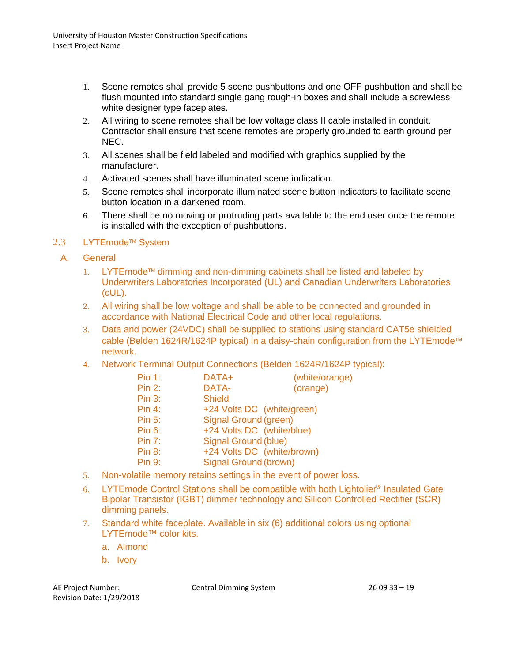- 1. Scene remotes shall provide 5 scene pushbuttons and one OFF pushbutton and shall be flush mounted into standard single gang rough-in boxes and shall include a screwless white designer type faceplates.
- 2. All wiring to scene remotes shall be low voltage class II cable installed in conduit. Contractor shall ensure that scene remotes are properly grounded to earth ground per NEC.
- 3. All scenes shall be field labeled and modified with graphics supplied by the manufacturer.
- 4. Activated scenes shall have illuminated scene indication.
- 5. Scene remotes shall incorporate illuminated scene button indicators to facilitate scene button location in a darkened room.
- 6. There shall be no moving or protruding parts available to the end user once the remote is installed with the exception of pushbuttons.

## 2.3 LYTEmode<sup>™</sup> System

- A. General
	- 1. LYTEmode<sup> $\text{TM}$ </sup> dimming and non-dimming cabinets shall be listed and labeled by Underwriters Laboratories Incorporated (UL) and Canadian Underwriters Laboratories (cUL).
	- 2. All wiring shall be low voltage and shall be able to be connected and grounded in accordance with National Electrical Code and other local regulations.
	- 3. Data and power (24VDC) shall be supplied to stations using standard CAT5e shielded cable (Belden 1624R/1624P typical) in a daisy-chain configuration from the LYTEmode<sup>™</sup> network.
	- 4. Network Terminal Output Connections (Belden 1624R/1624P typical):

| Pin 1:        | DATA+                      | (white/orange) |
|---------------|----------------------------|----------------|
| Pin 2:        | DATA-                      | (orange)       |
| <b>Pin 3:</b> | <b>Shield</b>              |                |
| Pin 4:        | +24 Volts DC (white/green) |                |
| <b>Pin 5:</b> | Signal Ground (green)      |                |
| <b>Pin 6:</b> | +24 Volts DC (white/blue)  |                |
| Pin 7:        | Signal Ground (blue)       |                |
| <b>Pin 8:</b> | +24 Volts DC (white/brown) |                |
| <b>Pin 9:</b> | Signal Ground (brown)      |                |

- 5. Non-volatile memory retains settings in the event of power loss.
- 6. LYTEmode Control Stations shall be compatible with both Lightolier<sup>®</sup> Insulated Gate Bipolar Transistor (IGBT) dimmer technology and Silicon Controlled Rectifier (SCR) dimming panels.
- 7. Standard white faceplate. Available in six (6) additional colors using optional LYTEmode™ color kits.
	- a. Almond
	- b. Ivory

AE Project Number: Central Dimming System 26 09 33 – 19 Revision Date: 1/29/2018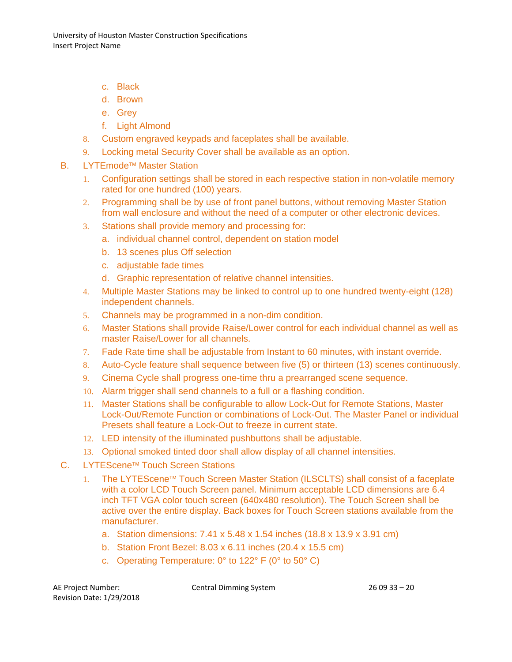University of Houston Master Construction Specifications Insert Project Name

- c. Black
- d. Brown
- e. Grey
- f. Light Almond
- 8. Custom engraved keypads and faceplates shall be available.
- 9. Locking metal Security Cover shall be available as an option.
- B. LYTEmode<sup>™</sup> Master Station
	- 1. Configuration settings shall be stored in each respective station in non-volatile memory rated for one hundred (100) years.
	- 2. Programming shall be by use of front panel buttons, without removing Master Station from wall enclosure and without the need of a computer or other electronic devices.
	- 3. Stations shall provide memory and processing for:
		- a. individual channel control, dependent on station model
		- b. 13 scenes plus Off selection
		- c. adjustable fade times
		- d. Graphic representation of relative channel intensities.
	- 4. Multiple Master Stations may be linked to control up to one hundred twenty-eight (128) independent channels.
	- 5. Channels may be programmed in a non-dim condition.
	- 6. Master Stations shall provide Raise/Lower control for each individual channel as well as master Raise/Lower for all channels.
	- 7. Fade Rate time shall be adjustable from Instant to 60 minutes, with instant override.
	- 8. Auto-Cycle feature shall sequence between five (5) or thirteen (13) scenes continuously.
	- 9. Cinema Cycle shall progress one-time thru a prearranged scene sequence.
	- 10. Alarm trigger shall send channels to a full or a flashing condition.
	- 11. Master Stations shall be configurable to allow Lock-Out for Remote Stations, Master Lock-Out/Remote Function or combinations of Lock-Out. The Master Panel or individual Presets shall feature a Lock-Out to freeze in current state.
	- 12. LED intensity of the illuminated pushbuttons shall be adjustable.
	- 13. Optional smoked tinted door shall allow display of all channel intensities.
- C. LYTEScene<sup>™</sup> Touch Screen Stations
	- 1. The LYTEScene<sup>™</sup> Touch Screen Master Station (ILSCLTS) shall consist of a faceplate with a color LCD Touch Screen panel. Minimum acceptable LCD dimensions are 6.4 inch TFT VGA color touch screen (640x480 resolution). The Touch Screen shall be active over the entire display. Back boxes for Touch Screen stations available from the manufacturer.
		- a. Station dimensions: 7.41 x 5.48 x 1.54 inches (18.8 x 13.9 x 3.91 cm)
		- b. Station Front Bezel: 8.03 x 6.11 inches (20.4 x 15.5 cm)
		- c. Operating Temperature: 0° to 122° F (0° to 50° C)

AE Project Number: Central Dimming System 26 09 33 – 20 Revision Date: 1/29/2018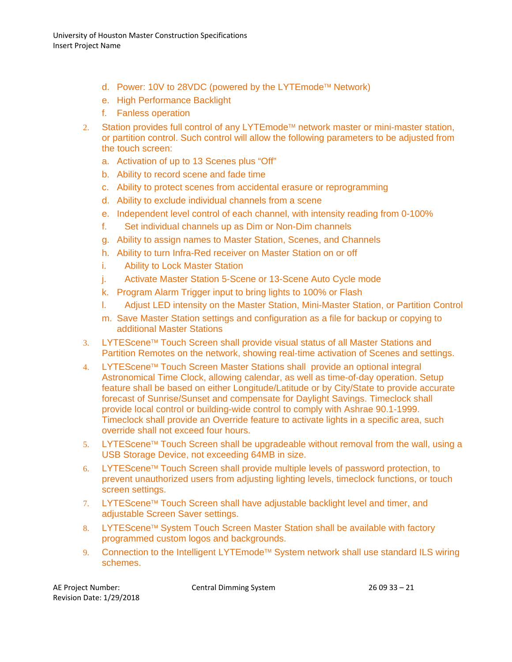- d. Power: 10V to 28VDC (powered by the LYTEmode™ Network)
- e. High Performance Backlight
- f. Fanless operation
- 2. Station provides full control of any LYTEmode<sup>™</sup> network master or mini-master station, or partition control. Such control will allow the following parameters to be adjusted from the touch screen:
	- a. Activation of up to 13 Scenes plus "Off"
	- b. Ability to record scene and fade time
	- c. Ability to protect scenes from accidental erasure or reprogramming
	- d. Ability to exclude individual channels from a scene
	- e. Independent level control of each channel, with intensity reading from 0-100%
	- f. Set individual channels up as Dim or Non-Dim channels
	- g. Ability to assign names to Master Station, Scenes, and Channels
	- h. Ability to turn Infra-Red receiver on Master Station on or off
	- i. Ability to Lock Master Station
	- j. Activate Master Station 5-Scene or 13-Scene Auto Cycle mode
	- k. Program Alarm Trigger input to bring lights to 100% or Flash
	- l. Adjust LED intensity on the Master Station, Mini-Master Station, or Partition Control
	- m. Save Master Station settings and configuration as a file for backup or copying to additional Master Stations
- 3. LYTEScene™ Touch Screen shall provide visual status of all Master Stations and Partition Remotes on the network, showing real-time activation of Scenes and settings.
- 4. LYTEScene™ Touch Screen Master Stations shall provide an optional integral Astronomical Time Clock, allowing calendar, as well as time-of-day operation. Setup feature shall be based on either Longitude/Latitude or by City/State to provide accurate forecast of Sunrise/Sunset and compensate for Daylight Savings. Timeclock shall provide local control or building-wide control to comply with Ashrae 90.1-1999. Timeclock shall provide an Override feature to activate lights in a specific area, such override shall not exceed four hours.
- 5. LYTEScene<sup>™</sup> Touch Screen shall be upgradeable without removal from the wall, using a USB Storage Device, not exceeding 64MB in size.
- 6. LYTEScene™ Touch Screen shall provide multiple levels of password protection, to prevent unauthorized users from adjusting lighting levels, timeclock functions, or touch screen settings.
- 7. LYTEScene<sup>™</sup> Touch Screen shall have adjustable backlight level and timer, and adjustable Screen Saver settings.
- 8. LYTEScene™ System Touch Screen Master Station shall be available with factory programmed custom logos and backgrounds.
- 9. Connection to the Intelligent LYTEmode™ System network shall use standard ILS wiring schemes.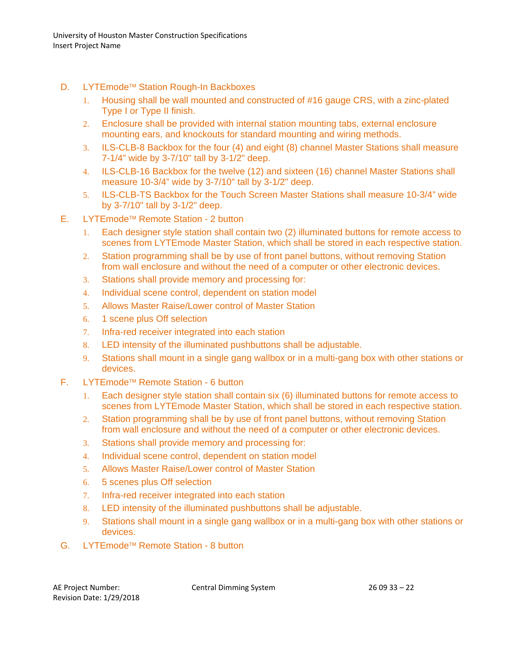- D. LYTEmode<sup>™</sup> Station Rough-In Backboxes
	- 1. Housing shall be wall mounted and constructed of #16 gauge CRS, with a zinc-plated Type I or Type II finish.
	- 2. Enclosure shall be provided with internal station mounting tabs, external enclosure mounting ears, and knockouts for standard mounting and wiring methods.
	- 3. ILS-CLB-8 Backbox for the four (4) and eight (8) channel Master Stations shall measure 7-1/4" wide by 3-7/10" tall by 3-1/2" deep.
	- 4. ILS-CLB-16 Backbox for the twelve (12) and sixteen (16) channel Master Stations shall measure 10-3/4" wide by 3-7/10" tall by 3-1/2" deep.
	- 5. ILS-CLB-TS Backbox for the Touch Screen Master Stations shall measure 10-3/4" wide by 3-7/10" tall by 3-1/2" deep.
- E. LYTEmode™ Remote Station 2 button
	- 1. Each designer style station shall contain two (2) illuminated buttons for remote access to scenes from LYTEmode Master Station, which shall be stored in each respective station.
	- 2. Station programming shall be by use of front panel buttons, without removing Station from wall enclosure and without the need of a computer or other electronic devices.
	- 3. Stations shall provide memory and processing for:
	- 4. Individual scene control, dependent on station model
	- 5. Allows Master Raise/Lower control of Master Station
	- 6. 1 scene plus Off selection
	- 7. Infra-red receiver integrated into each station
	- 8. LED intensity of the illuminated pushbuttons shall be adjustable.
	- 9. Stations shall mount in a single gang wallbox or in a multi-gang box with other stations or devices.
- F. LYTEmode<sup>™</sup> Remote Station 6 button
	- 1. Each designer style station shall contain six (6) illuminated buttons for remote access to scenes from LYTEmode Master Station, which shall be stored in each respective station.
	- 2. Station programming shall be by use of front panel buttons, without removing Station from wall enclosure and without the need of a computer or other electronic devices.
	- 3. Stations shall provide memory and processing for:
	- 4. Individual scene control, dependent on station model
	- 5. Allows Master Raise/Lower control of Master Station
	- 6. 5 scenes plus Off selection
	- 7. Infra-red receiver integrated into each station
	- 8. LED intensity of the illuminated pushbuttons shall be adjustable.
	- 9. Stations shall mount in a single gang wallbox or in a multi-gang box with other stations or devices.
- G. LYTEmode™ Remote Station 8 button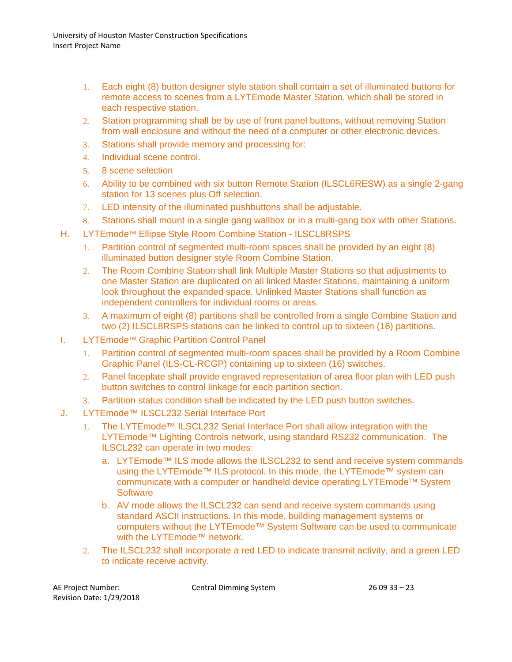- 1. Each eight (8) button designer style station shall contain a set of illuminated buttons for remote access to scenes from a LYTEmode Master Station, which shall be stored in each respective station.
- 2. Station programming shall be by use of front panel buttons, without removing Station from wall enclosure and without the need of a computer or other electronic devices.
- 3. Stations shall provide memory and processing for:
- 4. Individual scene control.
- 5. 8 scene selection
- 6. Ability to be combined with six button Remote Station (ILSCL6RESW) as a single 2-gang station for 13 scenes plus Off selection.
- 7. LED intensity of the illuminated pushbuttons shall be adjustable.
- 8. Stations shall mount in a single gang wallbox or in a multi-gang box with other Stations.
- H. LYTEmode<sup>™</sup> Ellipse Style Room Combine Station ILSCL8RSPS
	- 1. Partition control of segmented multi-room spaces shall be provided by an eight (8) illuminated button designer style Room Combine Station.
	- 2. The Room Combine Station shall link Multiple Master Stations so that adjustments to one Master Station are duplicated on all linked Master Stations, maintaining a uniform look throughout the expanded space. Unlinked Master Stations shall function as independent controllers for individual rooms or areas.
	- 3. A maximum of eight (8) partitions shall be controlled from a single Combine Station and two (2) ILSCL8RSPS stations can be linked to control up to sixteen (16) partitions.
- I. LYTEmode<sup>™</sup> Graphic Partition Control Panel
	- 1. Partition control of segmented multi-room spaces shall be provided by a Room Combine Graphic Panel (ILS-CL-RCGP) containing up to sixteen (16) switches.
	- 2. Panel faceplate shall provide engraved representation of area floor plan with LED push button switches to control linkage for each partition section.
	- 3. Partition status condition shall be indicated by the LED push button switches.
- J. LYTEmode™ ILSCL232 Serial Interface Port
	- 1. The LYTEmode™ ILSCL232 Serial Interface Port shall allow integration with the LYTEmode™ Lighting Controls network, using standard RS232 communication. The ILSCL232 can operate in two modes:
		- a. LYTEmode™ ILS mode allows the ILSCL232 to send and receive system commands using the LYTEmode<sup>™</sup> ILS protocol. In this mode, the LYTEmode<sup>™</sup> system can communicate with a computer or handheld device operating LYTEmode™ System **Software**
		- b. AV mode allows the ILSCL232 can send and receive system commands using standard ASCII instructions. In this mode, building management systems or computers without the LYTEmode™ System Software can be used to communicate with the LYTEmode™ network.
	- 2. The ILSCL232 shall incorporate a red LED to indicate transmit activity, and a green LED to indicate receive activity.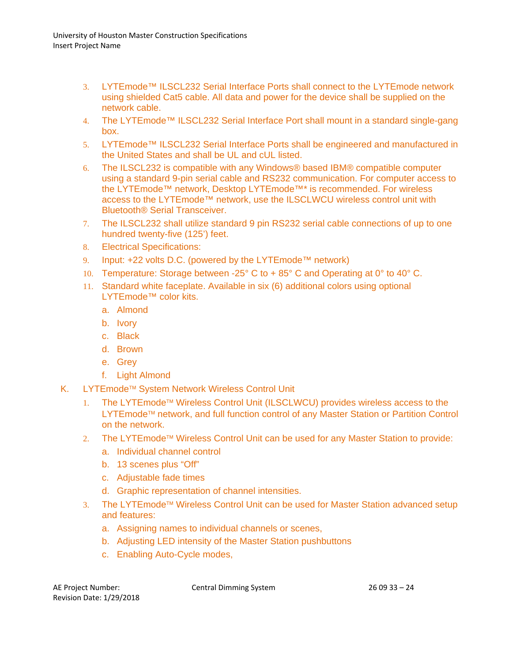- 3. LYTEmode™ ILSCL232 Serial Interface Ports shall connect to the LYTEmode network using shielded Cat5 cable. All data and power for the device shall be supplied on the network cable.
- 4. The LYTEmode™ ILSCL232 Serial Interface Port shall mount in a standard single-gang box.
- 5. LYTEmode™ ILSCL232 Serial Interface Ports shall be engineered and manufactured in the United States and shall be UL and cUL listed.
- 6. The ILSCL232 is compatible with any Windows® based IBM® compatible computer using a standard 9-pin serial cable and RS232 communication. For computer access to the LYTEmode™ network, Desktop LYTEmode™\* is recommended. For wireless access to the LYTEmode™ network, use the ILSCLWCU wireless control unit with Bluetooth® Serial Transceiver.
- 7. The ILSCL232 shall utilize standard 9 pin RS232 serial cable connections of up to one hundred twenty-five (125') feet.
- 8. Electrical Specifications:
- 9. Input: +22 volts D.C. (powered by the LYTEmode<sup>™</sup> network)
- 10. Temperature: Storage between -25° C to + 85° C and Operating at 0° to 40° C.
- 11. Standard white faceplate. Available in six (6) additional colors using optional LYTEmode™ color kits.
	- a. Almond
	- b. Ivory
	- c. Black
	- d. Brown
	- e. Grey
	- f. Light Almond
- K. LYTEmode™ System Network Wireless Control Unit
	- 1. The LYTEmode<sup>™</sup> Wireless Control Unit (ILSCLWCU) provides wireless access to the LYTEmode<sup>™</sup> network, and full function control of any Master Station or Partition Control on the network.
	- 2. The LYTEmode<sup>™</sup> Wireless Control Unit can be used for any Master Station to provide:
		- a. Individual channel control
		- b. 13 scenes plus "Off"
		- c. Adjustable fade times
		- d. Graphic representation of channel intensities.
	- 3. The LYTEmode<sup>™</sup> Wireless Control Unit can be used for Master Station advanced setup and features:
		- a. Assigning names to individual channels or scenes,
		- b. Adjusting LED intensity of the Master Station pushbuttons
		- c. Enabling Auto-Cycle modes,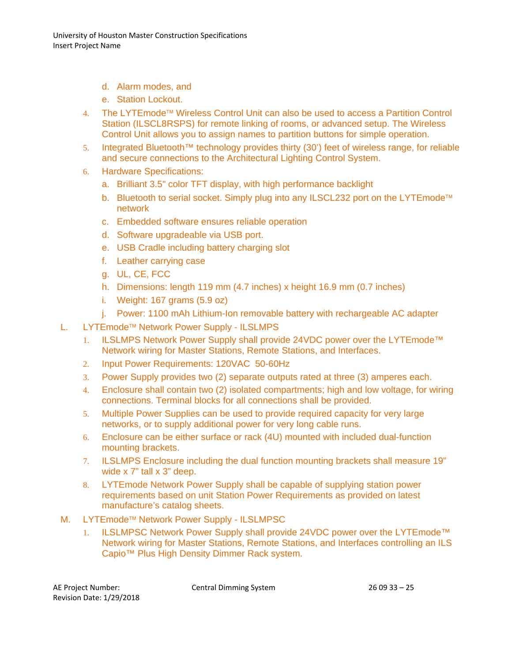- d. Alarm modes, and
- e. Station Lockout.
- 4. The LYTEmode<sup>™</sup> Wireless Control Unit can also be used to access a Partition Control Station (ILSCL8RSPS) for remote linking of rooms, or advanced setup. The Wireless Control Unit allows you to assign names to partition buttons for simple operation.
- 5. Integrated Bluetooth™ technology provides thirty (30') feet of wireless range, for reliable and secure connections to the Architectural Lighting Control System.
- 6. Hardware Specifications:
	- a. Brilliant 3.5" color TFT display, with high performance backlight
	- b. Bluetooth to serial socket. Simply plug into any ILSCL232 port on the LYTEmode<sup>™</sup> network
	- c. Embedded software ensures reliable operation
	- d. Software upgradeable via USB port.
	- e. USB Cradle including battery charging slot
	- f. Leather carrying case
	- g. UL, CE, FCC
	- h. Dimensions: length 119 mm (4.7 inches) x height 16.9 mm (0.7 inches)
	- i. Weight: 167 grams (5.9 oz)
	- j. Power: 1100 mAh Lithium-Ion removable battery with rechargeable AC adapter
- L. LYTEmode™ Network Power Supply ILSLMPS
	- 1. ILSLMPS Network Power Supply shall provide 24VDC power over the LYTEmode<sup>™</sup> Network wiring for Master Stations, Remote Stations, and Interfaces.
	- 2. Input Power Requirements: 120VAC 50-60Hz
	- 3. Power Supply provides two (2) separate outputs rated at three (3) amperes each.
	- 4. Enclosure shall contain two (2) isolated compartments; high and low voltage, for wiring connections. Terminal blocks for all connections shall be provided.
	- 5. Multiple Power Supplies can be used to provide required capacity for very large networks, or to supply additional power for very long cable runs.
	- 6. Enclosure can be either surface or rack (4U) mounted with included dual-function mounting brackets.
	- 7. ILSLMPS Enclosure including the dual function mounting brackets shall measure 19" wide x 7" tall x 3" deep.
	- 8. LYTEmode Network Power Supply shall be capable of supplying station power requirements based on unit Station Power Requirements as provided on latest manufacture's catalog sheets.
- M. LYTEmode™ Network Power Supply ILSLMPSC
	- 1. ILSLMPSC Network Power Supply shall provide 24VDC power over the LYTEmode™ Network wiring for Master Stations, Remote Stations, and Interfaces controlling an ILS Capio™ Plus High Density Dimmer Rack system.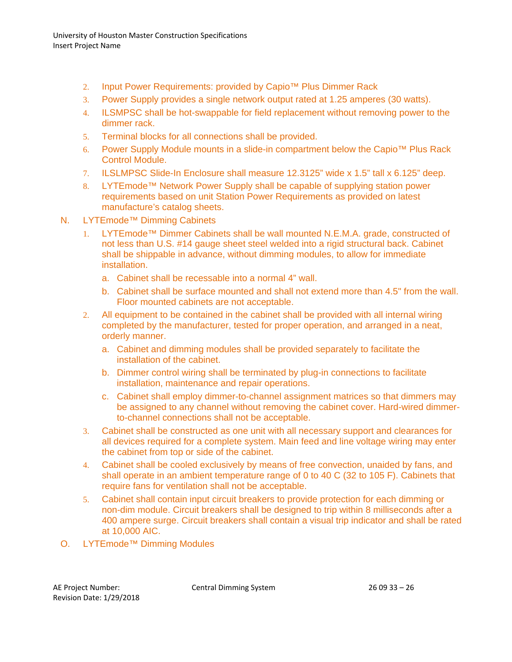- 2. Input Power Requirements: provided by Capio™ Plus Dimmer Rack
- 3. Power Supply provides a single network output rated at 1.25 amperes (30 watts).
- 4. ILSMPSC shall be hot-swappable for field replacement without removing power to the dimmer rack.
- 5. Terminal blocks for all connections shall be provided.
- 6. Power Supply Module mounts in a slide-in compartment below the Capio™ Plus Rack Control Module.
- 7. ILSLMPSC Slide-In Enclosure shall measure 12.3125" wide x 1.5" tall x 6.125" deep.
- 8. LYTEmode™ Network Power Supply shall be capable of supplying station power requirements based on unit Station Power Requirements as provided on latest manufacture's catalog sheets.
- N. LYTEmode™ Dimming Cabinets
	- 1. LYTEmode™ Dimmer Cabinets shall be wall mounted N.E.M.A. grade, constructed of not less than U.S. #14 gauge sheet steel welded into a rigid structural back. Cabinet shall be shippable in advance, without dimming modules, to allow for immediate installation.
		- a. Cabinet shall be recessable into a normal 4" wall.
		- b. Cabinet shall be surface mounted and shall not extend more than 4.5" from the wall. Floor mounted cabinets are not acceptable.
	- 2. All equipment to be contained in the cabinet shall be provided with all internal wiring completed by the manufacturer, tested for proper operation, and arranged in a neat, orderly manner.
		- a. Cabinet and dimming modules shall be provided separately to facilitate the installation of the cabinet.
		- b. Dimmer control wiring shall be terminated by plug-in connections to facilitate installation, maintenance and repair operations.
		- c. Cabinet shall employ dimmer-to-channel assignment matrices so that dimmers may be assigned to any channel without removing the cabinet cover. Hard-wired dimmerto-channel connections shall not be acceptable.
	- 3. Cabinet shall be constructed as one unit with all necessary support and clearances for all devices required for a complete system. Main feed and line voltage wiring may enter the cabinet from top or side of the cabinet.
	- 4. Cabinet shall be cooled exclusively by means of free convection, unaided by fans, and shall operate in an ambient temperature range of 0 to 40 C (32 to 105 F). Cabinets that require fans for ventilation shall not be acceptable.
	- 5. Cabinet shall contain input circuit breakers to provide protection for each dimming or non-dim module. Circuit breakers shall be designed to trip within 8 milliseconds after a 400 ampere surge. Circuit breakers shall contain a visual trip indicator and shall be rated at 10,000 AIC.
- O. LYTEmode™ Dimming Modules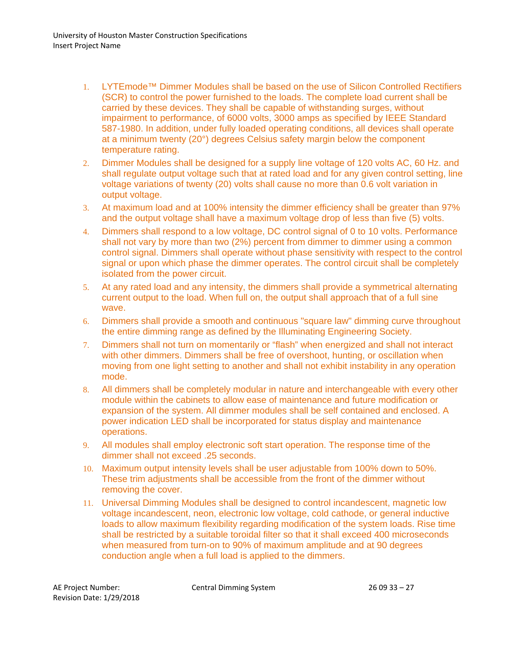- 1. LYTEmode™ Dimmer Modules shall be based on the use of Silicon Controlled Rectifiers (SCR) to control the power furnished to the loads. The complete load current shall be carried by these devices. They shall be capable of withstanding surges, without impairment to performance, of 6000 volts, 3000 amps as specified by IEEE Standard 587-1980. In addition, under fully loaded operating conditions, all devices shall operate at a minimum twenty (20°) degrees Celsius safety margin below the component temperature rating.
- 2. Dimmer Modules shall be designed for a supply line voltage of 120 volts AC, 60 Hz. and shall regulate output voltage such that at rated load and for any given control setting, line voltage variations of twenty (20) volts shall cause no more than 0.6 volt variation in output voltage.
- 3. At maximum load and at 100% intensity the dimmer efficiency shall be greater than 97% and the output voltage shall have a maximum voltage drop of less than five (5) volts.
- 4. Dimmers shall respond to a low voltage, DC control signal of 0 to 10 volts. Performance shall not vary by more than two (2%) percent from dimmer to dimmer using a common control signal. Dimmers shall operate without phase sensitivity with respect to the control signal or upon which phase the dimmer operates. The control circuit shall be completely isolated from the power circuit.
- 5. At any rated load and any intensity, the dimmers shall provide a symmetrical alternating current output to the load. When full on, the output shall approach that of a full sine wave.
- 6. Dimmers shall provide a smooth and continuous "square law" dimming curve throughout the entire dimming range as defined by the Illuminating Engineering Society.
- 7. Dimmers shall not turn on momentarily or "flash" when energized and shall not interact with other dimmers. Dimmers shall be free of overshoot, hunting, or oscillation when moving from one light setting to another and shall not exhibit instability in any operation mode.
- 8. All dimmers shall be completely modular in nature and interchangeable with every other module within the cabinets to allow ease of maintenance and future modification or expansion of the system. All dimmer modules shall be self contained and enclosed. A power indication LED shall be incorporated for status display and maintenance operations.
- 9. All modules shall employ electronic soft start operation. The response time of the dimmer shall not exceed .25 seconds.
- 10. Maximum output intensity levels shall be user adjustable from 100% down to 50%. These trim adjustments shall be accessible from the front of the dimmer without removing the cover.
- 11. Universal Dimming Modules shall be designed to control incandescent, magnetic low voltage incandescent, neon, electronic low voltage, cold cathode, or general inductive loads to allow maximum flexibility regarding modification of the system loads. Rise time shall be restricted by a suitable toroidal filter so that it shall exceed 400 microseconds when measured from turn-on to 90% of maximum amplitude and at 90 degrees conduction angle when a full load is applied to the dimmers.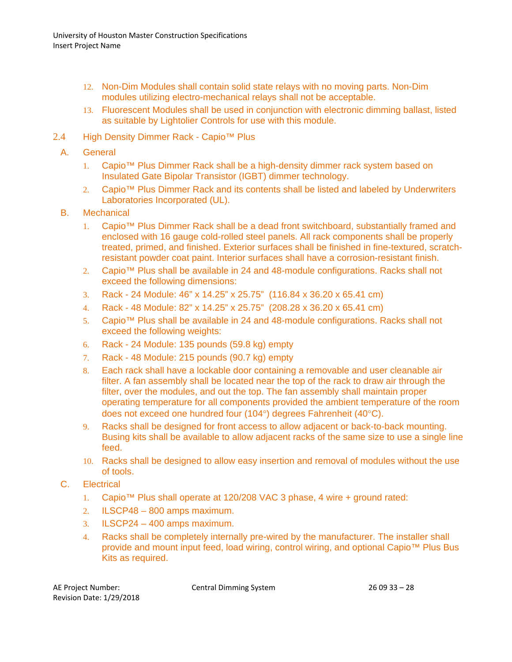University of Houston Master Construction Specifications Insert Project Name

- 12. Non-Dim Modules shall contain solid state relays with no moving parts. Non-Dim modules utilizing electro-mechanical relays shall not be acceptable.
- 13. Fluorescent Modules shall be used in conjunction with electronic dimming ballast, listed as suitable by Lightolier Controls for use with this module.
- 2.4 High Density Dimmer Rack Capio™ Plus
	- A. General
		- 1. Capio™ Plus Dimmer Rack shall be a high-density dimmer rack system based on Insulated Gate Bipolar Transistor (IGBT) dimmer technology.
		- 2. Capio™ Plus Dimmer Rack and its contents shall be listed and labeled by Underwriters Laboratories Incorporated (UL).
	- B. Mechanical
		- 1. Capio™ Plus Dimmer Rack shall be a dead front switchboard, substantially framed and enclosed with 16 gauge cold-rolled steel panels. All rack components shall be properly treated, primed, and finished. Exterior surfaces shall be finished in fine-textured, scratchresistant powder coat paint. Interior surfaces shall have a corrosion-resistant finish.
		- 2. Capio™ Plus shall be available in 24 and 48-module configurations. Racks shall not exceed the following dimensions:
		- 3. Rack 24 Module: 46" x 14.25" x 25.75" (116.84 x 36.20 x 65.41 cm)
		- 4. Rack 48 Module: 82" x 14.25" x 25.75" (208.28 x 36.20 x 65.41 cm)
		- 5. Capio™ Plus shall be available in 24 and 48-module configurations. Racks shall not exceed the following weights:
		- 6. Rack 24 Module: 135 pounds (59.8 kg) empty
		- 7. Rack 48 Module: 215 pounds (90.7 kg) empty
		- 8. Each rack shall have a lockable door containing a removable and user cleanable air filter. A fan assembly shall be located near the top of the rack to draw air through the filter, over the modules, and out the top. The fan assembly shall maintain proper operating temperature for all components provided the ambient temperature of the room does not exceed one hundred four (104°) degrees Fahrenheit (40°C).
		- 9. Racks shall be designed for front access to allow adjacent or back-to-back mounting. Busing kits shall be available to allow adjacent racks of the same size to use a single line feed.
		- 10. Racks shall be designed to allow easy insertion and removal of modules without the use of tools.
	- C. Electrical
		- 1. Capio™ Plus shall operate at 120/208 VAC 3 phase, 4 wire + ground rated:
		- 2. ILSCP48 800 amps maximum.
		- 3. ILSCP24 400 amps maximum.
		- 4. Racks shall be completely internally pre-wired by the manufacturer. The installer shall provide and mount input feed, load wiring, control wiring, and optional Capio™ Plus Bus Kits as required.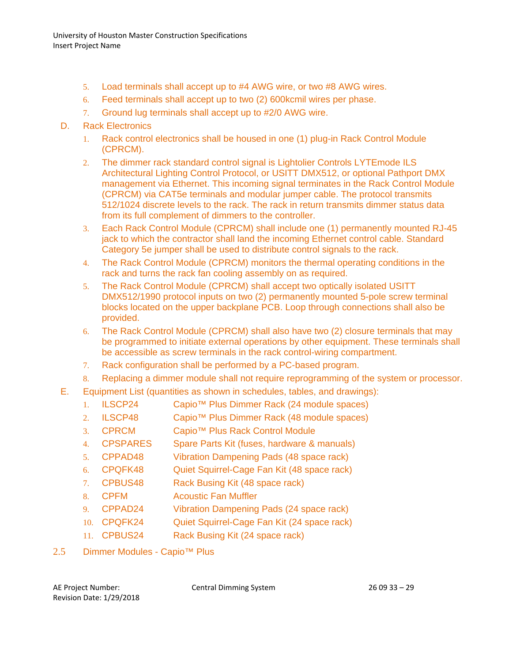- 5. Load terminals shall accept up to #4 AWG wire, or two #8 AWG wires.
- 6. Feed terminals shall accept up to two (2) 600kcmil wires per phase.
- 7. Ground lug terminals shall accept up to #2/0 AWG wire.
- D. Rack Electronics
	- 1. Rack control electronics shall be housed in one (1) plug-in Rack Control Module (CPRCM).
	- 2. The dimmer rack standard control signal is Lightolier Controls LYTEmode ILS Architectural Lighting Control Protocol, or USITT DMX512, or optional Pathport DMX management via Ethernet. This incoming signal terminates in the Rack Control Module (CPRCM) via CAT5e terminals and modular jumper cable. The protocol transmits 512/1024 discrete levels to the rack. The rack in return transmits dimmer status data from its full complement of dimmers to the controller.
	- 3. Each Rack Control Module (CPRCM) shall include one (1) permanently mounted RJ-45 jack to which the contractor shall land the incoming Ethernet control cable. Standard Category 5e jumper shall be used to distribute control signals to the rack.
	- 4. The Rack Control Module (CPRCM) monitors the thermal operating conditions in the rack and turns the rack fan cooling assembly on as required.
	- 5. The Rack Control Module (CPRCM) shall accept two optically isolated USITT DMX512/1990 protocol inputs on two (2) permanently mounted 5-pole screw terminal blocks located on the upper backplane PCB. Loop through connections shall also be provided.
	- 6. The Rack Control Module (CPRCM) shall also have two (2) closure terminals that may be programmed to initiate external operations by other equipment. These terminals shall be accessible as screw terminals in the rack control-wiring compartment.
	- 7. Rack configuration shall be performed by a PC-based program.
	- 8. Replacing a dimmer module shall not require reprogramming of the system or processor.
- E. Equipment List (quantities as shown in schedules, tables, and drawings):
	- 1. ILSCP24 Capio™ Plus Dimmer Rack (24 module spaces)
	- 2. ILSCP48 Capio™ Plus Dimmer Rack (48 module spaces)
	- 3. CPRCM Capio™ Plus Rack Control Module
	- 4. CPSPARES Spare Parts Kit (fuses, hardware & manuals)
	- 5. CPPAD48 Vibration Dampening Pads (48 space rack)
	- 6. CPQFK48 Quiet Squirrel-Cage Fan Kit (48 space rack)
	- 7. CPBUS48 Rack Busing Kit (48 space rack)
	- 8. CPFM Acoustic Fan Muffler
	- 9. CPPAD24 Vibration Dampening Pads (24 space rack)
	- 10. CPQFK24 Quiet Squirrel-Cage Fan Kit (24 space rack)
	- 11. CPBUS24 Rack Busing Kit (24 space rack)
- 2.5 Dimmer Modules Capio™ Plus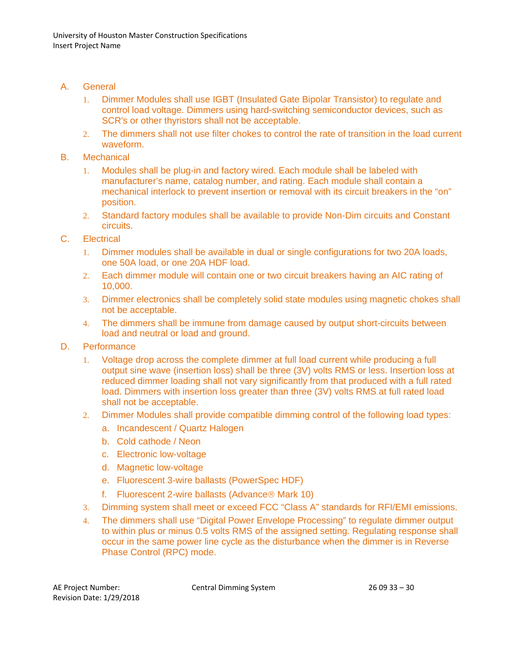### A. General

- 1. Dimmer Modules shall use IGBT (Insulated Gate Bipolar Transistor) to regulate and control load voltage. Dimmers using hard-switching semiconductor devices, such as SCR's or other thyristors shall not be acceptable.
- 2. The dimmers shall not use filter chokes to control the rate of transition in the load current waveform.
- B. Mechanical
	- 1. Modules shall be plug-in and factory wired. Each module shall be labeled with manufacturer's name, catalog number, and rating. Each module shall contain a mechanical interlock to prevent insertion or removal with its circuit breakers in the "on" position.
	- 2. Standard factory modules shall be available to provide Non-Dim circuits and Constant circuits.
- C. Electrical
	- 1. Dimmer modules shall be available in dual or single configurations for two 20A loads, one 50A load, or one 20A HDF load.
	- 2. Each dimmer module will contain one or two circuit breakers having an AIC rating of 10,000.
	- 3. Dimmer electronics shall be completely solid state modules using magnetic chokes shall not be acceptable.
	- 4. The dimmers shall be immune from damage caused by output short-circuits between load and neutral or load and ground.
- D. Performance
	- 1. Voltage drop across the complete dimmer at full load current while producing a full output sine wave (insertion loss) shall be three (3V) volts RMS or less. Insertion loss at reduced dimmer loading shall not vary significantly from that produced with a full rated load. Dimmers with insertion loss greater than three (3V) volts RMS at full rated load shall not be acceptable.
	- 2. Dimmer Modules shall provide compatible dimming control of the following load types:
		- a. Incandescent / Quartz Halogen
		- b. Cold cathode / Neon
		- c. Electronic low-voltage
		- d. Magnetic low-voltage
		- e. Fluorescent 3-wire ballasts (PowerSpec HDF)
		- f. Fluorescent 2-wire ballasts (Advance $@$  Mark 10)
	- 3. Dimming system shall meet or exceed FCC "Class A" standards for RFI/EMI emissions.
	- 4. The dimmers shall use "Digital Power Envelope Processing" to regulate dimmer output to within plus or minus 0.5 volts RMS of the assigned setting. Regulating response shall occur in the same power line cycle as the disturbance when the dimmer is in Reverse Phase Control (RPC) mode.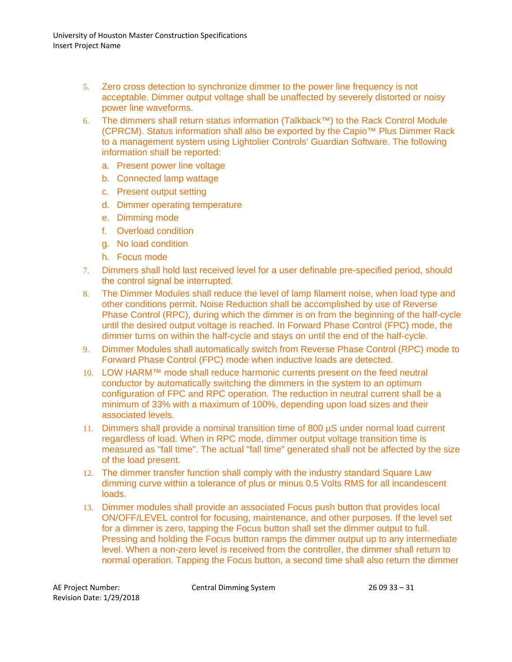- 5. Zero cross detection to synchronize dimmer to the power line frequency is not acceptable. Dimmer output voltage shall be unaffected by severely distorted or noisy power line waveforms.
- 6. The dimmers shall return status information (Talkback™) to the Rack Control Module (CPRCM). Status information shall also be exported by the Capio™ Plus Dimmer Rack to a management system using Lightolier Controls' Guardian Software. The following information shall be reported:
	- a. Present power line voltage
	- b. Connected lamp wattage
	- c. Present output setting
	- d. Dimmer operating temperature
	- e. Dimming mode
	- f. Overload condition
	- g. No load condition
	- h. Focus mode
- 7. Dimmers shall hold last received level for a user definable pre-specified period, should the control signal be interrupted.
- 8. The Dimmer Modules shall reduce the level of lamp filament noise, when load type and other conditions permit. Noise Reduction shall be accomplished by use of Reverse Phase Control (RPC), during which the dimmer is on from the beginning of the half-cycle until the desired output voltage is reached. In Forward Phase Control (FPC) mode, the dimmer turns on within the half-cycle and stays on until the end of the half-cycle.
- 9. Dimmer Modules shall automatically switch from Reverse Phase Control (RPC) mode to Forward Phase Control (FPC) mode when inductive loads are detected.
- 10. LOW HARM™ mode shall reduce harmonic currents present on the feed neutral conductor by automatically switching the dimmers in the system to an optimum configuration of FPC and RPC operation. The reduction in neutral current shall be a minimum of 33% with a maximum of 100%, depending upon load sizes and their associated levels.
- 11. Dimmers shall provide a nominal transition time of 800 µS under normal load current regardless of load. When in RPC mode, dimmer output voltage transition time is measured as "fall time". The actual "fall time" generated shall not be affected by the size of the load present.
- 12. The dimmer transfer function shall comply with the industry standard Square Law dimming curve within a tolerance of plus or minus 0.5 Volts RMS for all incandescent loads.
- 13. Dimmer modules shall provide an associated Focus push button that provides local ON/OFF/LEVEL control for focusing, maintenance, and other purposes. If the level set for a dimmer is zero, tapping the Focus button shall set the dimmer output to full. Pressing and holding the Focus button ramps the dimmer output up to any intermediate level. When a non-zero level is received from the controller, the dimmer shall return to normal operation. Tapping the Focus button, a second time shall also return the dimmer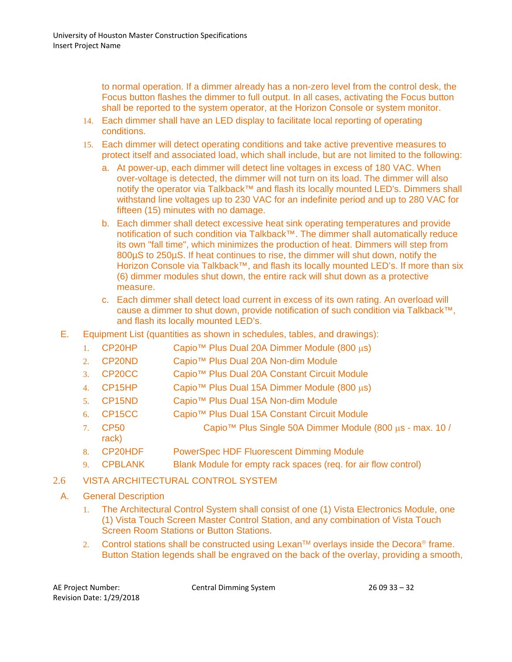to normal operation. If a dimmer already has a non-zero level from the control desk, the Focus button flashes the dimmer to full output. In all cases, activating the Focus button shall be reported to the system operator, at the Horizon Console or system monitor.

- 14. Each dimmer shall have an LED display to facilitate local reporting of operating conditions.
- 15. Each dimmer will detect operating conditions and take active preventive measures to protect itself and associated load, which shall include, but are not limited to the following:
	- a. At power-up, each dimmer will detect line voltages in excess of 180 VAC. When over-voltage is detected, the dimmer will not turn on its load. The dimmer will also notify the operator via Talkback™ and flash its locally mounted LED's. Dimmers shall withstand line voltages up to 230 VAC for an indefinite period and up to 280 VAC for fifteen (15) minutes with no damage.
	- b. Each dimmer shall detect excessive heat sink operating temperatures and provide notification of such condition via Talkback™. The dimmer shall automatically reduce its own "fall time", which minimizes the production of heat. Dimmers will step from 800µS to 250µS. If heat continues to rise, the dimmer will shut down, notify the Horizon Console via Talkback™, and flash its locally mounted LED's. If more than six (6) dimmer modules shut down, the entire rack will shut down as a protective measure.
	- c. Each dimmer shall detect load current in excess of its own rating. An overload will cause a dimmer to shut down, provide notification of such condition via Talkback™, and flash its locally mounted LED's.
- E. Equipment List (quantities as shown in schedules, tables, and drawings):
	- 1. CP20HP Capio™ Plus Dual 20A Dimmer Module (800 µs)
	- 2. CP20ND Capio™ Plus Dual 20A Non-dim Module
	- 3. CP20CC Capio™ Plus Dual 20A Constant Circuit Module
	- 4. CP15HP Capio™ Plus Dual 15A Dimmer Module (800 µs)
	- 5. CP15ND Capio™ Plus Dual 15A Non-dim Module
	- 6. CP15CC Capio™ Plus Dual 15A Constant Circuit Module
	- 7. CP50 Capio™ Plus Single 50A Dimmer Module (800 µs max. 10 / rack)
	- 8. CP20HDF PowerSpec HDF Fluorescent Dimming Module
	- 9. CPBLANK Blank Module for empty rack spaces (req. for air flow control)
- 2.6 VISTA ARCHITECTURAL CONTROL SYSTEM
- A. General Description
	- 1. The Architectural Control System shall consist of one (1) Vista Electronics Module, one (1) Vista Touch Screen Master Control Station, and any combination of Vista Touch Screen Room Stations or Button Stations.
	- 2. Control stations shall be constructed using Lexan<sup>TM</sup> overlays inside the Decora<sup>®</sup> frame. Button Station legends shall be engraved on the back of the overlay, providing a smooth,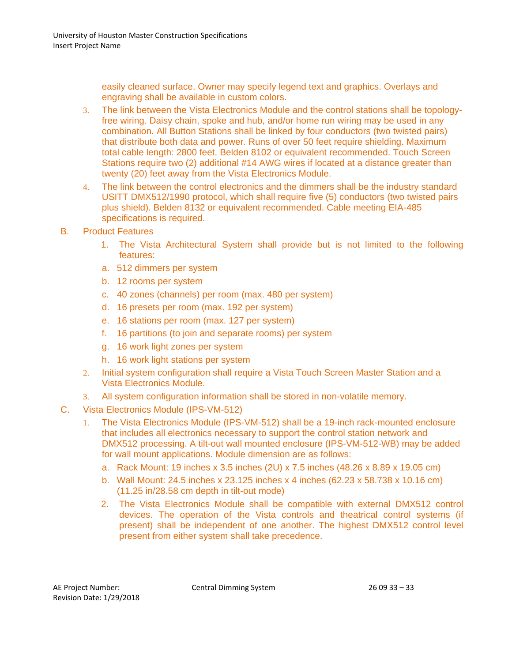easily cleaned surface. Owner may specify legend text and graphics. Overlays and engraving shall be available in custom colors.

- 3. The link between the Vista Electronics Module and the control stations shall be topologyfree wiring. Daisy chain, spoke and hub, and/or home run wiring may be used in any combination. All Button Stations shall be linked by four conductors (two twisted pairs) that distribute both data and power. Runs of over 50 feet require shielding. Maximum total cable length: 2800 feet. Belden 8102 or equivalent recommended. Touch Screen Stations require two (2) additional #14 AWG wires if located at a distance greater than twenty (20) feet away from the Vista Electronics Module.
- 4. The link between the control electronics and the dimmers shall be the industry standard USITT DMX512/1990 protocol, which shall require five (5) conductors (two twisted pairs plus shield). Belden 8132 or equivalent recommended. Cable meeting EIA-485 specifications is required.
- B. Product Features
	- 1. The Vista Architectural System shall provide but is not limited to the following features:
	- a. 512 dimmers per system
	- b. 12 rooms per system
	- c. 40 zones (channels) per room (max. 480 per system)
	- d. 16 presets per room (max. 192 per system)
	- e. 16 stations per room (max. 127 per system)
	- f. 16 partitions (to join and separate rooms) per system
	- g. 16 work light zones per system
	- h. 16 work light stations per system
	- 2. Initial system configuration shall require a Vista Touch Screen Master Station and a Vista Electronics Module.
	- 3. All system configuration information shall be stored in non-volatile memory.
- C. Vista Electronics Module (IPS-VM-512)
	- 1. The Vista Electronics Module (IPS-VM-512) shall be a 19-inch rack-mounted enclosure that includes all electronics necessary to support the control station network and DMX512 processing. A tilt-out wall mounted enclosure (IPS-VM-512-WB) may be added for wall mount applications. Module dimension are as follows:
		- a. Rack Mount: 19 inches x 3.5 inches (2U) x 7.5 inches (48.26 x 8.89 x 19.05 cm)
		- b. Wall Mount: 24.5 inches x 23.125 inches x 4 inches (62.23 x 58.738 x 10.16 cm) (11.25 in/28.58 cm depth in tilt-out mode)
		- 2. The Vista Electronics Module shall be compatible with external DMX512 control devices. The operation of the Vista controls and theatrical control systems (if present) shall be independent of one another. The highest DMX512 control level present from either system shall take precedence.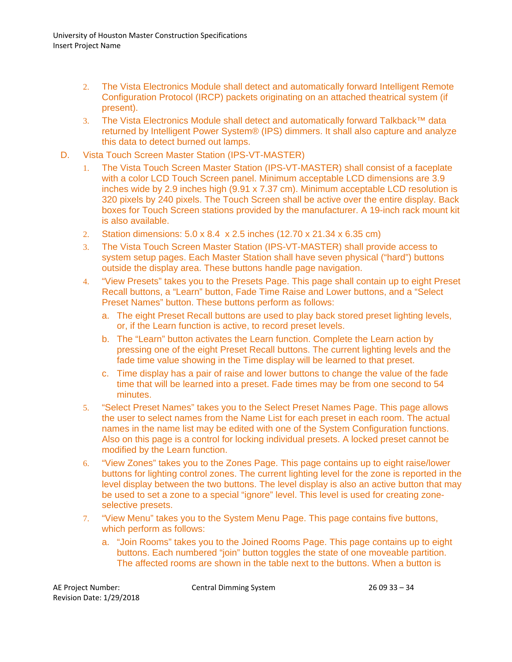- 2. The Vista Electronics Module shall detect and automatically forward Intelligent Remote Configuration Protocol (IRCP) packets originating on an attached theatrical system (if present).
- 3. The Vista Electronics Module shall detect and automatically forward Talkback™ data returned by Intelligent Power System® (IPS) dimmers. It shall also capture and analyze this data to detect burned out lamps.
- D. Vista Touch Screen Master Station (IPS-VT-MASTER)
	- 1. The Vista Touch Screen Master Station (IPS-VT-MASTER) shall consist of a faceplate with a color LCD Touch Screen panel. Minimum acceptable LCD dimensions are 3.9 inches wide by 2.9 inches high (9.91 x 7.37 cm). Minimum acceptable LCD resolution is 320 pixels by 240 pixels. The Touch Screen shall be active over the entire display. Back boxes for Touch Screen stations provided by the manufacturer. A 19-inch rack mount kit is also available.
	- 2. Station dimensions: 5.0 x 8.4 x 2.5 inches (12.70 x 21.34 x 6.35 cm)
	- 3. The Vista Touch Screen Master Station (IPS-VT-MASTER) shall provide access to system setup pages. Each Master Station shall have seven physical ("hard") buttons outside the display area. These buttons handle page navigation.
	- 4. "View Presets" takes you to the Presets Page. This page shall contain up to eight Preset Recall buttons, a "Learn" button, Fade Time Raise and Lower buttons, and a "Select Preset Names" button. These buttons perform as follows:
		- a. The eight Preset Recall buttons are used to play back stored preset lighting levels, or, if the Learn function is active, to record preset levels.
		- b. The "Learn" button activates the Learn function. Complete the Learn action by pressing one of the eight Preset Recall buttons. The current lighting levels and the fade time value showing in the Time display will be learned to that preset.
		- c. Time display has a pair of raise and lower buttons to change the value of the fade time that will be learned into a preset. Fade times may be from one second to 54 minutes.
	- 5. "Select Preset Names" takes you to the Select Preset Names Page. This page allows the user to select names from the Name List for each preset in each room. The actual names in the name list may be edited with one of the System Configuration functions. Also on this page is a control for locking individual presets. A locked preset cannot be modified by the Learn function.
	- 6. "View Zones" takes you to the Zones Page. This page contains up to eight raise/lower buttons for lighting control zones. The current lighting level for the zone is reported in the level display between the two buttons. The level display is also an active button that may be used to set a zone to a special "ignore" level. This level is used for creating zoneselective presets.
	- 7. "View Menu" takes you to the System Menu Page. This page contains five buttons, which perform as follows:
		- a. "Join Rooms" takes you to the Joined Rooms Page. This page contains up to eight buttons. Each numbered "join" button toggles the state of one moveable partition. The affected rooms are shown in the table next to the buttons. When a button is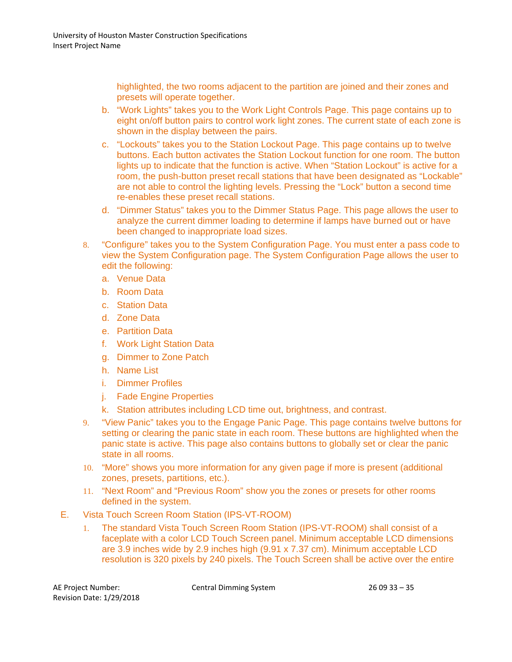highlighted, the two rooms adjacent to the partition are joined and their zones and presets will operate together.

- b. "Work Lights" takes you to the Work Light Controls Page. This page contains up to eight on/off button pairs to control work light zones. The current state of each zone is shown in the display between the pairs.
- c. "Lockouts" takes you to the Station Lockout Page. This page contains up to twelve buttons. Each button activates the Station Lockout function for one room. The button lights up to indicate that the function is active. When "Station Lockout" is active for a room, the push-button preset recall stations that have been designated as "Lockable" are not able to control the lighting levels. Pressing the "Lock" button a second time re-enables these preset recall stations.
- d. "Dimmer Status" takes you to the Dimmer Status Page. This page allows the user to analyze the current dimmer loading to determine if lamps have burned out or have been changed to inappropriate load sizes.
- 8. "Configure" takes you to the System Configuration Page. You must enter a pass code to view the System Configuration page. The System Configuration Page allows the user to edit the following:
	- a. Venue Data
	- b. Room Data
	- c. Station Data
	- d. Zone Data
	- e. Partition Data
	- f. Work Light Station Data
	- g. Dimmer to Zone Patch
	- h. Name List
	- i. Dimmer Profiles
	- j. Fade Engine Properties
	- k. Station attributes including LCD time out, brightness, and contrast.
- 9. "View Panic" takes you to the Engage Panic Page. This page contains twelve buttons for setting or clearing the panic state in each room. These buttons are highlighted when the panic state is active. This page also contains buttons to globally set or clear the panic state in all rooms.
- 10. "More" shows you more information for any given page if more is present (additional zones, presets, partitions, etc.).
- 11. "Next Room" and "Previous Room" show you the zones or presets for other rooms defined in the system.
- E. Vista Touch Screen Room Station (IPS-VT-ROOM)
	- 1. The standard Vista Touch Screen Room Station (IPS-VT-ROOM) shall consist of a faceplate with a color LCD Touch Screen panel. Minimum acceptable LCD dimensions are 3.9 inches wide by 2.9 inches high (9.91 x 7.37 cm). Minimum acceptable LCD resolution is 320 pixels by 240 pixels. The Touch Screen shall be active over the entire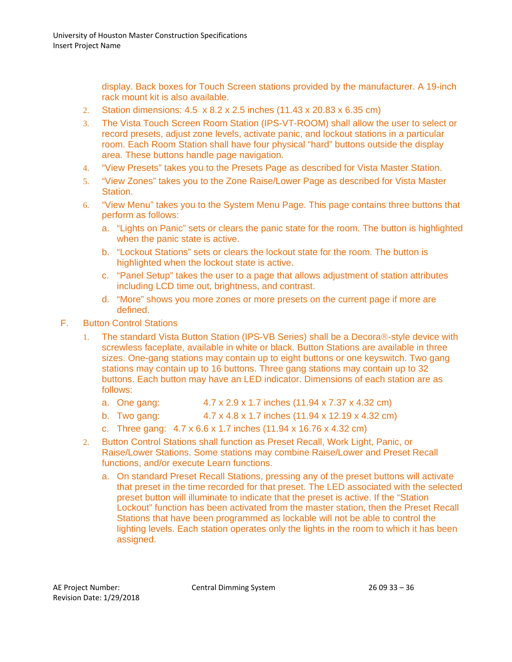display. Back boxes for Touch Screen stations provided by the manufacturer. A 19-inch rack mount kit is also available.

- 2. Station dimensions: 4.5 x 8.2 x 2.5 inches (11.43 x 20.83 x 6.35 cm)
- 3. The Vista Touch Screen Room Station (IPS-VT-ROOM) shall allow the user to select or record presets, adjust zone levels, activate panic, and lockout stations in a particular room. Each Room Station shall have four physical "hard" buttons outside the display area. These buttons handle page navigation.
- 4. "View Presets" takes you to the Presets Page as described for Vista Master Station.
- 5. "View Zones" takes you to the Zone Raise/Lower Page as described for Vista Master Station.
- 6. "View Menu" takes you to the System Menu Page. This page contains three buttons that perform as follows:
	- a. "Lights on Panic" sets or clears the panic state for the room. The button is highlighted when the panic state is active.
	- b. "Lockout Stations" sets or clears the lockout state for the room. The button is highlighted when the lockout state is active.
	- c. "Panel Setup" takes the user to a page that allows adjustment of station attributes including LCD time out, brightness, and contrast.
	- d. "More" shows you more zones or more presets on the current page if more are defined.
- F. Button Control Stations
	- 1. The standard Vista Button Station (IPS-VB Series) shall be a Decora®-style device with screwless faceplate, available in white or black. Button Stations are available in three sizes. One-gang stations may contain up to eight buttons or one keyswitch. Two gang stations may contain up to 16 buttons. Three gang stations may contain up to 32 buttons. Each button may have an LED indicator. Dimensions of each station are as follows:
		- a. One gang: 4.7 x 2.9 x 1.7 inches (11.94 x 7.37 x 4.32 cm)
		- b. Two gang: 4.7 x 4.8 x 1.7 inches (11.94 x 12.19 x 4.32 cm)
		- c. Three gang: 4.7 x 6.6 x 1.7 inches (11.94 x 16.76 x 4.32 cm)
	- 2. Button Control Stations shall function as Preset Recall, Work Light, Panic, or Raise/Lower Stations. Some stations may combine Raise/Lower and Preset Recall functions, and/or execute Learn functions.
		- a. On standard Preset Recall Stations, pressing any of the preset buttons will activate that preset in the time recorded for that preset. The LED associated with the selected preset button will illuminate to indicate that the preset is active. If the "Station Lockout" function has been activated from the master station, then the Preset Recall Stations that have been programmed as lockable will not be able to control the lighting levels. Each station operates only the lights in the room to which it has been assigned.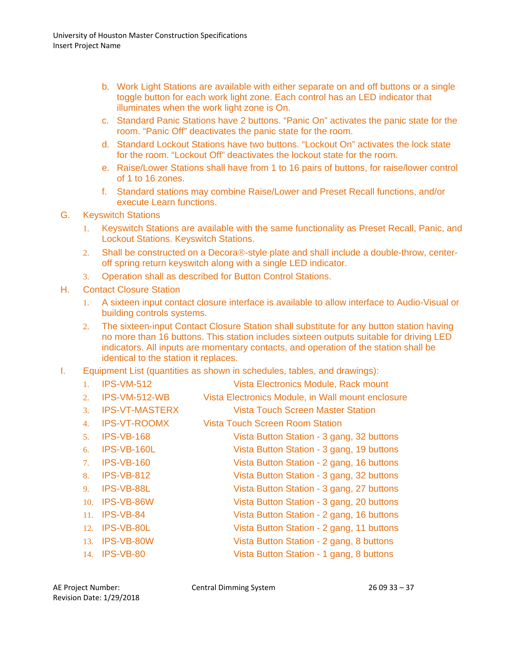- b. Work Light Stations are available with either separate on and off buttons or a single toggle button for each work light zone. Each control has an LED indicator that illuminates when the work light zone is On.
- c. Standard Panic Stations have 2 buttons. "Panic On" activates the panic state for the room. "Panic Off" deactivates the panic state for the room.
- d. Standard Lockout Stations have two buttons. "Lockout On" activates the lock state for the room. "Lockout Off" deactivates the lockout state for the room.
- e. Raise/Lower Stations shall have from 1 to 16 pairs of buttons, for raise/lower control of 1 to 16 zones.
- f. Standard stations may combine Raise/Lower and Preset Recall functions, and/or execute Learn functions.
- G. Keyswitch Stations
	- 1. Keyswitch Stations are available with the same functionality as Preset Recall, Panic, and Lockout Stations. Keyswitch Stations.
	- 2. Shall be constructed on a Decora®-style plate and shall include a double-throw, centeroff spring return keyswitch along with a single LED indicator.
	- 3. Operation shall as described for Button Control Stations.
- H. Contact Closure Station
	- 1. A sixteen input contact closure interface is available to allow interface to Audio-Visual or building controls systems.
	- 2. The sixteen-input Contact Closure Station shall substitute for any button station having no more than 16 buttons. This station includes sixteen outputs suitable for driving LED indicators. All inputs are momentary contacts, and operation of the station shall be identical to the station it replaces.
- I. Equipment List (quantities as shown in schedules, tables, and drawings):
	- 1. IPS-VM-512 Vista Electronics Module, Rack mount
	- 2. IPS-VM-512-WB Vista Electronics Module, in Wall mount enclosure
	- 3. IPS-VT-MASTERX Vista Touch Screen Master Station
	- 4. IPS-VT-ROOMX Vista Touch Screen Room Station
	- 5. IPS-VB-168 Vista Button Station 3 gang, 32 buttons
	- 6. IPS-VB-160L Vista Button Station 3 gang, 19 buttons
	- 7. IPS-VB-160 Vista Button Station 2 gang, 16 buttons
	- 8. IPS-VB-812 Vista Button Station 3 gang, 32 buttons
	- 9. IPS-VB-88L Vista Button Station 3 gang, 27 buttons
	- 10. IPS-VB-86W Vista Button Station 3 gang, 20 buttons
	- 11. IPS-VB-84 Vista Button Station 2 gang, 16 buttons
	- 12. IPS-VB-80L Vista Button Station 2 gang, 11 buttons
	- 13. IPS-VB-80W Vista Button Station 2 gang, 8 buttons
	- 14. IPS-VB-80 Vista Button Station 1 gang, 8 buttons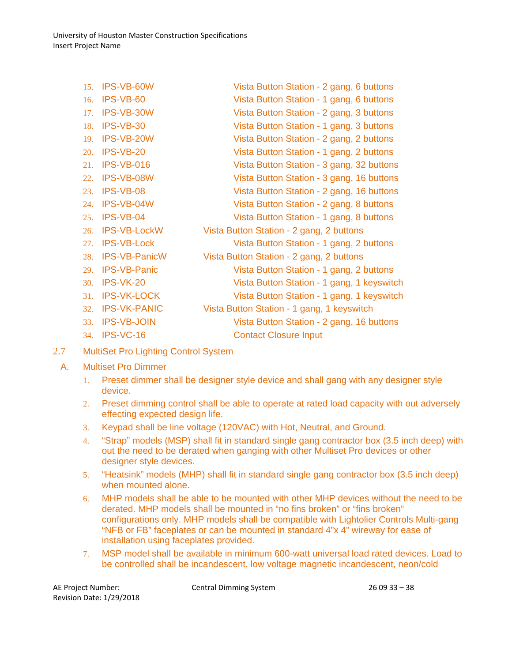| 15. | IPS-VB-60W           | Vista Button Station - 2 gang, 6 buttons   |
|-----|----------------------|--------------------------------------------|
| 16. | IPS-VB-60            | Vista Button Station - 1 gang, 6 buttons   |
| 17. | IPS-VB-30W           | Vista Button Station - 2 gang, 3 buttons   |
| 18. | <b>IPS-VB-30</b>     | Vista Button Station - 1 gang, 3 buttons   |
| 19. | IPS-VB-20W           | Vista Button Station - 2 gang, 2 buttons   |
| 20. | IPS-VB-20            | Vista Button Station - 1 gang, 2 buttons   |
| 21. | <b>IPS-VB-016</b>    | Vista Button Station - 3 gang, 32 buttons  |
| 22. | IPS-VB-08W           | Vista Button Station - 3 gang, 16 buttons  |
| 23. | IPS-VB-08            | Vista Button Station - 2 gang, 16 buttons  |
| 24. | IPS-VB-04W           | Vista Button Station - 2 gang, 8 buttons   |
| 25. | IPS-VB-04            | Vista Button Station - 1 gang, 8 buttons   |
| 26. | <b>IPS-VB-LockW</b>  | Vista Button Station - 2 gang, 2 buttons   |
| 27. | <b>IPS-VB-Lock</b>   | Vista Button Station - 1 gang, 2 buttons   |
| 28. | <b>IPS-VB-PanicW</b> | Vista Button Station - 2 gang, 2 buttons   |
| 29. | <b>IPS-VB-Panic</b>  | Vista Button Station - 1 gang, 2 buttons   |
| 30. | IPS-VK-20            | Vista Button Station - 1 gang, 1 keyswitch |
| 31. | <b>IPS-VK-LOCK</b>   | Vista Button Station - 1 gang, 1 keyswitch |
| 32. | <b>IPS-VK-PANIC</b>  | Vista Button Station - 1 gang, 1 keyswitch |
| 33. | <b>IPS-VB-JOIN</b>   | Vista Button Station - 2 gang, 16 buttons  |
| 34. | IPS-VC-16            | <b>Contact Closure Input</b>               |

- 2.7 MultiSet Pro Lighting Control System
	- A. Multiset Pro Dimmer
		- 1. Preset dimmer shall be designer style device and shall gang with any designer style device.
		- 2. Preset dimming control shall be able to operate at rated load capacity with out adversely effecting expected design life.
		- 3. Keypad shall be line voltage (120VAC) with Hot, Neutral, and Ground.
		- 4. "Strap" models (MSP) shall fit in standard single gang contractor box (3.5 inch deep) with out the need to be derated when ganging with other Multiset Pro devices or other designer style devices.
		- 5. "Heatsink" models (MHP) shall fit in standard single gang contractor box (3.5 inch deep) when mounted alone.
		- 6. MHP models shall be able to be mounted with other MHP devices without the need to be derated. MHP models shall be mounted in "no fins broken" or "fins broken" configurations only. MHP models shall be compatible with Lightolier Controls Multi-gang "NFB or FB" faceplates or can be mounted in standard 4"x 4" wireway for ease of installation using faceplates provided.
		- 7. MSP model shall be available in minimum 600-watt universal load rated devices. Load to be controlled shall be incandescent, low voltage magnetic incandescent, neon/cold

AE Project Number: Central Dimming System 26 09 33 – 38 Revision Date: 1/29/2018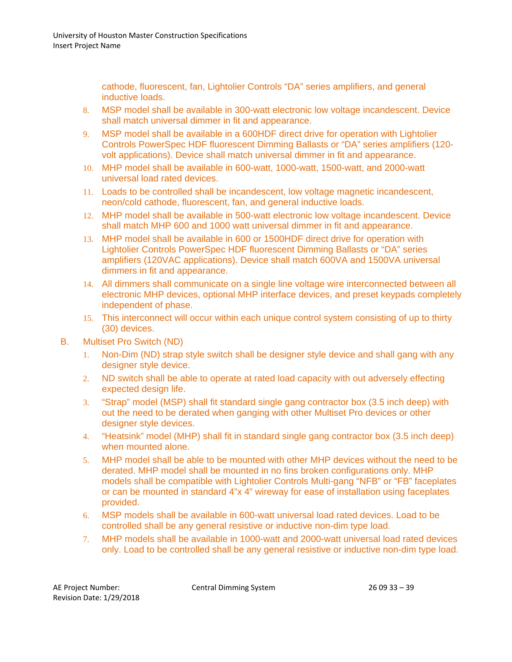cathode, fluorescent, fan, Lightolier Controls "DA" series amplifiers, and general inductive loads.

- 8. MSP model shall be available in 300-watt electronic low voltage incandescent. Device shall match universal dimmer in fit and appearance.
- 9. MSP model shall be available in a 600HDF direct drive for operation with Lightolier Controls PowerSpec HDF fluorescent Dimming Ballasts or "DA" series amplifiers (120 volt applications). Device shall match universal dimmer in fit and appearance.
- 10. MHP model shall be available in 600-watt, 1000-watt, 1500-watt, and 2000-watt universal load rated devices.
- 11. Loads to be controlled shall be incandescent, low voltage magnetic incandescent, neon/cold cathode, fluorescent, fan, and general inductive loads.
- 12. MHP model shall be available in 500-watt electronic low voltage incandescent. Device shall match MHP 600 and 1000 watt universal dimmer in fit and appearance.
- 13. MHP model shall be available in 600 or 1500HDF direct drive for operation with Lightolier Controls PowerSpec HDF fluorescent Dimming Ballasts or "DA" series amplifiers (120VAC applications). Device shall match 600VA and 1500VA universal dimmers in fit and appearance.
- 14. All dimmers shall communicate on a single line voltage wire interconnected between all electronic MHP devices, optional MHP interface devices, and preset keypads completely independent of phase.
- 15. This interconnect will occur within each unique control system consisting of up to thirty (30) devices.
- B. Multiset Pro Switch (ND)
	- 1. Non-Dim (ND) strap style switch shall be designer style device and shall gang with any designer style device.
	- 2. ND switch shall be able to operate at rated load capacity with out adversely effecting expected design life.
	- 3. "Strap" model (MSP) shall fit standard single gang contractor box (3.5 inch deep) with out the need to be derated when ganging with other Multiset Pro devices or other designer style devices.
	- 4. "Heatsink" model (MHP) shall fit in standard single gang contractor box (3.5 inch deep) when mounted alone.
	- 5. MHP model shall be able to be mounted with other MHP devices without the need to be derated. MHP model shall be mounted in no fins broken configurations only. MHP models shall be compatible with Lightolier Controls Multi-gang "NFB" or "FB" faceplates or can be mounted in standard 4"x 4" wireway for ease of installation using faceplates provided.
	- 6. MSP models shall be available in 600-watt universal load rated devices. Load to be controlled shall be any general resistive or inductive non-dim type load.
	- 7. MHP models shall be available in 1000-watt and 2000-watt universal load rated devices only. Load to be controlled shall be any general resistive or inductive non-dim type load.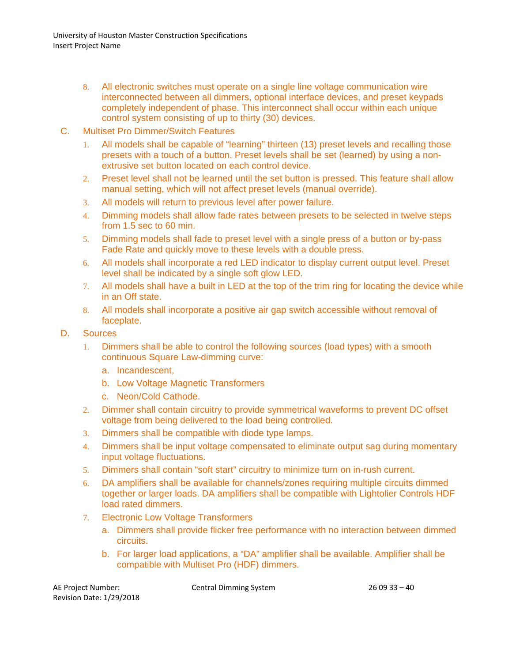- 8. All electronic switches must operate on a single line voltage communication wire interconnected between all dimmers, optional interface devices, and preset keypads completely independent of phase. This interconnect shall occur within each unique control system consisting of up to thirty (30) devices.
- C. Multiset Pro Dimmer/Switch Features
	- 1. All models shall be capable of "learning" thirteen (13) preset levels and recalling those presets with a touch of a button. Preset levels shall be set (learned) by using a nonextrusive set button located on each control device.
	- 2. Preset level shall not be learned until the set button is pressed. This feature shall allow manual setting, which will not affect preset levels (manual override).
	- 3. All models will return to previous level after power failure.
	- 4. Dimming models shall allow fade rates between presets to be selected in twelve steps from 1.5 sec to 60 min.
	- 5. Dimming models shall fade to preset level with a single press of a button or by-pass Fade Rate and quickly move to these levels with a double press.
	- 6. All models shall incorporate a red LED indicator to display current output level. Preset level shall be indicated by a single soft glow LED.
	- 7. All models shall have a built in LED at the top of the trim ring for locating the device while in an Off state.
	- 8. All models shall incorporate a positive air gap switch accessible without removal of faceplate.
- D. Sources
	- 1. Dimmers shall be able to control the following sources (load types) with a smooth continuous Square Law-dimming curve:
		- a. Incandescent,
		- b. Low Voltage Magnetic Transformers
		- c. Neon/Cold Cathode.
	- 2. Dimmer shall contain circuitry to provide symmetrical waveforms to prevent DC offset voltage from being delivered to the load being controlled.
	- 3. Dimmers shall be compatible with diode type lamps.
	- 4. Dimmers shall be input voltage compensated to eliminate output sag during momentary input voltage fluctuations.
	- 5. Dimmers shall contain "soft start" circuitry to minimize turn on in-rush current.
	- 6. DA amplifiers shall be available for channels/zones requiring multiple circuits dimmed together or larger loads. DA amplifiers shall be compatible with Lightolier Controls HDF load rated dimmers.
	- 7. Electronic Low Voltage Transformers
		- a. Dimmers shall provide flicker free performance with no interaction between dimmed circuits.
		- b. For larger load applications, a "DA" amplifier shall be available. Amplifier shall be compatible with Multiset Pro (HDF) dimmers.

AE Project Number: Central Dimming System 26 09 33 – 40 Revision Date: 1/29/2018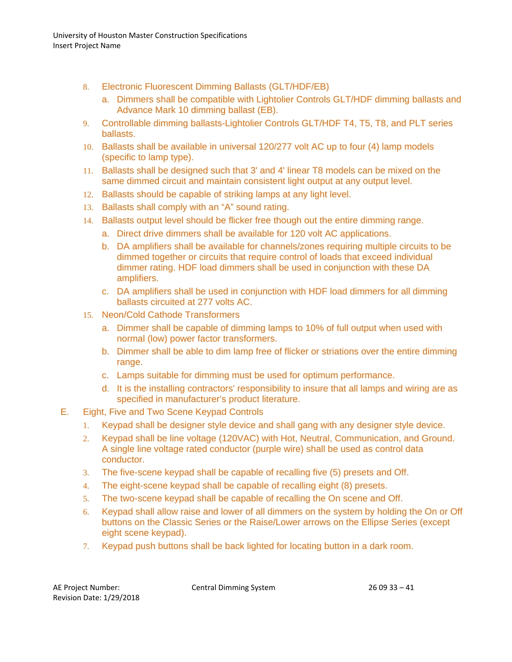- 8. Electronic Fluorescent Dimming Ballasts (GLT/HDF/EB)
	- a. Dimmers shall be compatible with Lightolier Controls GLT/HDF dimming ballasts and Advance Mark 10 dimming ballast (EB).
- 9. Controllable dimming ballasts-Lightolier Controls GLT/HDF T4, T5, T8, and PLT series ballasts.
- 10. Ballasts shall be available in universal 120/277 volt AC up to four (4) lamp models (specific to lamp type).
- 11. Ballasts shall be designed such that 3' and 4' linear T8 models can be mixed on the same dimmed circuit and maintain consistent light output at any output level.
- 12. Ballasts should be capable of striking lamps at any light level.
- 13. Ballasts shall comply with an "A" sound rating.
- 14. Ballasts output level should be flicker free though out the entire dimming range.
	- a. Direct drive dimmers shall be available for 120 volt AC applications.
	- b. DA amplifiers shall be available for channels/zones requiring multiple circuits to be dimmed together or circuits that require control of loads that exceed individual dimmer rating. HDF load dimmers shall be used in conjunction with these DA amplifiers.
	- c. DA amplifiers shall be used in conjunction with HDF load dimmers for all dimming ballasts circuited at 277 volts AC.
- 15. Neon/Cold Cathode Transformers
	- a. Dimmer shall be capable of dimming lamps to 10% of full output when used with normal (low) power factor transformers.
	- b. Dimmer shall be able to dim lamp free of flicker or striations over the entire dimming range.
	- c. Lamps suitable for dimming must be used for optimum performance.
	- d. It is the installing contractors' responsibility to insure that all lamps and wiring are as specified in manufacturer's product literature.
- E. Eight, Five and Two Scene Keypad Controls
	- 1. Keypad shall be designer style device and shall gang with any designer style device.
	- 2. Keypad shall be line voltage (120VAC) with Hot, Neutral, Communication, and Ground. A single line voltage rated conductor (purple wire) shall be used as control data conductor.
	- 3. The five-scene keypad shall be capable of recalling five (5) presets and Off.
	- 4. The eight-scene keypad shall be capable of recalling eight (8) presets.
	- 5. The two-scene keypad shall be capable of recalling the On scene and Off.
	- 6. Keypad shall allow raise and lower of all dimmers on the system by holding the On or Off buttons on the Classic Series or the Raise/Lower arrows on the Ellipse Series (except eight scene keypad).
	- 7. Keypad push buttons shall be back lighted for locating button in a dark room.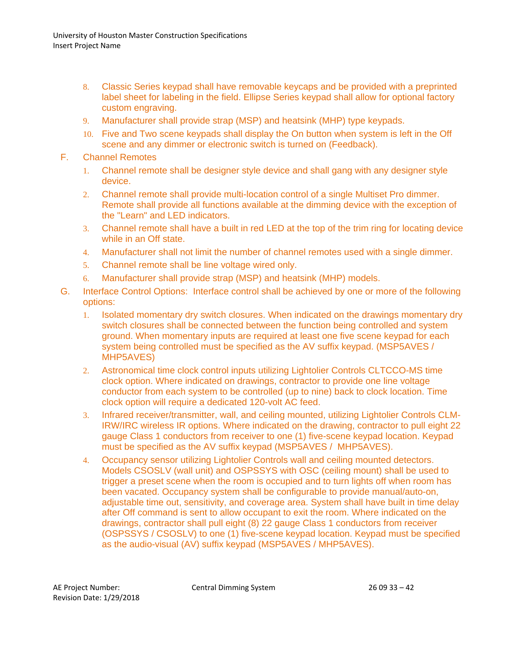- 8. Classic Series keypad shall have removable keycaps and be provided with a preprinted label sheet for labeling in the field. Ellipse Series keypad shall allow for optional factory custom engraving.
- 9. Manufacturer shall provide strap (MSP) and heatsink (MHP) type keypads.
- 10. Five and Two scene keypads shall display the On button when system is left in the Off scene and any dimmer or electronic switch is turned on (Feedback).
- F. Channel Remotes
	- 1. Channel remote shall be designer style device and shall gang with any designer style device.
	- 2. Channel remote shall provide multi-location control of a single Multiset Pro dimmer. Remote shall provide all functions available at the dimming device with the exception of the "Learn" and LED indicators.
	- 3. Channel remote shall have a built in red LED at the top of the trim ring for locating device while in an Off state.
	- 4. Manufacturer shall not limit the number of channel remotes used with a single dimmer.
	- 5. Channel remote shall be line voltage wired only.
	- 6. Manufacturer shall provide strap (MSP) and heatsink (MHP) models.
- G. Interface Control Options: Interface control shall be achieved by one or more of the following options:
	- 1. Isolated momentary dry switch closures. When indicated on the drawings momentary dry switch closures shall be connected between the function being controlled and system ground. When momentary inputs are required at least one five scene keypad for each system being controlled must be specified as the AV suffix keypad. (MSP5AVES / MHP5AVES)
	- 2. Astronomical time clock control inputs utilizing Lightolier Controls CLTCCO-MS time clock option. Where indicated on drawings, contractor to provide one line voltage conductor from each system to be controlled (up to nine) back to clock location. Time clock option will require a dedicated 120-volt AC feed.
	- 3. Infrared receiver/transmitter, wall, and ceiling mounted, utilizing Lightolier Controls CLM-IRW/IRC wireless IR options. Where indicated on the drawing, contractor to pull eight 22 gauge Class 1 conductors from receiver to one (1) five-scene keypad location. Keypad must be specified as the AV suffix keypad (MSP5AVES / MHP5AVES).
	- 4. Occupancy sensor utilizing Lightolier Controls wall and ceiling mounted detectors. Models CSOSLV (wall unit) and OSPSSYS with OSC (ceiling mount) shall be used to trigger a preset scene when the room is occupied and to turn lights off when room has been vacated. Occupancy system shall be configurable to provide manual/auto-on, adjustable time out, sensitivity, and coverage area. System shall have built in time delay after Off command is sent to allow occupant to exit the room. Where indicated on the drawings, contractor shall pull eight (8) 22 gauge Class 1 conductors from receiver (OSPSSYS / CSOSLV) to one (1) five-scene keypad location. Keypad must be specified as the audio-visual (AV) suffix keypad (MSP5AVES / MHP5AVES).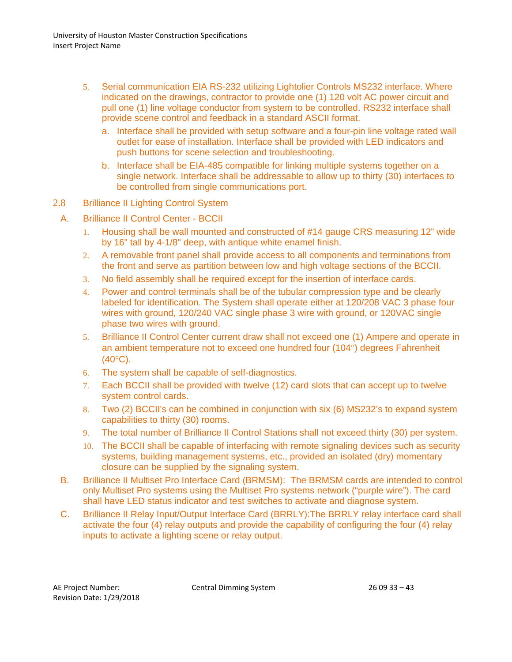- 5. Serial communication EIA RS-232 utilizing Lightolier Controls MS232 interface. Where indicated on the drawings, contractor to provide one (1) 120 volt AC power circuit and pull one (1) line voltage conductor from system to be controlled. RS232 interface shall provide scene control and feedback in a standard ASCII format.
	- a. Interface shall be provided with setup software and a four-pin line voltage rated wall outlet for ease of installation. Interface shall be provided with LED indicators and push buttons for scene selection and troubleshooting.
	- b. Interface shall be EIA-485 compatible for linking multiple systems together on a single network. Interface shall be addressable to allow up to thirty (30) interfaces to be controlled from single communications port.
- 2.8 Brilliance II Lighting Control System
- A. Brilliance II Control Center BCCII
	- 1. Housing shall be wall mounted and constructed of #14 gauge CRS measuring 12" wide by 16" tall by 4-1/8" deep, with antique white enamel finish.
	- 2. A removable front panel shall provide access to all components and terminations from the front and serve as partition between low and high voltage sections of the BCCII.
	- 3. No field assembly shall be required except for the insertion of interface cards.
	- 4. Power and control terminals shall be of the tubular compression type and be clearly labeled for identification. The System shall operate either at 120/208 VAC 3 phase four wires with ground, 120/240 VAC single phase 3 wire with ground, or 120VAC single phase two wires with ground.
	- 5. Brilliance II Control Center current draw shall not exceed one (1) Ampere and operate in an ambient temperature not to exceed one hundred four (104°) degrees Fahrenheit  $(40^{\circ}C)$ .
	- 6. The system shall be capable of self-diagnostics.
	- 7. Each BCCII shall be provided with twelve (12) card slots that can accept up to twelve system control cards.
	- 8. Two (2) BCCII's can be combined in conjunction with six (6) MS232's to expand system capabilities to thirty (30) rooms.
	- 9. The total number of Brilliance II Control Stations shall not exceed thirty (30) per system.
	- 10. The BCCII shall be capable of interfacing with remote signaling devices such as security systems, building management systems, etc., provided an isolated (dry) momentary closure can be supplied by the signaling system.
	- B. Brilliance II Multiset Pro Interface Card (BRMSM): The BRMSM cards are intended to control only Multiset Pro systems using the Multiset Pro systems network ("purple wire"). The card shall have LED status indicator and test switches to activate and diagnose system.
	- C. Brilliance II Relay Input/Output Interface Card (BRRLY):The BRRLY relay interface card shall activate the four (4) relay outputs and provide the capability of configuring the four (4) relay inputs to activate a lighting scene or relay output.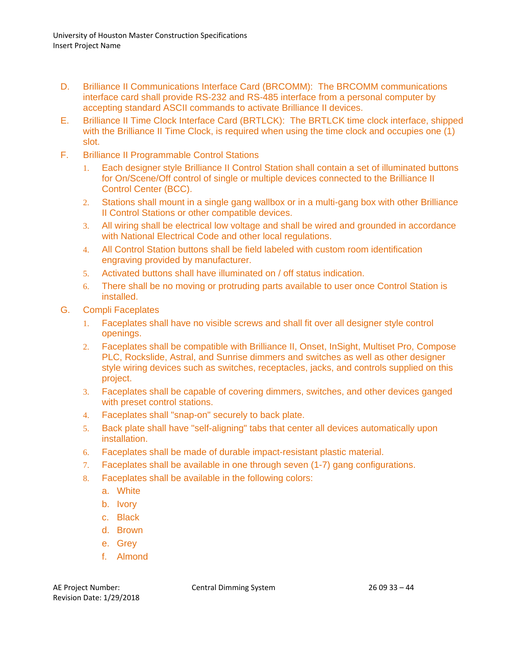- D. Brilliance II Communications Interface Card (BRCOMM): The BRCOMM communications interface card shall provide RS-232 and RS-485 interface from a personal computer by accepting standard ASCII commands to activate Brilliance II devices.
- E. Brilliance II Time Clock Interface Card (BRTLCK): The BRTLCK time clock interface, shipped with the Brilliance II Time Clock, is required when using the time clock and occupies one (1) slot.
- F. Brilliance II Programmable Control Stations
	- 1. Each designer style Brilliance II Control Station shall contain a set of illuminated buttons for On/Scene/Off control of single or multiple devices connected to the Brilliance II Control Center (BCC).
	- 2. Stations shall mount in a single gang wallbox or in a multi-gang box with other Brilliance II Control Stations or other compatible devices.
	- 3. All wiring shall be electrical low voltage and shall be wired and grounded in accordance with National Electrical Code and other local regulations.
	- 4. All Control Station buttons shall be field labeled with custom room identification engraving provided by manufacturer.
	- 5. Activated buttons shall have illuminated on / off status indication.
	- 6. There shall be no moving or protruding parts available to user once Control Station is installed.
- G. Compli Faceplates
	- 1. Faceplates shall have no visible screws and shall fit over all designer style control openings.
	- 2. Faceplates shall be compatible with Brilliance II, Onset, InSight, Multiset Pro, Compose PLC, Rockslide, Astral, and Sunrise dimmers and switches as well as other designer style wiring devices such as switches, receptacles, jacks, and controls supplied on this project.
	- 3. Faceplates shall be capable of covering dimmers, switches, and other devices ganged with preset control stations.
	- 4. Faceplates shall "snap-on" securely to back plate.
	- 5. Back plate shall have "self-aligning" tabs that center all devices automatically upon installation.
	- 6. Faceplates shall be made of durable impact-resistant plastic material.
	- 7. Faceplates shall be available in one through seven (1-7) gang configurations.
	- 8. Faceplates shall be available in the following colors:
		- a. White
		- b. Ivory
		- c. Black
		- d. Brown
		- e. Grey
		- f. Almond

AE Project Number: Central Dimming System 26 09 33 – 44 Revision Date: 1/29/2018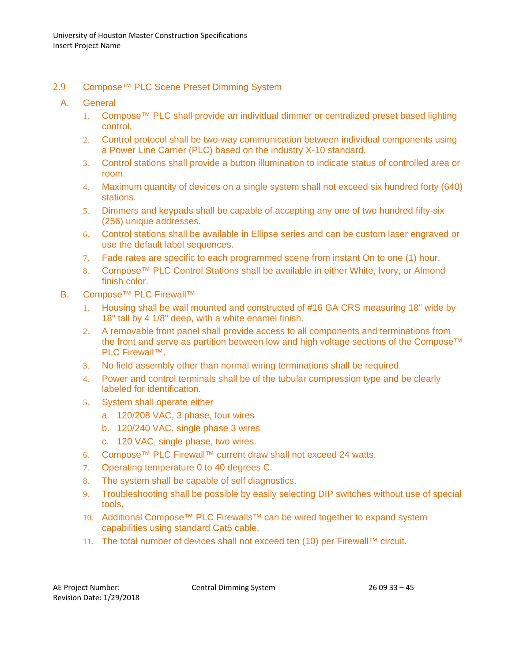## 2.9 Compose™ PLC Scene Preset Dimming System

#### A. General

- 1. Compose™ PLC shall provide an individual dimmer or centralized preset based lighting control.
- 2. Control protocol shall be two-way communication between individual components using a Power Line Carrier (PLC) based on the industry X-10 standard.
- 3. Control stations shall provide a button illumination to indicate status of controlled area or room.
- 4. Maximum quantity of devices on a single system shall not exceed six hundred forty (640) stations.
- 5. Dimmers and keypads shall be capable of accepting any one of two hundred fifty-six (256) unique addresses.
- 6. Control stations shall be available in Ellipse series and can be custom laser engraved or use the default label sequences.
- 7. Fade rates are specific to each programmed scene from instant On to one (1) hour.
- 8. Compose™ PLC Control Stations shall be available in either White, Ivory, or Almond finish color.
- B. Compose™ PLC Firewall™
	- 1. Housing shall be wall mounted and constructed of #16 GA CRS measuring 18" wide by 18" tall by 4 1/8" deep, with a white enamel finish.
	- 2. A removable front panel shall provide access to all components and terminations from the front and serve as partition between low and high voltage sections of the Compose™ PLC Firewall™.
	- 3. No field assembly other than normal wiring terminations shall be required.
	- 4. Power and control terminals shall be of the tubular compression type and be clearly labeled for identification.
	- 5. System shall operate either
		- a. 120/208 VAC, 3 phase, four wires
		- b. 120/240 VAC, single phase 3 wires
		- c. 120 VAC, single phase, two wires.
	- 6. Compose™ PLC Firewall™ current draw shall not exceed 24 watts.
	- 7. Operating temperature 0 to 40 degrees C.
	- 8. The system shall be capable of self diagnostics.
	- 9. Troubleshooting shall be possible by easily selecting DIP switches without use of special tools.
	- 10. Additional Compose™ PLC Firewalls™ can be wired together to expand system capabilities using standard Cat5 cable.
	- 11. The total number of devices shall not exceed ten (10) per Firewall™ circuit.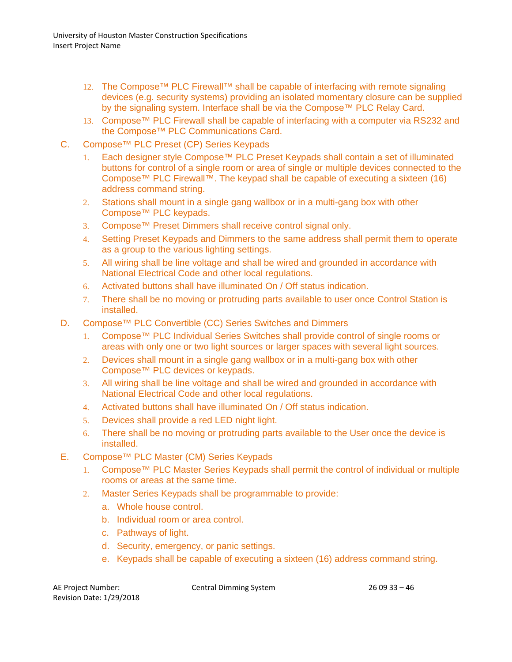- 12. The Compose™ PLC Firewall™ shall be capable of interfacing with remote signaling devices (e.g. security systems) providing an isolated momentary closure can be supplied by the signaling system. Interface shall be via the Compose™ PLC Relay Card.
- 13. Compose™ PLC Firewall shall be capable of interfacing with a computer via RS232 and the Compose™ PLC Communications Card.
- C. Compose™ PLC Preset (CP) Series Keypads
	- 1. Each designer style Compose™ PLC Preset Keypads shall contain a set of illuminated buttons for control of a single room or area of single or multiple devices connected to the Compose™ PLC Firewall™. The keypad shall be capable of executing a sixteen (16) address command string.
	- 2. Stations shall mount in a single gang wallbox or in a multi-gang box with other Compose™ PLC keypads.
	- 3. Compose™ Preset Dimmers shall receive control signal only.
	- 4. Setting Preset Keypads and Dimmers to the same address shall permit them to operate as a group to the various lighting settings.
	- 5. All wiring shall be line voltage and shall be wired and grounded in accordance with National Electrical Code and other local regulations.
	- 6. Activated buttons shall have illuminated On / Off status indication.
	- 7. There shall be no moving or protruding parts available to user once Control Station is installed.
- D. Compose™ PLC Convertible (CC) Series Switches and Dimmers
	- 1. Compose™ PLC Individual Series Switches shall provide control of single rooms or areas with only one or two light sources or larger spaces with several light sources.
	- 2. Devices shall mount in a single gang wallbox or in a multi-gang box with other Compose™ PLC devices or keypads.
	- 3. All wiring shall be line voltage and shall be wired and grounded in accordance with National Electrical Code and other local regulations.
	- 4. Activated buttons shall have illuminated On / Off status indication.
	- 5. Devices shall provide a red LED night light.
	- 6. There shall be no moving or protruding parts available to the User once the device is installed.
- E. Compose™ PLC Master (CM) Series Keypads
	- 1. Compose™ PLC Master Series Keypads shall permit the control of individual or multiple rooms or areas at the same time.
	- 2. Master Series Keypads shall be programmable to provide:
		- a. Whole house control.
		- b. Individual room or area control.
		- c. Pathways of light.
		- d. Security, emergency, or panic settings.
		- e. Keypads shall be capable of executing a sixteen (16) address command string.

| AE Project Number:       |
|--------------------------|
| Revision Date: 1/29/2018 |

Central Dimming System 26 09 33 – 46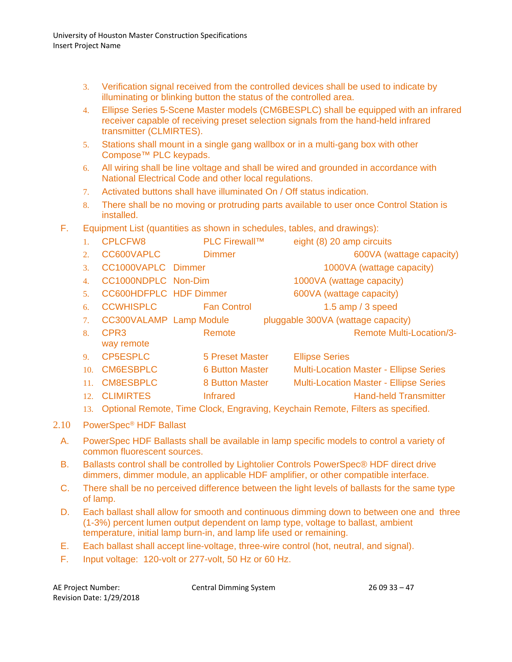- 3. Verification signal received from the controlled devices shall be used to indicate by illuminating or blinking button the status of the controlled area.
- 4. Ellipse Series 5-Scene Master models (CM6BESPLC) shall be equipped with an infrared receiver capable of receiving preset selection signals from the hand-held infrared transmitter (CLMIRTES).
- 5. Stations shall mount in a single gang wallbox or in a multi-gang box with other Compose™ PLC keypads.
- 6. All wiring shall be line voltage and shall be wired and grounded in accordance with National Electrical Code and other local regulations.
- 7. Activated buttons shall have illuminated On / Off status indication.
- 8. There shall be no moving or protruding parts available to user once Control Station is installed.
- F. Equipment List (quantities as shown in schedules, tables, and drawings):
	- 1. CPLCFW8 PLC Firewall™ eight (8) 20 amp circuits 2. CC600VAPLC Dimmer 600VA (wattage capacity) 3. CC1000VAPLC Dimmer 1000VA (wattage capacity) 4. CC1000NDPLC Non-Dim 1000VA (wattage capacity) 5. CC600HDFPLC HDF Dimmer 600VA (wattage capacity) 6. CCWHISPLC Fan Control 1.5 amp / 3 speed 7. CC300VALAMP Lamp Module pluggable 300VA (wattage capacity) 8. CPR3 Remote Remote Multi-Location/3 way remote 9. CP5ESPLC 5 Preset Master Ellipse Series 10. CM6ESBPLC 6 Button Master Multi-Location Master - Ellipse Series 11. CM8ESBPLC 8 Button Master Multi-Location Master - Ellipse Series 12. CLIMIRTES Infrared **Infrared** Hand-held Transmitter 13. Optional Remote, Time Clock, Engraving, Keychain Remote, Filters as specified.

#### 2.10 PowerSpec® HDF Ballast

- A. PowerSpec HDF Ballasts shall be available in lamp specific models to control a variety of common fluorescent sources.
- B. Ballasts control shall be controlled by Lightolier Controls PowerSpec® HDF direct drive dimmers, dimmer module, an applicable HDF amplifier, or other compatible interface.
- C. There shall be no perceived difference between the light levels of ballasts for the same type of lamp.
- D. Each ballast shall allow for smooth and continuous dimming down to between one and three (1-3%) percent lumen output dependent on lamp type, voltage to ballast, ambient temperature, initial lamp burn-in, and lamp life used or remaining.
- E. Each ballast shall accept line-voltage, three-wire control (hot, neutral, and signal).
- F. Input voltage: 120-volt or 277-volt, 50 Hz or 60 Hz.

| AE Project Number:       | <b>Central Dimming System</b> | $260933 - 47$ |
|--------------------------|-------------------------------|---------------|
| Revision Date: 1/29/2018 |                               |               |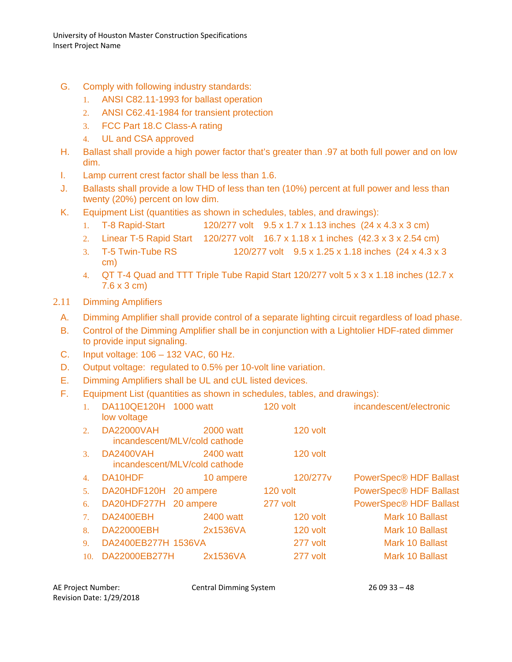University of Houston Master Construction Specifications Insert Project Name

- G. Comply with following industry standards:
	- 1. ANSI C82.11-1993 for ballast operation
	- 2. ANSI C62.41-1984 for transient protection
	- 3. FCC Part 18.C Class-A rating
	- 4. UL and CSA approved
- H. Ballast shall provide a high power factor that's greater than .97 at both full power and on low dim.
- I. Lamp current crest factor shall be less than 1.6.
- J. Ballasts shall provide a low THD of less than ten (10%) percent at full power and less than twenty (20%) percent on low dim.
- K. Equipment List (quantities as shown in schedules, tables, and drawings):
	- 1. T-8 Rapid-Start 120/277 volt 9.5 x 1.7 x 1.13 inches (24 x 4.3 x 3 cm)
	- 2. Linear T-5 Rapid Start 120/277 volt 16.7 x 1.18 x 1 inches (42.3 x 3 x 2.54 cm)
	- 3. T-5 Twin-Tube RS 120/277 volt 9.5 x 1.25 x 1.18 inches (24 x 4.3 x 3 cm)
	- 4. QT T-4 Quad and TTT Triple Tube Rapid Start 120/277 volt 5 x 3 x 1.18 inches (12.7 x 7.6 x 3 cm)
- 2.11 Dimming Amplifiers
	- A. Dimming Amplifier shall provide control of a separate lighting circuit regardless of load phase.
	- B. Control of the Dimming Amplifier shall be in conjunction with a Lightolier HDF-rated dimmer to provide input signaling.
	- C. Input voltage: 106 132 VAC, 60 Hz.
	- D. Output voltage: regulated to 0.5% per 10-volt line variation.
	- E. Dimming Amplifiers shall be UL and cUL listed devices.
	- F. Equipment List (quantities as shown in schedules, tables, and drawings):

| $1_{-}$     | DA110QE120H 1000 watt<br>low voltage |                                                   | 120 volt             | incandescent/electronic       |
|-------------|--------------------------------------|---------------------------------------------------|----------------------|-------------------------------|
| 2.          | <b>DA22000VAH</b>                    | <b>2000 watt</b><br>incandescent/MLV/cold cathode | 120 volt             |                               |
| 3.          | DA2400VAH                            | <b>2400 watt</b><br>incandescent/MLV/cold cathode | 120 volt             |                               |
| 4.          | DA10HDF                              | 10 ampere                                         | 120/277 <sub>V</sub> | <b>PowerSpec® HDF Ballast</b> |
| 5.          | DA20HDF120H 20 ampere                |                                                   | 120 volt             | <b>PowerSpec® HDF Ballast</b> |
| 6.          | DA20HDF277H 20 ampere                |                                                   | 277 volt             | <b>PowerSpec® HDF Ballast</b> |
| $7_{\odot}$ | DA2400EBH                            | <b>2400 watt</b>                                  | 120 volt             | Mark 10 Ballast               |
| 8.          | <b>DA22000EBH</b>                    | 2x1536VA                                          | 120 volt             | Mark 10 Ballast               |
| 9.          | DA2400EB277H 1536VA                  |                                                   | 277 volt             | Mark 10 Ballast               |
| 10.         | DA22000EB277H                        | 2x1536VA                                          | 277 volt             | Mark 10 Ballast               |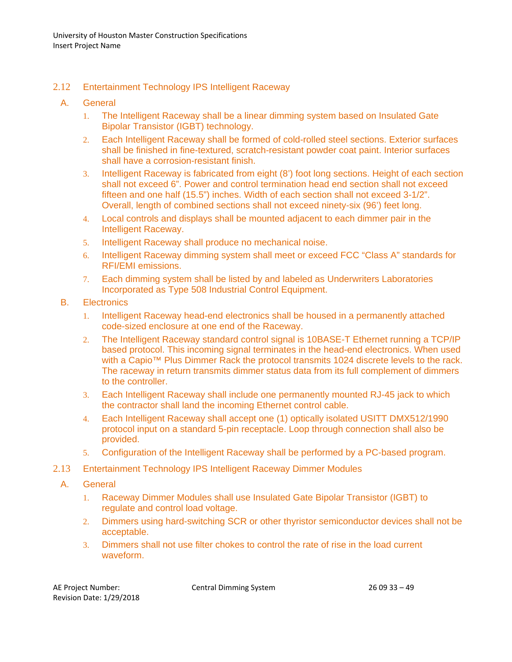## 2.12 Entertainment Technology IPS Intelligent Raceway

#### A. General

- 1. The Intelligent Raceway shall be a linear dimming system based on Insulated Gate Bipolar Transistor (IGBT) technology.
- 2. Each Intelligent Raceway shall be formed of cold-rolled steel sections. Exterior surfaces shall be finished in fine-textured, scratch-resistant powder coat paint. Interior surfaces shall have a corrosion-resistant finish.
- 3. Intelligent Raceway is fabricated from eight (8') foot long sections. Height of each section shall not exceed 6". Power and control termination head end section shall not exceed fifteen and one half (15.5") inches. Width of each section shall not exceed 3-1/2". Overall, length of combined sections shall not exceed ninety-six (96') feet long.
- 4. Local controls and displays shall be mounted adjacent to each dimmer pair in the Intelligent Raceway.
- 5. Intelligent Raceway shall produce no mechanical noise.
- 6. Intelligent Raceway dimming system shall meet or exceed FCC "Class A" standards for RFI/EMI emissions.
- 7. Each dimming system shall be listed by and labeled as Underwriters Laboratories Incorporated as Type 508 Industrial Control Equipment.

#### B. Electronics

- 1. Intelligent Raceway head-end electronics shall be housed in a permanently attached code-sized enclosure at one end of the Raceway.
- 2. The Intelligent Raceway standard control signal is 10BASE-T Ethernet running a TCP/IP based protocol. This incoming signal terminates in the head-end electronics. When used with a Capio™ Plus Dimmer Rack the protocol transmits 1024 discrete levels to the rack. The raceway in return transmits dimmer status data from its full complement of dimmers to the controller.
- 3. Each Intelligent Raceway shall include one permanently mounted RJ-45 jack to which the contractor shall land the incoming Ethernet control cable.
- 4. Each Intelligent Raceway shall accept one (1) optically isolated USITT DMX512/1990 protocol input on a standard 5-pin receptacle. Loop through connection shall also be provided.
- 5. Configuration of the Intelligent Raceway shall be performed by a PC-based program.
- 2.13 Entertainment Technology IPS Intelligent Raceway Dimmer Modules
	- A. General
		- 1. Raceway Dimmer Modules shall use Insulated Gate Bipolar Transistor (IGBT) to regulate and control load voltage.
		- 2. Dimmers using hard-switching SCR or other thyristor semiconductor devices shall not be acceptable.
		- 3. Dimmers shall not use filter chokes to control the rate of rise in the load current waveform.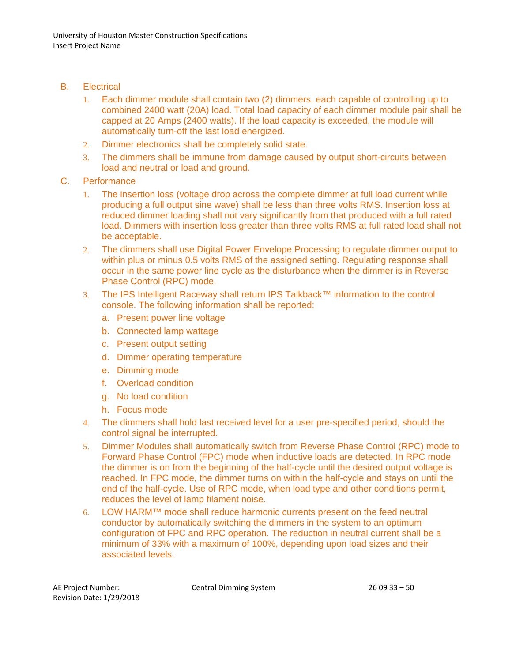- B. Electrical
	- 1. Each dimmer module shall contain two (2) dimmers, each capable of controlling up to combined 2400 watt (20A) load. Total load capacity of each dimmer module pair shall be capped at 20 Amps (2400 watts). If the load capacity is exceeded, the module will automatically turn-off the last load energized.
	- 2. Dimmer electronics shall be completely solid state.
	- 3. The dimmers shall be immune from damage caused by output short-circuits between load and neutral or load and ground.
- C. Performance
	- 1. The insertion loss (voltage drop across the complete dimmer at full load current while producing a full output sine wave) shall be less than three volts RMS. Insertion loss at reduced dimmer loading shall not vary significantly from that produced with a full rated load. Dimmers with insertion loss greater than three volts RMS at full rated load shall not be acceptable.
	- 2. The dimmers shall use Digital Power Envelope Processing to regulate dimmer output to within plus or minus 0.5 volts RMS of the assigned setting. Regulating response shall occur in the same power line cycle as the disturbance when the dimmer is in Reverse Phase Control (RPC) mode.
	- 3. The IPS Intelligent Raceway shall return IPS Talkback™ information to the control console. The following information shall be reported:
		- a. Present power line voltage
		- b. Connected lamp wattage
		- c. Present output setting
		- d. Dimmer operating temperature
		- e. Dimming mode
		- f. Overload condition
		- g. No load condition
		- h. Focus mode
	- 4. The dimmers shall hold last received level for a user pre-specified period, should the control signal be interrupted.
	- 5. Dimmer Modules shall automatically switch from Reverse Phase Control (RPC) mode to Forward Phase Control (FPC) mode when inductive loads are detected. In RPC mode the dimmer is on from the beginning of the half-cycle until the desired output voltage is reached. In FPC mode, the dimmer turns on within the half-cycle and stays on until the end of the half-cycle. Use of RPC mode, when load type and other conditions permit, reduces the level of lamp filament noise.
	- 6. LOW HARM™ mode shall reduce harmonic currents present on the feed neutral conductor by automatically switching the dimmers in the system to an optimum configuration of FPC and RPC operation. The reduction in neutral current shall be a minimum of 33% with a maximum of 100%, depending upon load sizes and their associated levels.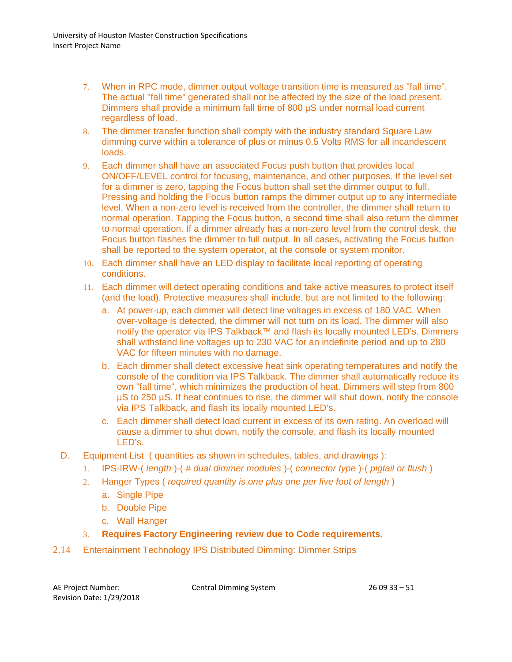- 7. When in RPC mode, dimmer output voltage transition time is measured as "fall time". The actual "fall time" generated shall not be affected by the size of the load present. Dimmers shall provide a minimum fall time of 800 µS under normal load current regardless of load.
- 8. The dimmer transfer function shall comply with the industry standard Square Law dimming curve within a tolerance of plus or minus 0.5 Volts RMS for all incandescent loads.
- 9. Each dimmer shall have an associated Focus push button that provides local ON/OFF/LEVEL control for focusing, maintenance, and other purposes. If the level set for a dimmer is zero, tapping the Focus button shall set the dimmer output to full. Pressing and holding the Focus button ramps the dimmer output up to any intermediate level. When a non-zero level is received from the controller, the dimmer shall return to normal operation. Tapping the Focus button, a second time shall also return the dimmer to normal operation. If a dimmer already has a non-zero level from the control desk, the Focus button flashes the dimmer to full output. In all cases, activating the Focus button shall be reported to the system operator, at the console or system monitor.
- 10. Each dimmer shall have an LED display to facilitate local reporting of operating conditions.
- 11. Each dimmer will detect operating conditions and take active measures to protect itself (and the load). Protective measures shall include, but are not limited to the following:
	- a. At power-up, each dimmer will detect line voltages in excess of 180 VAC. When over-voltage is detected, the dimmer will not turn on its load. The dimmer will also notify the operator via IPS Talkback™ and flash its locally mounted LED's. Dimmers shall withstand line voltages up to 230 VAC for an indefinite period and up to 280 VAC for fifteen minutes with no damage.
	- b. Each dimmer shall detect excessive heat sink operating temperatures and notify the console of the condition via IPS Talkback. The dimmer shall automatically reduce its own "fall time", which minimizes the production of heat. Dimmers will step from 800 µS to 250 µS. If heat continues to rise, the dimmer will shut down, notify the console via IPS Talkback, and flash its locally mounted LED's.
	- c. Each dimmer shall detect load current in excess of its own rating. An overload will cause a dimmer to shut down, notify the console, and flash its locally mounted LED's.
- D. Equipment List ( quantities as shown in schedules, tables, and drawings ):
	- 1. IPS-IRW-( *length* )-( *# dual dimmer modules* )-( *connector type* )-( *pigtail or flush* )
	- 2. Hanger Types ( *required quantity is one plus one per five foot of length* )
		- a. Single Pipe
		- b. Double Pipe
		- c. Wall Hanger
	- 3. **Requires Factory Engineering review due to Code requirements.**
- 2.14 Entertainment Technology IPS Distributed Dimming: Dimmer Strips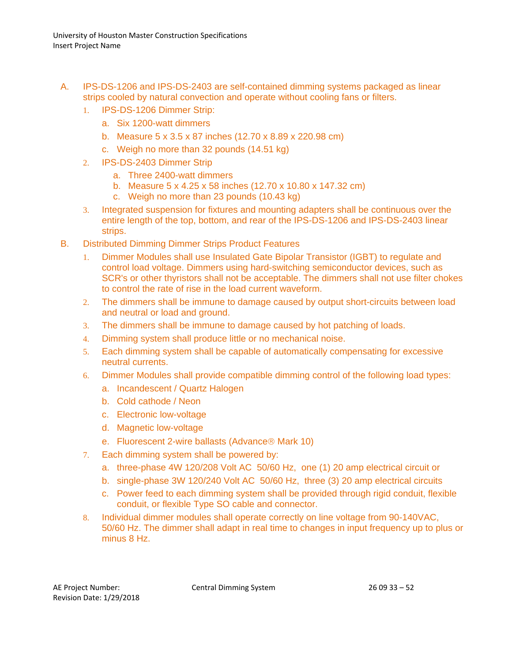- A. IPS-DS-1206 and IPS-DS-2403 are self-contained dimming systems packaged as linear strips cooled by natural convection and operate without cooling fans or filters.
	- 1. IPS-DS-1206 Dimmer Strip:
		- a. Six 1200-watt dimmers
		- b. Measure 5 x 3.5 x 87 inches (12.70 x 8.89 x 220.98 cm)
		- c. Weigh no more than 32 pounds (14.51 kg)
	- 2. IPS-DS-2403 Dimmer Strip
		- a. Three 2400-watt dimmers
		- b. Measure 5 x 4.25 x 58 inches (12.70 x 10.80 x 147.32 cm)
		- c. Weigh no more than 23 pounds (10.43 kg)
	- 3. Integrated suspension for fixtures and mounting adapters shall be continuous over the entire length of the top, bottom, and rear of the IPS-DS-1206 and IPS-DS-2403 linear strips.
- B. Distributed Dimming Dimmer Strips Product Features
	- 1. Dimmer Modules shall use Insulated Gate Bipolar Transistor (IGBT) to regulate and control load voltage. Dimmers using hard-switching semiconductor devices, such as SCR's or other thyristors shall not be acceptable. The dimmers shall not use filter chokes to control the rate of rise in the load current waveform.
	- 2. The dimmers shall be immune to damage caused by output short-circuits between load and neutral or load and ground.
	- 3. The dimmers shall be immune to damage caused by hot patching of loads.
	- 4. Dimming system shall produce little or no mechanical noise.
	- 5. Each dimming system shall be capable of automatically compensating for excessive neutral currents.
	- 6. Dimmer Modules shall provide compatible dimming control of the following load types:
		- a. Incandescent / Quartz Halogen
		- b. Cold cathode / Neon
		- c. Electronic low-voltage
		- d. Magnetic low-voltage
		- e. Fluorescent 2-wire ballasts (Advance<sup>®</sup> Mark 10)
	- 7. Each dimming system shall be powered by:
		- a. three-phase 4W 120/208 Volt AC 50/60 Hz, one (1) 20 amp electrical circuit or
		- b. single-phase 3W 120/240 Volt AC 50/60 Hz, three (3) 20 amp electrical circuits
		- c. Power feed to each dimming system shall be provided through rigid conduit, flexible conduit, or flexible Type SO cable and connector.
	- 8. Individual dimmer modules shall operate correctly on line voltage from 90-140VAC, 50/60 Hz. The dimmer shall adapt in real time to changes in input frequency up to plus or minus 8 Hz.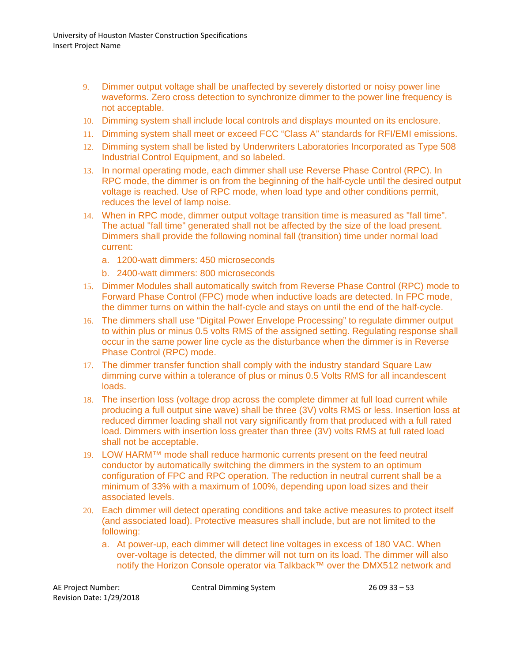- 9. Dimmer output voltage shall be unaffected by severely distorted or noisy power line waveforms. Zero cross detection to synchronize dimmer to the power line frequency is not acceptable.
- 10. Dimming system shall include local controls and displays mounted on its enclosure.
- 11. Dimming system shall meet or exceed FCC "Class A" standards for RFI/EMI emissions.
- 12. Dimming system shall be listed by Underwriters Laboratories Incorporated as Type 508 Industrial Control Equipment, and so labeled.
- 13. In normal operating mode, each dimmer shall use Reverse Phase Control (RPC). In RPC mode, the dimmer is on from the beginning of the half-cycle until the desired output voltage is reached. Use of RPC mode, when load type and other conditions permit, reduces the level of lamp noise.
- 14. When in RPC mode, dimmer output voltage transition time is measured as "fall time". The actual "fall time" generated shall not be affected by the size of the load present. Dimmers shall provide the following nominal fall (transition) time under normal load current:
	- a. 1200-watt dimmers: 450 microseconds
	- b. 2400-watt dimmers: 800 microseconds
- 15. Dimmer Modules shall automatically switch from Reverse Phase Control (RPC) mode to Forward Phase Control (FPC) mode when inductive loads are detected. In FPC mode, the dimmer turns on within the half-cycle and stays on until the end of the half-cycle.
- 16. The dimmers shall use "Digital Power Envelope Processing" to regulate dimmer output to within plus or minus 0.5 volts RMS of the assigned setting. Regulating response shall occur in the same power line cycle as the disturbance when the dimmer is in Reverse Phase Control (RPC) mode.
- 17. The dimmer transfer function shall comply with the industry standard Square Law dimming curve within a tolerance of plus or minus 0.5 Volts RMS for all incandescent loads.
- 18. The insertion loss (voltage drop across the complete dimmer at full load current while producing a full output sine wave) shall be three (3V) volts RMS or less. Insertion loss at reduced dimmer loading shall not vary significantly from that produced with a full rated load. Dimmers with insertion loss greater than three (3V) volts RMS at full rated load shall not be acceptable.
- 19. LOW HARM™ mode shall reduce harmonic currents present on the feed neutral conductor by automatically switching the dimmers in the system to an optimum configuration of FPC and RPC operation. The reduction in neutral current shall be a minimum of 33% with a maximum of 100%, depending upon load sizes and their associated levels.
- 20. Each dimmer will detect operating conditions and take active measures to protect itself (and associated load). Protective measures shall include, but are not limited to the following:
	- a. At power-up, each dimmer will detect line voltages in excess of 180 VAC. When over-voltage is detected, the dimmer will not turn on its load. The dimmer will also notify the Horizon Console operator via Talkback™ over the DMX512 network and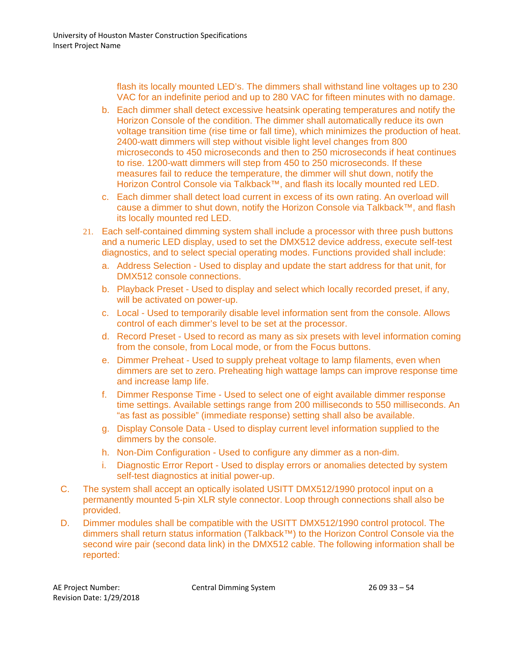flash its locally mounted LED's. The dimmers shall withstand line voltages up to 230 VAC for an indefinite period and up to 280 VAC for fifteen minutes with no damage.

- b. Each dimmer shall detect excessive heatsink operating temperatures and notify the Horizon Console of the condition. The dimmer shall automatically reduce its own voltage transition time (rise time or fall time), which minimizes the production of heat. 2400-watt dimmers will step without visible light level changes from 800 microseconds to 450 microseconds and then to 250 microseconds if heat continues to rise. 1200-watt dimmers will step from 450 to 250 microseconds. If these measures fail to reduce the temperature, the dimmer will shut down, notify the Horizon Control Console via Talkback™, and flash its locally mounted red LED.
- c. Each dimmer shall detect load current in excess of its own rating. An overload will cause a dimmer to shut down, notify the Horizon Console via Talkback™, and flash its locally mounted red LED.
- 21. Each self-contained dimming system shall include a processor with three push buttons and a numeric LED display, used to set the DMX512 device address, execute self-test diagnostics, and to select special operating modes. Functions provided shall include:
	- a. Address Selection Used to display and update the start address for that unit, for DMX512 console connections.
	- b. Playback Preset Used to display and select which locally recorded preset, if any, will be activated on power-up.
	- c. Local Used to temporarily disable level information sent from the console. Allows control of each dimmer's level to be set at the processor.
	- d. Record Preset Used to record as many as six presets with level information coming from the console, from Local mode, or from the Focus buttons.
	- e. Dimmer Preheat Used to supply preheat voltage to lamp filaments, even when dimmers are set to zero. Preheating high wattage lamps can improve response time and increase lamp life.
	- f. Dimmer Response Time Used to select one of eight available dimmer response time settings. Available settings range from 200 milliseconds to 550 milliseconds. An "as fast as possible" (immediate response) setting shall also be available.
	- g. Display Console Data Used to display current level information supplied to the dimmers by the console.
	- h. Non-Dim Configuration Used to configure any dimmer as a non-dim.
	- i. Diagnostic Error Report Used to display errors or anomalies detected by system self-test diagnostics at initial power-up.
- C. The system shall accept an optically isolated USITT DMX512/1990 protocol input on a permanently mounted 5-pin XLR style connector. Loop through connections shall also be provided.
- D. Dimmer modules shall be compatible with the USITT DMX512/1990 control protocol. The dimmers shall return status information (Talkback™) to the Horizon Control Console via the second wire pair (second data link) in the DMX512 cable. The following information shall be reported: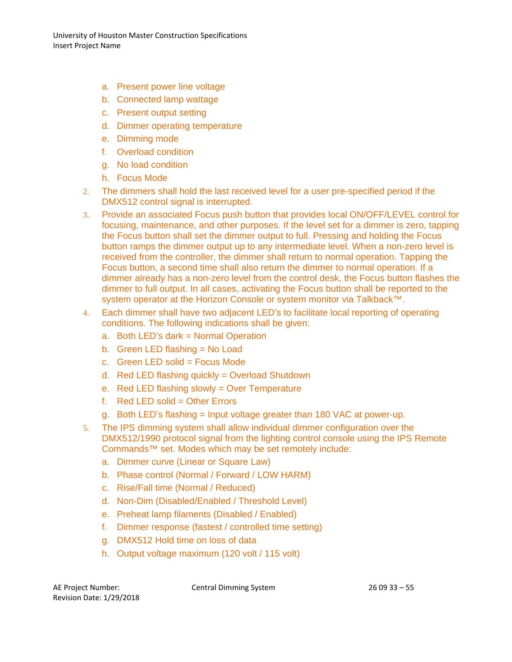University of Houston Master Construction Specifications Insert Project Name

- a. Present power line voltage
- b. Connected lamp wattage
- c. Present output setting
- d. Dimmer operating temperature
- e. Dimming mode
- f. Overload condition
- g. No load condition
- h. Focus Mode
- 2. The dimmers shall hold the last received level for a user pre-specified period if the DMX512 control signal is interrupted.
- 3. Provide an associated Focus push button that provides local ON/OFF/LEVEL control for focusing, maintenance, and other purposes. If the level set for a dimmer is zero, tapping the Focus button shall set the dimmer output to full. Pressing and holding the Focus button ramps the dimmer output up to any intermediate level. When a non-zero level is received from the controller, the dimmer shall return to normal operation. Tapping the Focus button, a second time shall also return the dimmer to normal operation. If a dimmer already has a non-zero level from the control desk, the Focus button flashes the dimmer to full output. In all cases, activating the Focus button shall be reported to the system operator at the Horizon Console or system monitor via Talkback™.
- 4. Each dimmer shall have two adjacent LED's to facilitate local reporting of operating conditions. The following indications shall be given:
	- a. Both LED's dark = Normal Operation
	- b. Green LED flashing = No Load
	- c. Green LED solid = Focus Mode
	- d. Red LED flashing quickly = Overload Shutdown
	- e. Red LED flashing slowly = Over Temperature
	- f. Red LED solid  $=$  Other Errors
	- g. Both LED's flashing = Input voltage greater than 180 VAC at power-up.
- 5. The IPS dimming system shall allow individual dimmer configuration over the DMX512/1990 protocol signal from the lighting control console using the IPS Remote Commands™ set. Modes which may be set remotely include:
	- a. Dimmer curve (Linear or Square Law)
	- b. Phase control (Normal / Forward / LOW HARM)
	- c. Rise/Fall time (Normal / Reduced)
	- d. Non-Dim (Disabled/Enabled / Threshold Level)
	- e. Preheat lamp filaments (Disabled / Enabled)
	- f. Dimmer response (fastest / controlled time setting)
	- g. DMX512 Hold time on loss of data
	- h. Output voltage maximum (120 volt / 115 volt)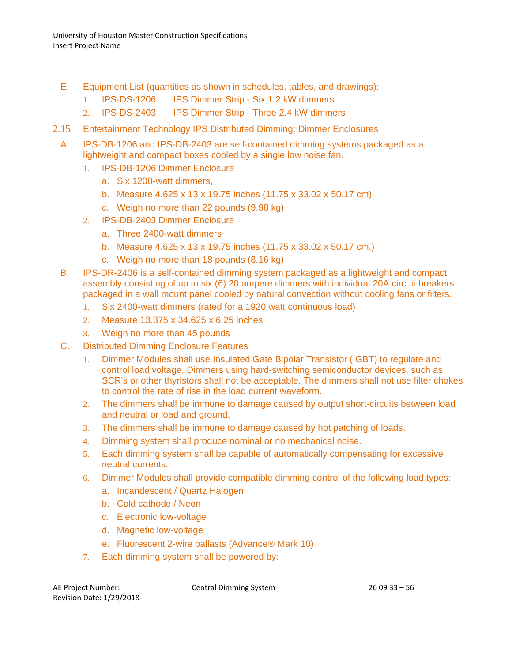- E. Equipment List (quantities as shown in schedules, tables, and drawings):
	- 1. IPS-DS-1206 IPS Dimmer Strip Six 1.2 kW dimmers
	- 2. IPS-DS-2403 IPS Dimmer Strip Three 2.4 kW dimmers
- 2.15 Entertainment Technology IPS Distributed Dimming: Dimmer Enclosures
	- A. IPS-DB-1206 and IPS-DB-2403 are self-contained dimming systems packaged as a lightweight and compact boxes cooled by a single low noise fan.
		- 1. IPS-DB-1206 Dimmer Enclosure
			- a. Six 1200-watt dimmers,
			- b. Measure 4.625 x 13 x 19.75 inches (11.75 x 33.02 x 50.17 cm)
			- c. Weigh no more than 22 pounds (9.98 kg)
		- 2. IPS-DB-2403 Dimmer Enclosure
			- a. Three 2400-watt dimmers
			- b. Measure 4.625 x 13 x 19.75 inches (11.75 x 33.02 x 50.17 cm.)
			- c. Weigh no more than 18 pounds (8.16 kg)
	- B. IPS-DR-2406 is a self-contained dimming system packaged as a lightweight and compact assembly consisting of up to six (6) 20 ampere dimmers with individual 20A circuit breakers packaged in a wall mount panel cooled by natural convection without cooling fans or filters.
		- 1. Six 2400-watt dimmers (rated for a 1920 watt continuous load)
		- 2. Measure 13.375 x 34.625 x 6.25 inches
		- 3. Weigh no more than 45 pounds
	- C. Distributed Dimming Enclosure Features
		- 1. Dimmer Modules shall use Insulated Gate Bipolar Transistor (IGBT) to regulate and control load voltage. Dimmers using hard-switching semiconductor devices, such as SCR's or other thyristors shall not be acceptable. The dimmers shall not use filter chokes to control the rate of rise in the load current waveform.
		- 2. The dimmers shall be immune to damage caused by output short-circuits between load and neutral or load and ground.
		- 3. The dimmers shall be immune to damage caused by hot patching of loads.
		- 4. Dimming system shall produce nominal or no mechanical noise.
		- 5. Each dimming system shall be capable of automatically compensating for excessive neutral currents.
		- 6. Dimmer Modules shall provide compatible dimming control of the following load types:
			- a. Incandescent / Quartz Halogen
			- b. Cold cathode / Neon
			- c. Electronic low-voltage
			- d. Magnetic low-voltage
			- e. Fluorescent 2-wire ballasts (Advance<sup>®</sup> Mark 10)
		- 7. Each dimming system shall be powered by: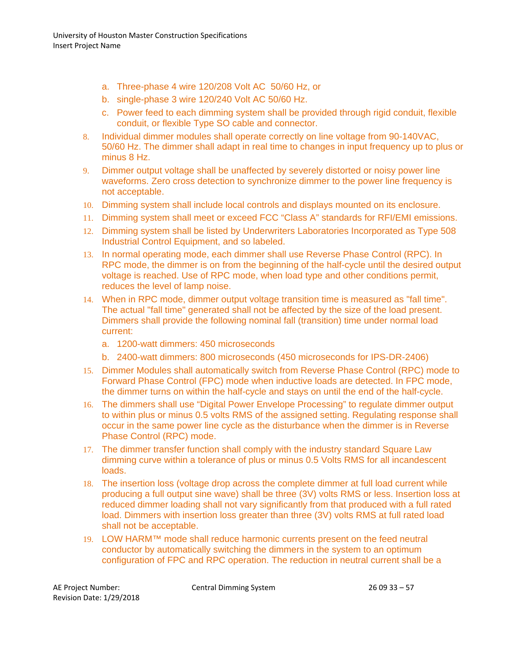- a. Three-phase 4 wire 120/208 Volt AC 50/60 Hz, or
- b. single-phase 3 wire 120/240 Volt AC 50/60 Hz.
- c. Power feed to each dimming system shall be provided through rigid conduit, flexible conduit, or flexible Type SO cable and connector.
- 8. Individual dimmer modules shall operate correctly on line voltage from 90-140VAC, 50/60 Hz. The dimmer shall adapt in real time to changes in input frequency up to plus or minus 8 Hz.
- 9. Dimmer output voltage shall be unaffected by severely distorted or noisy power line waveforms. Zero cross detection to synchronize dimmer to the power line frequency is not acceptable.
- 10. Dimming system shall include local controls and displays mounted on its enclosure.
- 11. Dimming system shall meet or exceed FCC "Class A" standards for RFI/EMI emissions.
- 12. Dimming system shall be listed by Underwriters Laboratories Incorporated as Type 508 Industrial Control Equipment, and so labeled.
- 13. In normal operating mode, each dimmer shall use Reverse Phase Control (RPC). In RPC mode, the dimmer is on from the beginning of the half-cycle until the desired output voltage is reached. Use of RPC mode, when load type and other conditions permit, reduces the level of lamp noise.
- 14. When in RPC mode, dimmer output voltage transition time is measured as "fall time". The actual "fall time" generated shall not be affected by the size of the load present. Dimmers shall provide the following nominal fall (transition) time under normal load current:
	- a. 1200-watt dimmers: 450 microseconds
	- b. 2400-watt dimmers: 800 microseconds (450 microseconds for IPS-DR-2406)
- 15. Dimmer Modules shall automatically switch from Reverse Phase Control (RPC) mode to Forward Phase Control (FPC) mode when inductive loads are detected. In FPC mode, the dimmer turns on within the half-cycle and stays on until the end of the half-cycle.
- 16. The dimmers shall use "Digital Power Envelope Processing" to regulate dimmer output to within plus or minus 0.5 volts RMS of the assigned setting. Regulating response shall occur in the same power line cycle as the disturbance when the dimmer is in Reverse Phase Control (RPC) mode.
- 17. The dimmer transfer function shall comply with the industry standard Square Law dimming curve within a tolerance of plus or minus 0.5 Volts RMS for all incandescent loads.
- 18. The insertion loss (voltage drop across the complete dimmer at full load current while producing a full output sine wave) shall be three (3V) volts RMS or less. Insertion loss at reduced dimmer loading shall not vary significantly from that produced with a full rated load. Dimmers with insertion loss greater than three (3V) volts RMS at full rated load shall not be acceptable.
- 19. LOW HARM™ mode shall reduce harmonic currents present on the feed neutral conductor by automatically switching the dimmers in the system to an optimum configuration of FPC and RPC operation. The reduction in neutral current shall be a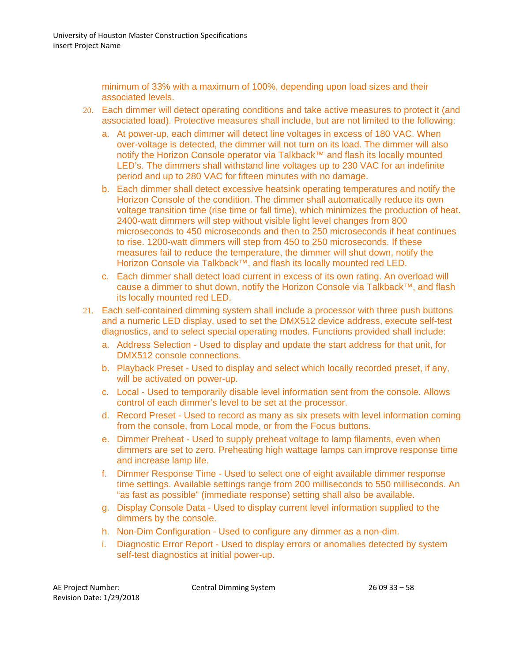minimum of 33% with a maximum of 100%, depending upon load sizes and their associated levels.

- 20. Each dimmer will detect operating conditions and take active measures to protect it (and associated load). Protective measures shall include, but are not limited to the following:
	- a. At power-up, each dimmer will detect line voltages in excess of 180 VAC. When over-voltage is detected, the dimmer will not turn on its load. The dimmer will also notify the Horizon Console operator via Talkback™ and flash its locally mounted LED's. The dimmers shall withstand line voltages up to 230 VAC for an indefinite period and up to 280 VAC for fifteen minutes with no damage.
	- b. Each dimmer shall detect excessive heatsink operating temperatures and notify the Horizon Console of the condition. The dimmer shall automatically reduce its own voltage transition time (rise time or fall time), which minimizes the production of heat. 2400-watt dimmers will step without visible light level changes from 800 microseconds to 450 microseconds and then to 250 microseconds if heat continues to rise. 1200-watt dimmers will step from 450 to 250 microseconds. If these measures fail to reduce the temperature, the dimmer will shut down, notify the Horizon Console via Talkback™, and flash its locally mounted red LED.
	- c. Each dimmer shall detect load current in excess of its own rating. An overload will cause a dimmer to shut down, notify the Horizon Console via Talkback™, and flash its locally mounted red LED.
- 21. Each self-contained dimming system shall include a processor with three push buttons and a numeric LED display, used to set the DMX512 device address, execute self-test diagnostics, and to select special operating modes. Functions provided shall include:
	- a. Address Selection Used to display and update the start address for that unit, for DMX512 console connections.
	- b. Playback Preset Used to display and select which locally recorded preset, if any, will be activated on power-up.
	- c. Local Used to temporarily disable level information sent from the console. Allows control of each dimmer's level to be set at the processor.
	- d. Record Preset Used to record as many as six presets with level information coming from the console, from Local mode, or from the Focus buttons.
	- e. Dimmer Preheat Used to supply preheat voltage to lamp filaments, even when dimmers are set to zero. Preheating high wattage lamps can improve response time and increase lamp life.
	- f. Dimmer Response Time Used to select one of eight available dimmer response time settings. Available settings range from 200 milliseconds to 550 milliseconds. An "as fast as possible" (immediate response) setting shall also be available.
	- g. Display Console Data Used to display current level information supplied to the dimmers by the console.
	- h. Non-Dim Configuration Used to configure any dimmer as a non-dim.
	- i. Diagnostic Error Report Used to display errors or anomalies detected by system self-test diagnostics at initial power-up.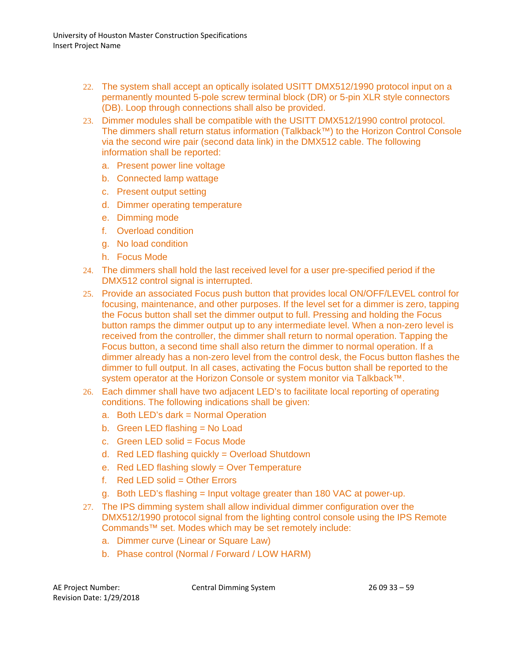- 22. The system shall accept an optically isolated USITT DMX512/1990 protocol input on a permanently mounted 5-pole screw terminal block (DR) or 5-pin XLR style connectors (DB). Loop through connections shall also be provided.
- 23. Dimmer modules shall be compatible with the USITT DMX512/1990 control protocol. The dimmers shall return status information (Talkback™) to the Horizon Control Console via the second wire pair (second data link) in the DMX512 cable. The following information shall be reported:
	- a. Present power line voltage
	- b. Connected lamp wattage
	- c. Present output setting
	- d. Dimmer operating temperature
	- e. Dimming mode
	- f. Overload condition
	- g. No load condition
	- h. Focus Mode
- 24. The dimmers shall hold the last received level for a user pre-specified period if the DMX512 control signal is interrupted.
- 25. Provide an associated Focus push button that provides local ON/OFF/LEVEL control for focusing, maintenance, and other purposes. If the level set for a dimmer is zero, tapping the Focus button shall set the dimmer output to full. Pressing and holding the Focus button ramps the dimmer output up to any intermediate level. When a non-zero level is received from the controller, the dimmer shall return to normal operation. Tapping the Focus button, a second time shall also return the dimmer to normal operation. If a dimmer already has a non-zero level from the control desk, the Focus button flashes the dimmer to full output. In all cases, activating the Focus button shall be reported to the system operator at the Horizon Console or system monitor via Talkback™.
- 26. Each dimmer shall have two adjacent LED's to facilitate local reporting of operating conditions. The following indications shall be given:
	- a. Both LED's dark = Normal Operation
	- b. Green LED flashing = No Load
	- c. Green LED solid = Focus Mode
	- d. Red LED flashing quickly = Overload Shutdown
	- e. Red LED flashing slowly = Over Temperature
	- f. Red LED solid = Other Errors
	- g. Both LED's flashing = Input voltage greater than 180 VAC at power-up.
- 27. The IPS dimming system shall allow individual dimmer configuration over the DMX512/1990 protocol signal from the lighting control console using the IPS Remote Commands™ set. Modes which may be set remotely include:
	- a. Dimmer curve (Linear or Square Law)
	- b. Phase control (Normal / Forward / LOW HARM)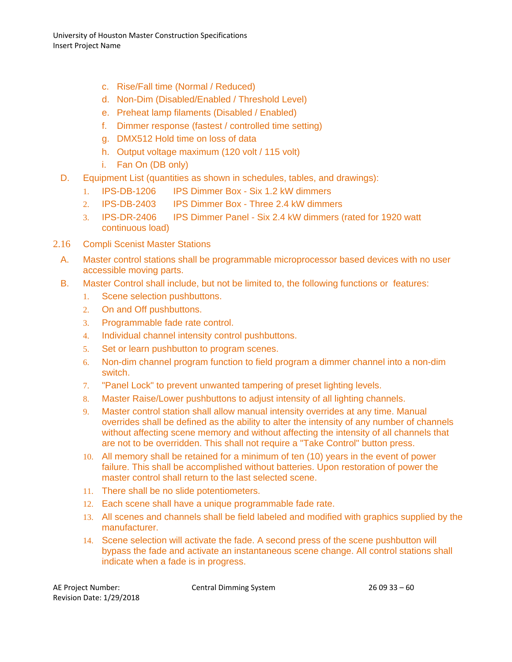- c. Rise/Fall time (Normal / Reduced)
- d. Non-Dim (Disabled/Enabled / Threshold Level)
- e. Preheat lamp filaments (Disabled / Enabled)
- f. Dimmer response (fastest / controlled time setting)
- g. DMX512 Hold time on loss of data
- h. Output voltage maximum (120 volt / 115 volt)
- i. Fan On (DB only)
- D. Equipment List (quantities as shown in schedules, tables, and drawings):
	- 1. IPS-DB-1206 IPS Dimmer Box Six 1.2 kW dimmers
	- 2. IPS-DB-2403 IPS Dimmer Box Three 2.4 kW dimmers
	- 3. IPS-DR-2406 IPS Dimmer Panel Six 2.4 kW dimmers (rated for 1920 watt continuous load)
- 2.16 Compli Scenist Master Stations
	- A. Master control stations shall be programmable microprocessor based devices with no user accessible moving parts.
	- B. Master Control shall include, but not be limited to, the following functions or features:
		- 1. Scene selection pushbuttons.
		- 2. On and Off pushbuttons.
		- 3. Programmable fade rate control.
		- 4. Individual channel intensity control pushbuttons.
		- 5. Set or learn pushbutton to program scenes.
		- 6. Non-dim channel program function to field program a dimmer channel into a non-dim switch.
		- 7. "Panel Lock" to prevent unwanted tampering of preset lighting levels.
		- 8. Master Raise/Lower pushbuttons to adjust intensity of all lighting channels.
		- 9. Master control station shall allow manual intensity overrides at any time. Manual overrides shall be defined as the ability to alter the intensity of any number of channels without affecting scene memory and without affecting the intensity of all channels that are not to be overridden. This shall not require a "Take Control" button press.
		- 10. All memory shall be retained for a minimum of ten (10) years in the event of power failure. This shall be accomplished without batteries. Upon restoration of power the master control shall return to the last selected scene.
		- 11. There shall be no slide potentiometers.
		- 12. Each scene shall have a unique programmable fade rate.
		- 13. All scenes and channels shall be field labeled and modified with graphics supplied by the manufacturer.
		- 14. Scene selection will activate the fade. A second press of the scene pushbutton will bypass the fade and activate an instantaneous scene change. All control stations shall indicate when a fade is in progress.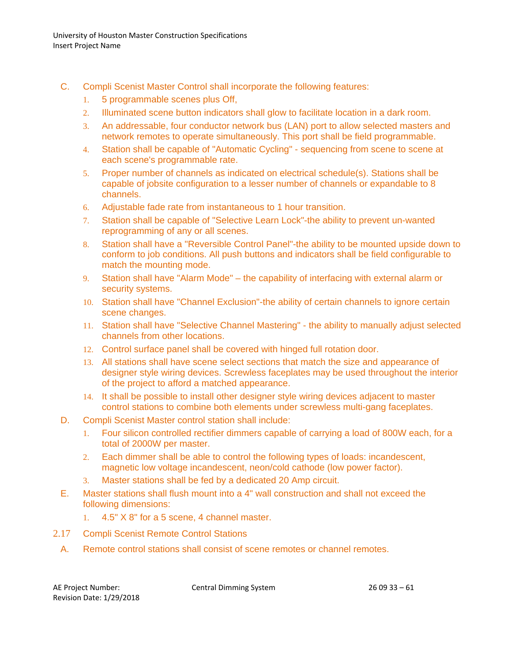- C. Compli Scenist Master Control shall incorporate the following features:
	- 1. 5 programmable scenes plus Off,
	- 2. Illuminated scene button indicators shall glow to facilitate location in a dark room.
	- 3. An addressable, four conductor network bus (LAN) port to allow selected masters and network remotes to operate simultaneously. This port shall be field programmable.
	- 4. Station shall be capable of "Automatic Cycling" sequencing from scene to scene at each scene's programmable rate.
	- 5. Proper number of channels as indicated on electrical schedule(s). Stations shall be capable of jobsite configuration to a lesser number of channels or expandable to 8 channels.
	- 6. Adjustable fade rate from instantaneous to 1 hour transition.
	- 7. Station shall be capable of "Selective Learn Lock"-the ability to prevent un-wanted reprogramming of any or all scenes.
	- 8. Station shall have a "Reversible Control Panel"-the ability to be mounted upside down to conform to job conditions. All push buttons and indicators shall be field configurable to match the mounting mode.
	- 9. Station shall have "Alarm Mode" the capability of interfacing with external alarm or security systems.
	- 10. Station shall have "Channel Exclusion"-the ability of certain channels to ignore certain scene changes.
	- 11. Station shall have "Selective Channel Mastering" the ability to manually adjust selected channels from other locations.
	- 12. Control surface panel shall be covered with hinged full rotation door.
	- 13. All stations shall have scene select sections that match the size and appearance of designer style wiring devices. Screwless faceplates may be used throughout the interior of the project to afford a matched appearance.
	- 14. It shall be possible to install other designer style wiring devices adjacent to master control stations to combine both elements under screwless multi-gang faceplates.
- D. Compli Scenist Master control station shall include:
	- 1. Four silicon controlled rectifier dimmers capable of carrying a load of 800W each, for a total of 2000W per master.
	- 2. Each dimmer shall be able to control the following types of loads: incandescent, magnetic low voltage incandescent, neon/cold cathode (low power factor).
	- 3. Master stations shall be fed by a dedicated 20 Amp circuit.
- E. Master stations shall flush mount into a 4" wall construction and shall not exceed the following dimensions:
	- 1. 4.5" X 8" for a 5 scene, 4 channel master.
- 2.17 Compli Scenist Remote Control Stations
	- A. Remote control stations shall consist of scene remotes or channel remotes.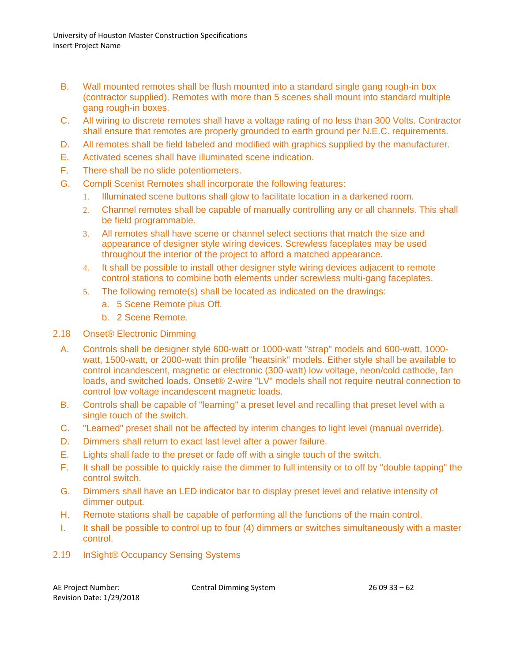- B. Wall mounted remotes shall be flush mounted into a standard single gang rough-in box (contractor supplied). Remotes with more than 5 scenes shall mount into standard multiple gang rough-in boxes.
- C. All wiring to discrete remotes shall have a voltage rating of no less than 300 Volts. Contractor shall ensure that remotes are properly grounded to earth ground per N.E.C. requirements.
- D. All remotes shall be field labeled and modified with graphics supplied by the manufacturer.
- E. Activated scenes shall have illuminated scene indication.
- F. There shall be no slide potentiometers.
- G. Compli Scenist Remotes shall incorporate the following features:
	- 1. Illuminated scene buttons shall glow to facilitate location in a darkened room.
	- 2. Channel remotes shall be capable of manually controlling any or all channels. This shall be field programmable.
	- 3. All remotes shall have scene or channel select sections that match the size and appearance of designer style wiring devices. Screwless faceplates may be used throughout the interior of the project to afford a matched appearance.
	- 4. It shall be possible to install other designer style wiring devices adjacent to remote control stations to combine both elements under screwless multi-gang faceplates.
	- 5. The following remote(s) shall be located as indicated on the drawings:
		- a. 5 Scene Remote plus Off.
		- b. 2 Scene Remote.

#### 2.18 Onset® Electronic Dimming

- A. Controls shall be designer style 600-watt or 1000-watt "strap" models and 600-watt, 1000 watt, 1500-watt, or 2000-watt thin profile "heatsink" models. Either style shall be available to control incandescent, magnetic or electronic (300-watt) low voltage, neon/cold cathode, fan loads, and switched loads. Onset® 2-wire "LV" models shall not require neutral connection to control low voltage incandescent magnetic loads.
- B. Controls shall be capable of "learning" a preset level and recalling that preset level with a single touch of the switch.
- C. "Learned" preset shall not be affected by interim changes to light level (manual override).
- D. Dimmers shall return to exact last level after a power failure.
- E. Lights shall fade to the preset or fade off with a single touch of the switch.
- F. It shall be possible to quickly raise the dimmer to full intensity or to off by "double tapping" the control switch.
- G. Dimmers shall have an LED indicator bar to display preset level and relative intensity of dimmer output.
- H. Remote stations shall be capable of performing all the functions of the main control.
- I. It shall be possible to control up to four (4) dimmers or switches simultaneously with a master control.
- 2.19 InSight® Occupancy Sensing Systems

| AE Project Number:       |
|--------------------------|
| Revision Date: 1/29/2018 |

Central Dimming System 26 09 33 – 62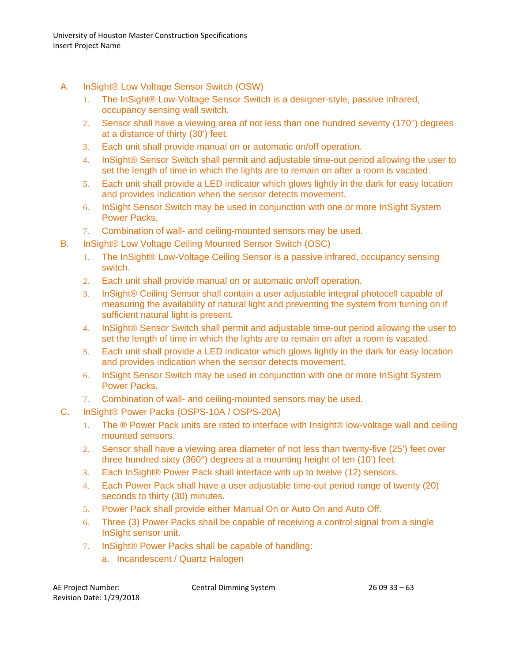- A. InSight® Low Voltage Sensor Switch (OSW)
	- 1. The InSight® Low-Voltage Sensor Switch is a designer-style, passive infrared, occupancy sensing wall switch.
	- 2. Sensor shall have a viewing area of not less than one hundred seventy (170°) degrees at a distance of thirty (30') feet.
	- 3. Each unit shall provide manual on or automatic on/off operation.
	- 4. InSight® Sensor Switch shall permit and adjustable time-out period allowing the user to set the length of time in which the lights are to remain on after a room is vacated.
	- 5. Each unit shall provide a LED indicator which glows lightly in the dark for easy location and provides indication when the sensor detects movement.
	- 6. InSight Sensor Switch may be used in conjunction with one or more InSight System Power Packs.
	- 7. Combination of wall- and ceiling-mounted sensors may be used.
- B. InSight® Low Voltage Ceiling Mounted Sensor Switch (OSC)
	- 1. The InSight® Low-Voltage Ceiling Sensor is a passive infrared, occupancy sensing switch.
	- 2. Each unit shall provide manual on or automatic on/off operation.
	- 3. InSight® Ceiling Sensor shall contain a user adjustable integral photocell capable of measuring the availability of natural light and preventing the system from turning on if sufficient natural light is present.
	- 4. InSight® Sensor Switch shall permit and adjustable time-out period allowing the user to set the length of time in which the lights are to remain on after a room is vacated.
	- 5. Each unit shall provide a LED indicator which glows lightly in the dark for easy location and provides indication when the sensor detects movement.
	- 6. InSight Sensor Switch may be used in conjunction with one or more InSight System Power Packs.
	- 7. Combination of wall- and ceiling-mounted sensors may be used.
- C. InSight® Power Packs (OSPS-10A / OSPS-20A)
	- 1. The ® Power Pack units are rated to interface with Insight® low-voltage wall and ceiling mounted sensors.
	- 2. Sensor shall have a viewing area diameter of not less than twenty-five (25') feet over three hundred sixty (360°) degrees at a mounting height of ten (10') feet.
	- 3. Each InSight® Power Pack shall interface with up to twelve (12) sensors.
	- 4. Each Power Pack shall have a user adjustable time-out period range of twenty (20) seconds to thirty (30) minutes.
	- 5. Power Pack shall provide either Manual On or Auto On and Auto Off.
	- 6. Three (3) Power Packs shall be capable of receiving a control signal from a single InSight sensor unit.
	- 7. InSight® Power Packs shall be capable of handling:
		- a. Incandescent / Quartz Halogen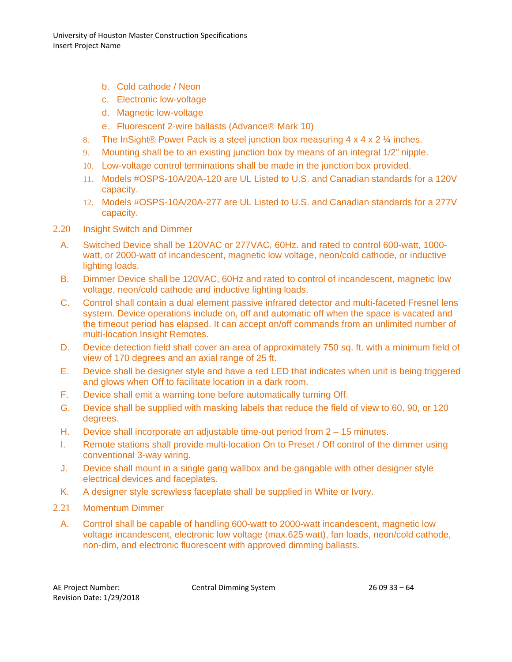- b. Cold cathode / Neon
- c. Electronic low-voltage
- d. Magnetic low-voltage
- e. Fluorescent 2-wire ballasts (Advance<sup>®</sup> Mark 10)
- 8. The InSight® Power Pack is a steel junction box measuring  $4 \times 4 \times 2$  % inches.
- 9. Mounting shall be to an existing junction box by means of an integral 1/2" nipple.
- 10. Low-voltage control terminations shall be made in the junction box provided.
- 11. Models #OSPS-10A/20A-120 are UL Listed to U.S. and Canadian standards for a 120V capacity.
- 12. Models #OSPS-10A/20A-277 are UL Listed to U.S. and Canadian standards for a 277V capacity.
- 2.20 Insight Switch and Dimmer
	- A. Switched Device shall be 120VAC or 277VAC, 60Hz. and rated to control 600-watt, 1000 watt, or 2000-watt of incandescent, magnetic low voltage, neon/cold cathode, or inductive lighting loads.
	- B. Dimmer Device shall be 120VAC, 60Hz and rated to control of incandescent, magnetic low voltage, neon/cold cathode and inductive lighting loads.
	- C. Control shall contain a dual element passive infrared detector and multi-faceted Fresnel lens system. Device operations include on, off and automatic off when the space is vacated and the timeout period has elapsed. It can accept on/off commands from an unlimited number of multi-location Insight Remotes.
	- D. Device detection field shall cover an area of approximately 750 sq. ft. with a minimum field of view of 170 degrees and an axial range of 25 ft.
	- E. Device shall be designer style and have a red LED that indicates when unit is being triggered and glows when Off to facilitate location in a dark room.
	- F. Device shall emit a warning tone before automatically turning Off.
	- G. Device shall be supplied with masking labels that reduce the field of view to 60, 90, or 120 degrees.
	- H. Device shall incorporate an adjustable time-out period from  $2 15$  minutes.
	- I. Remote stations shall provide multi-location On to Preset / Off control of the dimmer using conventional 3-way wiring.
	- J. Device shall mount in a single gang wallbox and be gangable with other designer style electrical devices and faceplates.
	- K. A designer style screwless faceplate shall be supplied in White or Ivory.
- 2.21 Momentum Dimmer
	- A. Control shall be capable of handling 600-watt to 2000-watt incandescent, magnetic low voltage incandescent, electronic low voltage (max.625 watt), fan loads, neon/cold cathode, non-dim, and electronic fluorescent with approved dimming ballasts.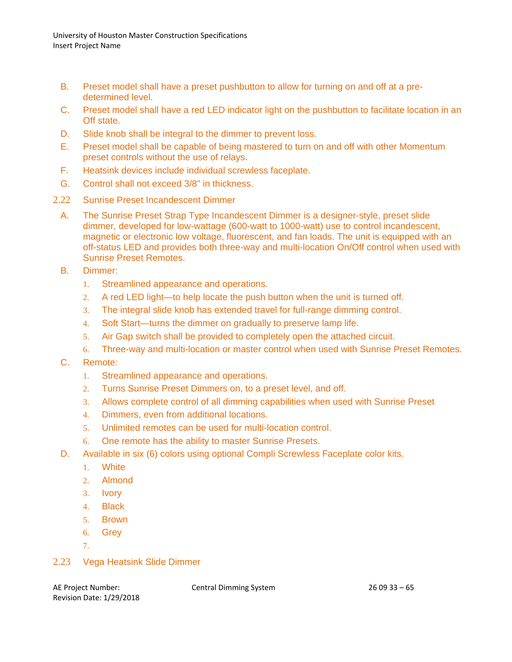- B. Preset model shall have a preset pushbutton to allow for turning on and off at a predetermined level.
- C. Preset model shall have a red LED indicator light on the pushbutton to facilitate location in an Off state.
- D. Slide knob shall be integral to the dimmer to prevent loss.
- E. Preset model shall be capable of being mastered to turn on and off with other Momentum preset controls without the use of relays.
- F. Heatsink devices include individual screwless faceplate.
- G. Control shall not exceed 3/8" in thickness.
- 2.22 Sunrise Preset Incandescent Dimmer
	- A. The Sunrise Preset Strap Type Incandescent Dimmer is a designer-style, preset slide dimmer, developed for low-wattage (600-watt to 1000-watt) use to control incandescent, magnetic or electronic low voltage, fluorescent, and fan loads. The unit is equipped with an off-status LED and provides both three-way and multi-location On/Off control when used with Sunrise Preset Remotes.
	- B. Dimmer:
		- 1. Streamlined appearance and operations.
		- 2. A red LED light—to help locate the push button when the unit is turned off.
		- 3. The integral slide knob has extended travel for full-range dimming control.
		- 4. Soft Start—turns the dimmer on gradually to preserve lamp life.
		- 5. Air Gap switch shall be provided to completely open the attached circuit.
		- 6. Three-way and multi-location or master control when used with Sunrise Preset Remotes.
	- C. Remote:
		- 1. Streamlined appearance and operations.
		- 2. Turns Sunrise Preset Dimmers on, to a preset level, and off.
		- 3. Allows complete control of all dimming capabilities when used with Sunrise Preset
		- 4. Dimmers, even from additional locations.
		- 5. Unlimited remotes can be used for multi-location control.
		- 6. One remote has the ability to master Sunrise Presets.
	- D. Available in six (6) colors using optional Compli Screwless Faceplate color kits.
		- 1. White
		- 2. Almond
		- 3. Ivory
		- 4. Black
		- 5. Brown
		- 6. Grey
		- 7.

# 2.23 Vega Heatsink Slide Dimmer

Revision Date: 1/29/2018

AE Project Number: Central Dimming System 26 09 33 – 65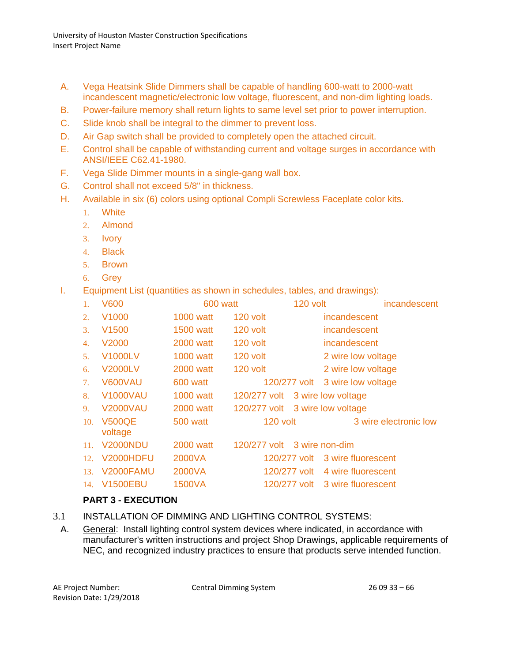- A. Vega Heatsink Slide Dimmers shall be capable of handling 600-watt to 2000-watt incandescent magnetic/electronic low voltage, fluorescent, and non-dim lighting loads.
- B. Power-failure memory shall return lights to same level set prior to power interruption.
- C. Slide knob shall be integral to the dimmer to prevent loss.
- D. Air Gap switch shall be provided to completely open the attached circuit.
- E. Control shall be capable of withstanding current and voltage surges in accordance with ANSI/IEEE C62.41-1980.
- F. Vega Slide Dimmer mounts in a single-gang wall box.
- G. Control shall not exceed 5/8" in thickness.
- H. Available in six (6) colors using optional Compli Screwless Faceplate color kits.
	- 1. White
	- 2. Almond
	- 3. Ivory
	- 4. Black
	- 5. Brown
	- 6. Grey
- I. Equipment List (quantities as shown in schedules, tables, and drawings):

| 1.               | V600                     | 600 watt         | 120 volt                        | incandescent                    |
|------------------|--------------------------|------------------|---------------------------------|---------------------------------|
| 2.               | V <sub>1000</sub>        | <b>1000 watt</b> | $120$ volt                      | incandescent                    |
| 3.               | V <sub>1500</sub>        | <b>1500 watt</b> | $120$ volt                      | incandescent                    |
| $\overline{4}$ . | V <sub>2000</sub>        | <b>2000 watt</b> | $120$ volt                      | incandescent                    |
| 5.               | <b>V1000LV</b>           | <b>1000 watt</b> | 120 volt                        | 2 wire low voltage              |
| 6.               | <b>V2000LV</b>           | <b>2000 watt</b> | 120 volt                        | 2 wire low voltage              |
| 7.               | V600VAU                  | 600 watt         |                                 | 120/277 volt 3 wire low voltage |
| 8.               | <b>V1000VAU</b>          | <b>1000 watt</b> | 120/277 volt 3 wire low voltage |                                 |
| 9.               | <b>V2000VAU</b>          | <b>2000 watt</b> | 120/277 volt 3 wire low voltage |                                 |
| 10.              | <b>V500QE</b><br>voltage | <b>500 watt</b>  | $120$ volt                      | 3 wire electronic low           |
| 11.              | <b>V2000NDU</b>          | <b>2000 watt</b> | 120/277 volt 3 wire non-dim     |                                 |
| 12.              | <b>V2000HDFU</b>         | 2000VA           | 120/277 volt                    | 3 wire fluorescent              |
| 13.              | V2000FAMU                | 2000VA           |                                 | 120/277 volt 4 wire fluorescent |
| 14.              | <b>V1500EBU</b>          | <b>1500VA</b>    |                                 | 120/277 volt 3 wire fluorescent |
|                  | ------                   |                  |                                 |                                 |

# **PART 3 - EXECUTION**

- 3.1 INSTALLATION OF DIMMING AND LIGHTING CONTROL SYSTEMS:
	- A. General: Install lighting control system devices where indicated, in accordance with manufacturer's written instructions and project Shop Drawings, applicable requirements of NEC, and recognized industry practices to ensure that products serve intended function.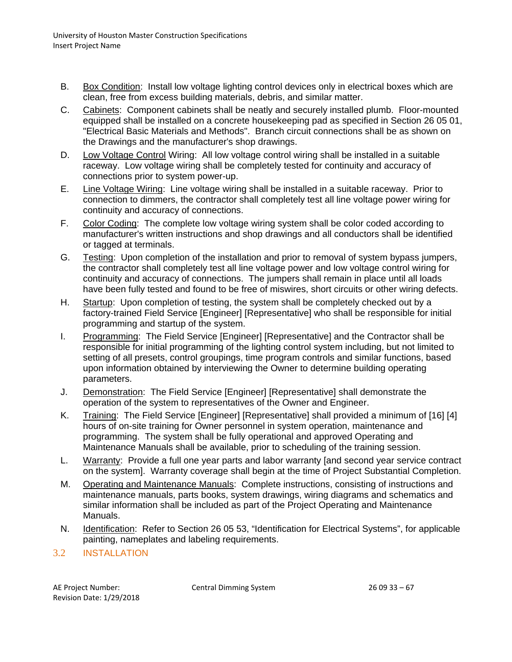- B. Box Condition: Install low voltage lighting control devices only in electrical boxes which are clean, free from excess building materials, debris, and similar matter.
- C. Cabinets: Component cabinets shall be neatly and securely installed plumb. Floor-mounted equipped shall be installed on a concrete housekeeping pad as specified in Section 26 05 01, "Electrical Basic Materials and Methods". Branch circuit connections shall be as shown on the Drawings and the manufacturer's shop drawings.
- D. Low Voltage Control Wiring: All low voltage control wiring shall be installed in a suitable raceway. Low voltage wiring shall be completely tested for continuity and accuracy of connections prior to system power-up.
- E. Line Voltage Wiring: Line voltage wiring shall be installed in a suitable raceway. Prior to connection to dimmers, the contractor shall completely test all line voltage power wiring for continuity and accuracy of connections.
- F. Color Coding: The complete low voltage wiring system shall be color coded according to manufacturer's written instructions and shop drawings and all conductors shall be identified or tagged at terminals.
- G. Testing: Upon completion of the installation and prior to removal of system bypass jumpers, the contractor shall completely test all line voltage power and low voltage control wiring for continuity and accuracy of connections. The jumpers shall remain in place until all loads have been fully tested and found to be free of miswires, short circuits or other wiring defects.
- H. Startup: Upon completion of testing, the system shall be completely checked out by a factory-trained Field Service [Engineer] [Representative] who shall be responsible for initial programming and startup of the system.
- I. Programming: The Field Service [Engineer] [Representative] and the Contractor shall be responsible for initial programming of the lighting control system including, but not limited to setting of all presets, control groupings, time program controls and similar functions, based upon information obtained by interviewing the Owner to determine building operating parameters.
- J. Demonstration: The Field Service [Engineer] [Representative] shall demonstrate the operation of the system to representatives of the Owner and Engineer.
- K. Training: The Field Service [Engineer] [Representative] shall provided a minimum of [16] [4] hours of on-site training for Owner personnel in system operation, maintenance and programming. The system shall be fully operational and approved Operating and Maintenance Manuals shall be available, prior to scheduling of the training session.
- L. Warranty: Provide a full one year parts and labor warranty [and second year service contract on the system]. Warranty coverage shall begin at the time of Project Substantial Completion.
- M. Operating and Maintenance Manuals: Complete instructions, consisting of instructions and maintenance manuals, parts books, system drawings, wiring diagrams and schematics and similar information shall be included as part of the Project Operating and Maintenance Manuals.
- N. Identification: Refer to Section 26 05 53, "Identification for Electrical Systems", for applicable painting, nameplates and labeling requirements.

## 3.2 INSTALLATION

| AE Project Number:              |  |
|---------------------------------|--|
| <b>Revision Date: 1/29/2018</b> |  |

Central Dimming System 26 09 33 – 67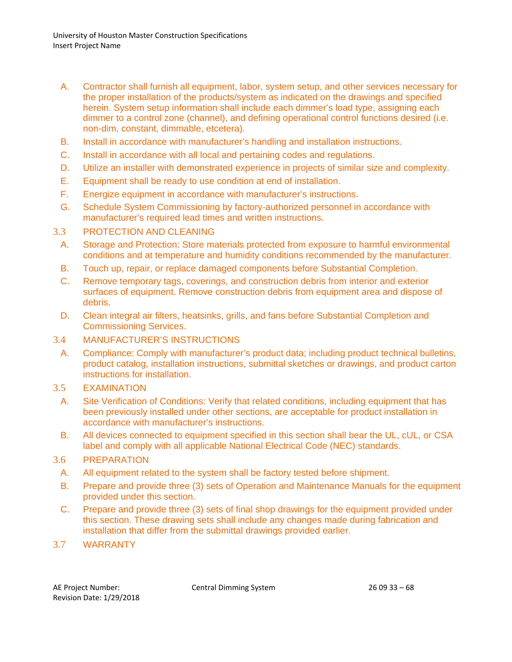- A. Contractor shall furnish all equipment, labor, system setup, and other services necessary for the proper installation of the products/system as indicated on the drawings and specified herein. System setup information shall include each dimmer's load type, assigning each dimmer to a control zone (channel), and defining operational control functions desired (i.e. non-dim, constant, dimmable, etcetera).
- B. Install in accordance with manufacturer's handling and installation instructions.
- C. Install in accordance with all local and pertaining codes and regulations.
- D. Utilize an installer with demonstrated experience in projects of similar size and complexity.
- E. Equipment shall be ready to use condition at end of installation.
- F. Energize equipment in accordance with manufacturer's instructions.
- G. Schedule System Commissioning by factory-authorized personnel in accordance with manufacturer's required lead times and written instructions.
- 3.3 PROTECTION AND CLEANING
	- A. Storage and Protection: Store materials protected from exposure to harmful environmental conditions and at temperature and humidity conditions recommended by the manufacturer.
	- B. Touch up, repair, or replace damaged components before Substantial Completion.
	- C. Remove temporary tags, coverings, and construction debris from interior and exterior surfaces of equipment. Remove construction debris from equipment area and dispose of debris.
	- D. Clean integral air filters, heatsinks, grills, and fans before Substantial Completion and Commissioning Services.

#### 3.4 MANUFACTURER'S INSTRUCTIONS

- A. Compliance: Comply with manufacturer's product data; including product technical bulletins, product catalog, installation instructions, submittal sketches or drawings, and product carton instructions for installation.
- 3.5 EXAMINATION
	- A. Site Verification of Conditions: Verify that related conditions, including equipment that has been previously installed under other sections, are acceptable for product installation in accordance with manufacturer's instructions.
	- B. All devices connected to equipment specified in this section shall bear the UL, cUL, or CSA label and comply with all applicable National Electrical Code (NEC) standards.
- 3.6 PREPARATION
	- A. All equipment related to the system shall be factory tested before shipment.
	- B. Prepare and provide three (3) sets of Operation and Maintenance Manuals for the equipment provided under this section.
	- C. Prepare and provide three (3) sets of final shop drawings for the equipment provided under this section. These drawing sets shall include any changes made during fabrication and installation that differ from the submittal drawings provided earlier.
- 3.7 WARRANTY